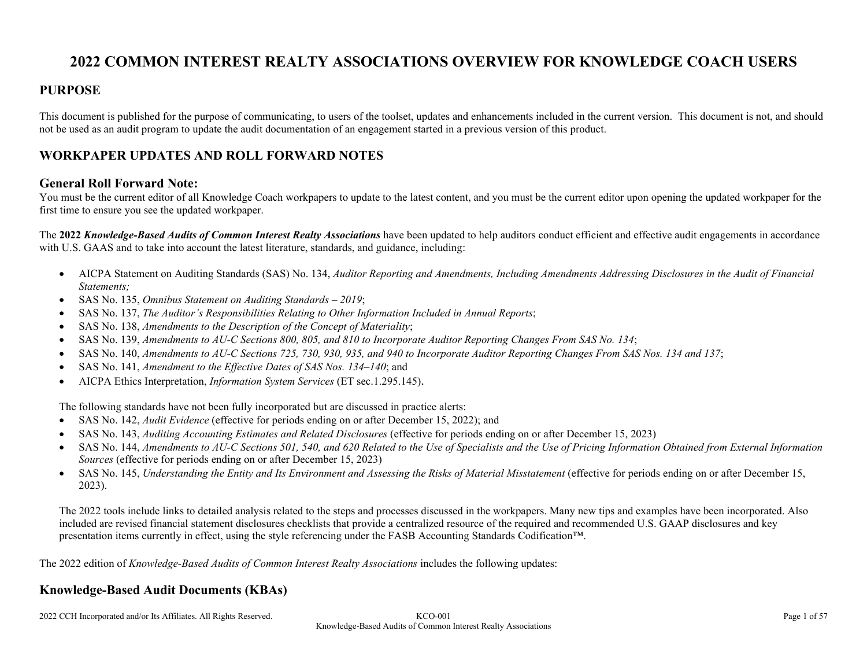# **2022 COMMON INTEREST REALTY ASSOCIATIONS OVERVIEW FOR KNOWLEDGE COACH USERS**

### **PURPOSE**

This document is published for the purpose of communicating, to users of the toolset, updates and enhancements included in the current version. This document is not, and should not be used as an audit program to update the audit documentation of an engagement started in a previous version of this product.

## **WORKPAPER UPDATES AND ROLL FORWARD NOTES**

### **General Roll Forward Note:**

You must be the current editor of all Knowledge Coach workpapers to update to the latest content, and you must be the current editor upon opening the updated workpaper for the first time to ensure you see the updated workpaper.

The **2022** *Knowledge-Based Audits of Common Interest Realty Associations* have been updated to help auditors conduct efficient and effective audit engagements in accordance with U.S. GAAS and to take into account the latest literature, standards, and guidance, including:

- AICPA Statement on Auditing Standards (SAS) No. 134, *Auditor Reporting and Amendments, Including Amendments Addressing Disclosures in the Audit of Financial Statements;*
- SAS No. 135, *Omnibus Statement on Auditing Standards – 2019*;
- SAS No. 137, *The Auditor's Responsibilities Relating to Other Information Included in Annual Reports*;
- SAS No. 138, *Amendments to the Description of the Concept of Materiality*;
- SAS No. 139, *Amendments to AU-C Sections 800, 805, and 810 to Incorporate Auditor Reporting Changes From SAS No. 134*;
- SAS No. 140, *Amendments to AU-C Sections 725, 730, 930, 935, and 940 to Incorporate Auditor Reporting Changes From SAS Nos. 134 and 137*;
- SAS No. 141, *Amendment to the Effective Dates of SAS Nos. 134–140*; and
- AICPA Ethics Interpretation, *Information System Services* (ET sec.1.295.145).

The following standards have not been fully incorporated but are discussed in practice alerts:

- SAS No. 142, *Audit Evidence* (effective for periods ending on or after December 15, 2022); and
- SAS No. 143, *Auditing Accounting Estimates and Related Disclosures* (effective for periods ending on or after December 15, 2023)
- SAS No. 144, *Amendments to AU-C Sections 501, 540, and 620 Related to the Use of Specialists and the Use of Pricing Information Obtained from External Information Sources* (effective for periods ending on or after December 15, 2023)
- SAS No. 145, *Understanding the Entity and Its Environment and Assessing the Risks of Material Misstatement* (effective for periods ending on or after December 15, 2023).

The 2022 tools include links to detailed analysis related to the steps and processes discussed in the workpapers. Many new tips and examples have been incorporated. Also included are revised financial statement disclosures checklists that provide a centralized resource of the required and recommended U.S. GAAP disclosures and key presentation items currently in effect, using the style referencing under the FASB Accounting Standards Codification™.

The 2022 edition of *Knowledge-Based Audits of Common Interest Realty Associations* includes the following updates:

### **Knowledge-Based Audit Documents (KBAs)**

2022 CCH Incorporated and/or Its Affiliates. All Rights Reserved. KCO-001 Page 1 of 57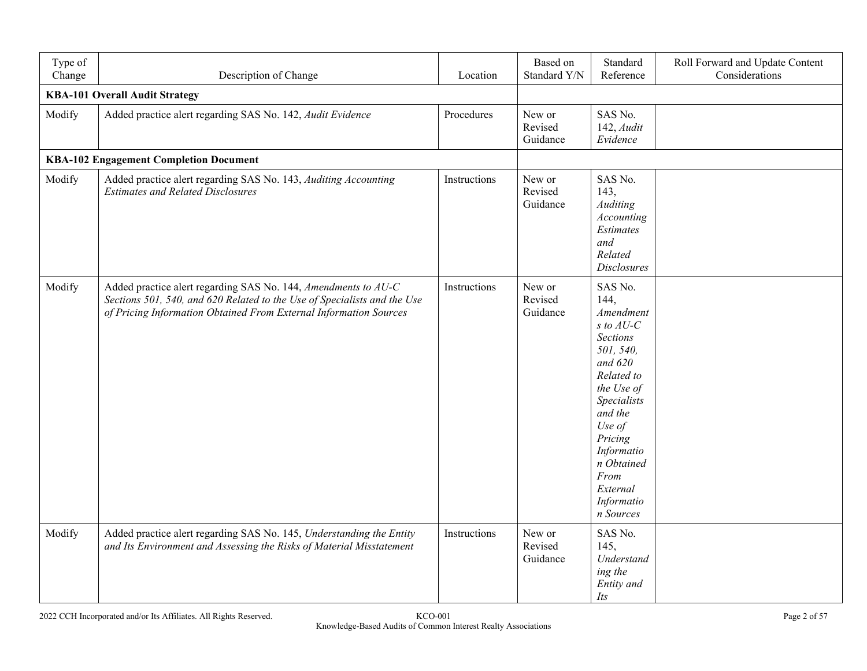| Type of<br>Change | Description of Change                                                                                                                                                                                           | Location     | Based on<br>Standard Y/N      | Standard<br>Reference                                                                                                                                                                                                                            | Roll Forward and Update Content<br>Considerations |
|-------------------|-----------------------------------------------------------------------------------------------------------------------------------------------------------------------------------------------------------------|--------------|-------------------------------|--------------------------------------------------------------------------------------------------------------------------------------------------------------------------------------------------------------------------------------------------|---------------------------------------------------|
|                   | <b>KBA-101 Overall Audit Strategy</b>                                                                                                                                                                           |              |                               |                                                                                                                                                                                                                                                  |                                                   |
| Modify            | Added practice alert regarding SAS No. 142, Audit Evidence                                                                                                                                                      | Procedures   | New or<br>Revised<br>Guidance | SAS No.<br>$142, \textit{Audit}$<br>Evidence                                                                                                                                                                                                     |                                                   |
|                   | <b>KBA-102 Engagement Completion Document</b>                                                                                                                                                                   |              |                               |                                                                                                                                                                                                                                                  |                                                   |
| Modify            | Added practice alert regarding SAS No. 143, Auditing Accounting<br><b>Estimates and Related Disclosures</b>                                                                                                     | Instructions | New or<br>Revised<br>Guidance | SAS No.<br>143,<br><b>Auditing</b><br>Accounting<br>Estimates<br>and<br>Related<br><b>Disclosures</b>                                                                                                                                            |                                                   |
| Modify            | Added practice alert regarding SAS No. 144, Amendments to AU-C<br>Sections 501, 540, and 620 Related to the Use of Specialists and the Use<br>of Pricing Information Obtained From External Information Sources | Instructions | New or<br>Revised<br>Guidance | SAS No.<br>144,<br>Amendment<br>$s$ to $AU-C$<br><b>Sections</b><br>501, 540,<br>and $620$<br>Related to<br>the Use of<br>Specialists<br>and the<br>Use of<br>Pricing<br>Informatio<br>n Obtained<br>From<br>External<br>Informatio<br>n Sources |                                                   |
| Modify            | Added practice alert regarding SAS No. 145, Understanding the Entity<br>and Its Environment and Assessing the Risks of Material Misstatement                                                                    | Instructions | New or<br>Revised<br>Guidance | SAS No.<br>145,<br>Understand<br>ing the<br>Entity and<br>Its                                                                                                                                                                                    |                                                   |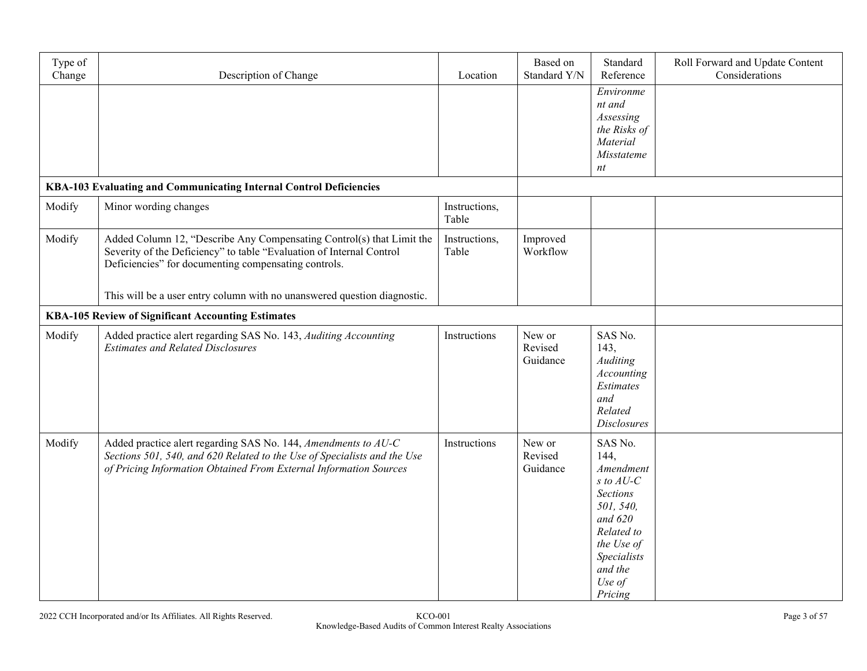| Type of<br>Change | Description of Change                                                                                                                                                                                           | Location               | Based on<br>Standard Y/N      | Standard<br>Reference                                                                                                                                                  | Roll Forward and Update Content<br>Considerations |
|-------------------|-----------------------------------------------------------------------------------------------------------------------------------------------------------------------------------------------------------------|------------------------|-------------------------------|------------------------------------------------------------------------------------------------------------------------------------------------------------------------|---------------------------------------------------|
|                   |                                                                                                                                                                                                                 |                        |                               | Environme<br>nt and<br>Assessing<br>the Risks of<br>Material<br>Misstateme<br>nt                                                                                       |                                                   |
|                   | KBA-103 Evaluating and Communicating Internal Control Deficiencies                                                                                                                                              |                        |                               |                                                                                                                                                                        |                                                   |
| Modify            | Minor wording changes                                                                                                                                                                                           | Instructions,<br>Table |                               |                                                                                                                                                                        |                                                   |
| Modify            | Added Column 12, "Describe Any Compensating Control(s) that Limit the<br>Severity of the Deficiency" to table "Evaluation of Internal Control<br>Deficiencies" for documenting compensating controls.           | Instructions,<br>Table | Improved<br>Workflow          |                                                                                                                                                                        |                                                   |
|                   | This will be a user entry column with no unanswered question diagnostic.                                                                                                                                        |                        |                               |                                                                                                                                                                        |                                                   |
|                   | KBA-105 Review of Significant Accounting Estimates                                                                                                                                                              |                        |                               |                                                                                                                                                                        |                                                   |
| Modify            | Added practice alert regarding SAS No. 143, Auditing Accounting<br><b>Estimates and Related Disclosures</b>                                                                                                     | Instructions           | New or<br>Revised<br>Guidance | SAS No.<br>143,<br>Auditing<br>Accounting<br>Estimates<br>and<br>Related<br><b>Disclosures</b>                                                                         |                                                   |
| Modify            | Added practice alert regarding SAS No. 144, Amendments to AU-C<br>Sections 501, 540, and 620 Related to the Use of Specialists and the Use<br>of Pricing Information Obtained From External Information Sources | Instructions           | New or<br>Revised<br>Guidance | SAS No.<br>144,<br>Amendment<br>$s$ to $AU$ -C<br><b>Sections</b><br>501, 540,<br>and $620$<br>Related to<br>the Use of<br>Specialists<br>and the<br>Use of<br>Pricing |                                                   |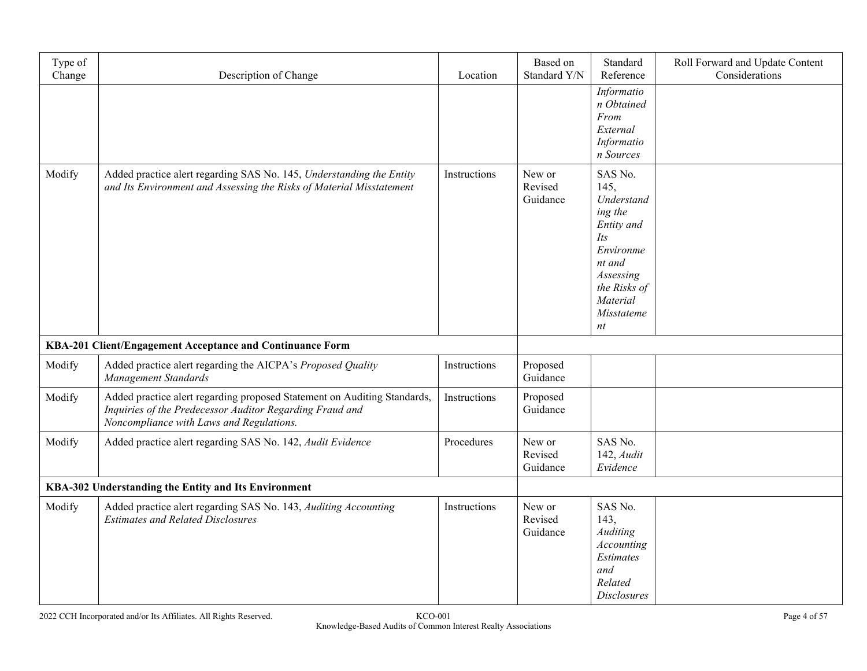| Type of<br>Change | Description of Change                                                                                                                                                            | Location     | Based on<br>Standard Y/N      | Standard<br>Reference                                                                                                                             | Roll Forward and Update Content<br>Considerations |
|-------------------|----------------------------------------------------------------------------------------------------------------------------------------------------------------------------------|--------------|-------------------------------|---------------------------------------------------------------------------------------------------------------------------------------------------|---------------------------------------------------|
|                   |                                                                                                                                                                                  |              |                               | Informatio<br>n Obtained<br>From<br>External<br>Informatio<br>n Sources                                                                           |                                                   |
| Modify            | Added practice alert regarding SAS No. 145, Understanding the Entity<br>and Its Environment and Assessing the Risks of Material Misstatement                                     | Instructions | New or<br>Revised<br>Guidance | SAS No.<br>145.<br>Understand<br>ing the<br>Entity and<br>Its<br>Environme<br>nt and<br>Assessing<br>the Risks of<br>Material<br>Misstateme<br>nt |                                                   |
|                   | KBA-201 Client/Engagement Acceptance and Continuance Form                                                                                                                        |              |                               |                                                                                                                                                   |                                                   |
| Modify            | Added practice alert regarding the AICPA's Proposed Quality<br>Management Standards                                                                                              | Instructions | Proposed<br>Guidance          |                                                                                                                                                   |                                                   |
| Modify            | Added practice alert regarding proposed Statement on Auditing Standards,<br>Inquiries of the Predecessor Auditor Regarding Fraud and<br>Noncompliance with Laws and Regulations. | Instructions | Proposed<br>Guidance          |                                                                                                                                                   |                                                   |
| Modify            | Added practice alert regarding SAS No. 142, Audit Evidence                                                                                                                       | Procedures   | New or<br>Revised<br>Guidance | SAS No.<br>142, Audit<br>Evidence                                                                                                                 |                                                   |
|                   | KBA-302 Understanding the Entity and Its Environment                                                                                                                             |              |                               |                                                                                                                                                   |                                                   |
| Modify            | Added practice alert regarding SAS No. 143, Auditing Accounting<br><b>Estimates and Related Disclosures</b>                                                                      | Instructions | New or<br>Revised<br>Guidance | SAS No.<br>143,<br>Auditing<br>Accounting<br>Estimates<br>and<br>Related<br><b>Disclosures</b>                                                    |                                                   |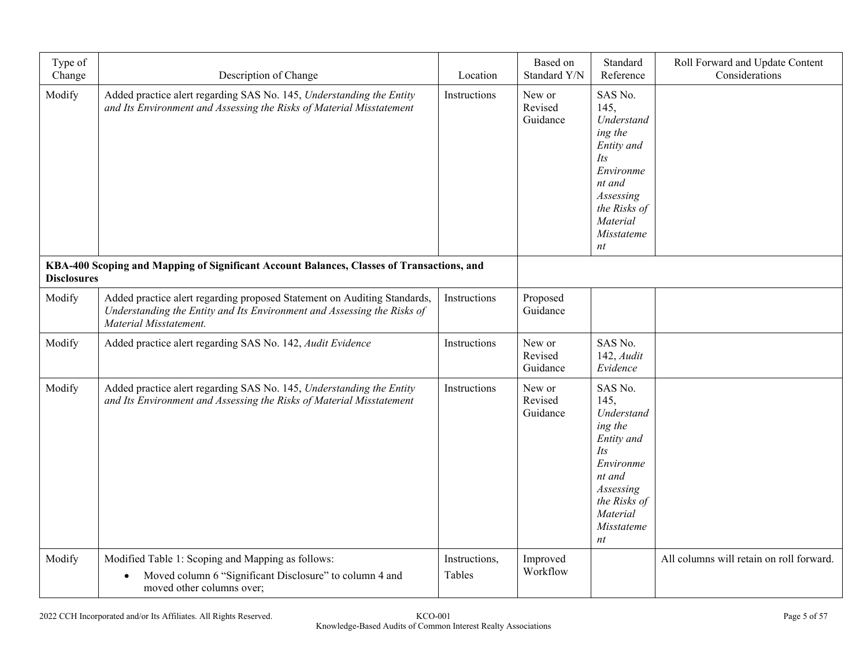| Type of<br>Change  | Description of Change                                                                                                                                                         | Location                | Based on<br>Standard Y/N      | Standard<br>Reference                                                                                                                             | Roll Forward and Update Content<br>Considerations |
|--------------------|-------------------------------------------------------------------------------------------------------------------------------------------------------------------------------|-------------------------|-------------------------------|---------------------------------------------------------------------------------------------------------------------------------------------------|---------------------------------------------------|
| Modify             | Added practice alert regarding SAS No. 145, Understanding the Entity<br>and Its Environment and Assessing the Risks of Material Misstatement                                  | Instructions            | New or<br>Revised<br>Guidance | SAS No.<br>145,<br>Understand<br>ing the<br>Entity and<br>Its<br>Environme<br>nt and<br>Assessing<br>the Risks of<br>Material<br>Misstateme<br>nt |                                                   |
| <b>Disclosures</b> | KBA-400 Scoping and Mapping of Significant Account Balances, Classes of Transactions, and                                                                                     |                         |                               |                                                                                                                                                   |                                                   |
| Modify             | Added practice alert regarding proposed Statement on Auditing Standards,<br>Understanding the Entity and Its Environment and Assessing the Risks of<br>Material Misstatement. | Instructions            | Proposed<br>Guidance          |                                                                                                                                                   |                                                   |
| Modify             | Added practice alert regarding SAS No. 142, Audit Evidence                                                                                                                    | Instructions            | New or<br>Revised<br>Guidance | SAS No.<br>$142$ , $Audit$<br>Evidence                                                                                                            |                                                   |
| Modify             | Added practice alert regarding SAS No. 145, Understanding the Entity<br>and Its Environment and Assessing the Risks of Material Misstatement                                  | Instructions            | New or<br>Revised<br>Guidance | SAS No.<br>145,<br>Understand<br>ing the<br>Entity and<br>Its<br>Environme<br>nt and<br>Assessing<br>the Risks of<br>Material<br>Misstateme<br>nt |                                                   |
| Modify             | Modified Table 1: Scoping and Mapping as follows:<br>Moved column 6 "Significant Disclosure" to column 4 and<br>$\bullet$<br>moved other columns over;                        | Instructions,<br>Tables | Improved<br>Workflow          |                                                                                                                                                   | All columns will retain on roll forward.          |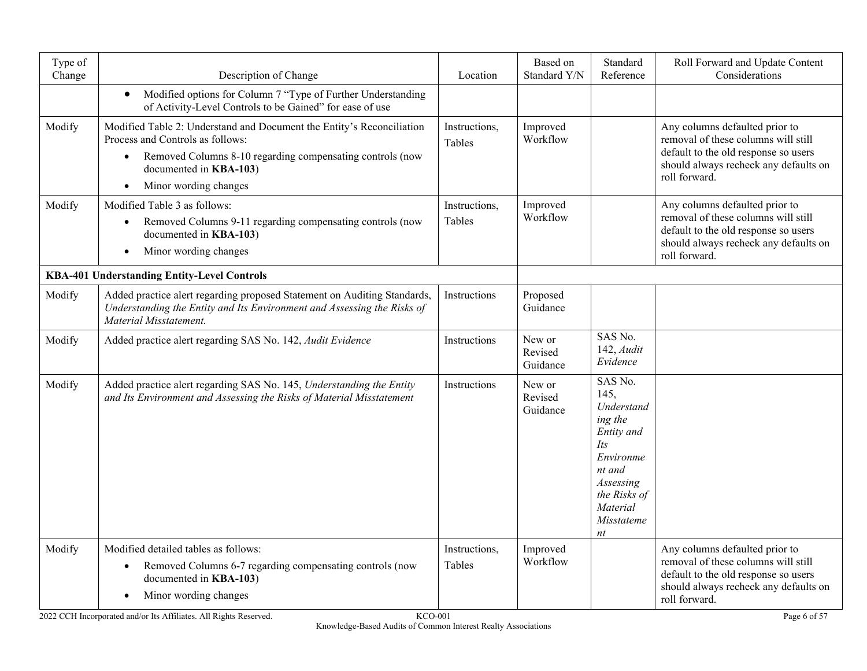| Type of<br>Change | Description of Change                                                                                                                                                               | Location                | Based on<br>Standard Y/N      | Standard<br>Reference                                                                                                                                    | Roll Forward and Update Content<br>Considerations                                                                                                                       |
|-------------------|-------------------------------------------------------------------------------------------------------------------------------------------------------------------------------------|-------------------------|-------------------------------|----------------------------------------------------------------------------------------------------------------------------------------------------------|-------------------------------------------------------------------------------------------------------------------------------------------------------------------------|
|                   | Modified options for Column 7 "Type of Further Understanding<br>$\bullet$<br>of Activity-Level Controls to be Gained" for ease of use                                               |                         |                               |                                                                                                                                                          |                                                                                                                                                                         |
| Modify            | Modified Table 2: Understand and Document the Entity's Reconciliation<br>Process and Controls as follows:<br>Removed Columns 8-10 regarding compensating controls (now<br>$\bullet$ | Instructions,<br>Tables | Improved<br>Workflow          |                                                                                                                                                          | Any columns defaulted prior to<br>removal of these columns will still<br>default to the old response so users                                                           |
|                   | documented in KBA-103)<br>Minor wording changes<br>$\bullet$                                                                                                                        |                         |                               |                                                                                                                                                          | should always recheck any defaults on<br>roll forward.                                                                                                                  |
| Modify            | Modified Table 3 as follows:                                                                                                                                                        | Instructions,           | Improved                      |                                                                                                                                                          | Any columns defaulted prior to                                                                                                                                          |
|                   | Removed Columns 9-11 regarding compensating controls (now<br>documented in KBA-103)                                                                                                 | Tables                  | Workflow                      |                                                                                                                                                          | removal of these columns will still<br>default to the old response so users                                                                                             |
|                   | Minor wording changes                                                                                                                                                               |                         |                               |                                                                                                                                                          | should always recheck any defaults on<br>roll forward.                                                                                                                  |
|                   | KBA-401 Understanding Entity-Level Controls                                                                                                                                         |                         |                               |                                                                                                                                                          |                                                                                                                                                                         |
| Modify            | Added practice alert regarding proposed Statement on Auditing Standards,<br>Understanding the Entity and Its Environment and Assessing the Risks of<br>Material Misstatement.       | Instructions            | Proposed<br>Guidance          |                                                                                                                                                          |                                                                                                                                                                         |
| Modify            | Added practice alert regarding SAS No. 142, Audit Evidence                                                                                                                          | Instructions            | New or<br>Revised<br>Guidance | SAS No.<br>142, Audit<br>Evidence                                                                                                                        |                                                                                                                                                                         |
| Modify            | Added practice alert regarding SAS No. 145, Understanding the Entity<br>and Its Environment and Assessing the Risks of Material Misstatement                                        | Instructions            | New or<br>Revised<br>Guidance | SAS No.<br>145,<br>Understand<br>ing the<br>Entity and<br>Its<br>Environme<br>nt and<br>Assessing<br>the Risks of<br>Material<br><i>Misstateme</i><br>nt |                                                                                                                                                                         |
| Modify            | Modified detailed tables as follows:<br>Removed Columns 6-7 regarding compensating controls (now<br>$\bullet$<br>documented in KBA-103)<br>Minor wording changes                    | Instructions,<br>Tables | Improved<br>Workflow          |                                                                                                                                                          | Any columns defaulted prior to<br>removal of these columns will still<br>default to the old response so users<br>should always recheck any defaults on<br>roll forward. |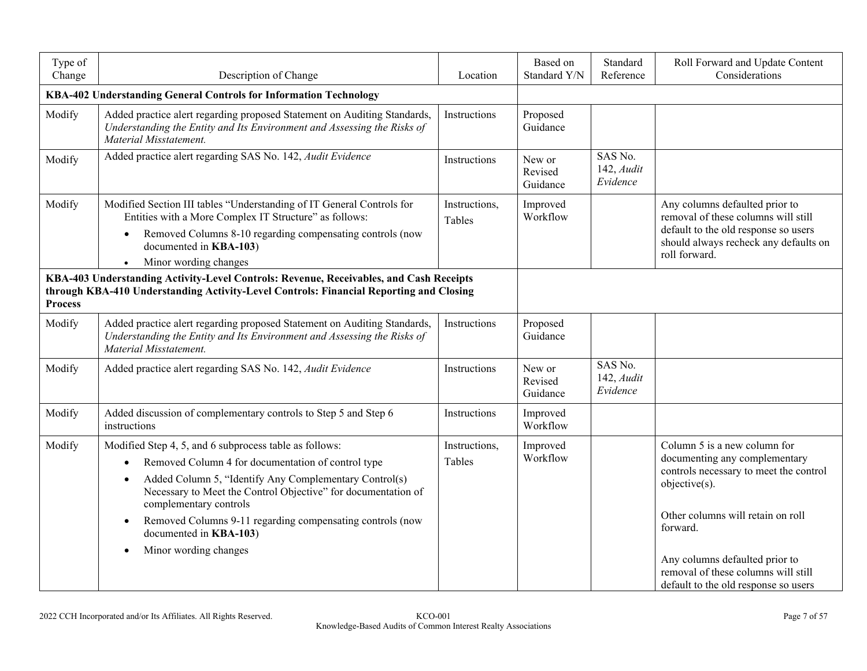| Type of<br>Change                                                                                                                                                                                  | Description of Change                                                                                                                                                                                                                                                                                                                                                                                                    | Location                | Based on<br>Standard Y/N      | Standard<br>Reference             | Roll Forward and Update Content<br>Considerations                                                                                                                                                                                                                                          |
|----------------------------------------------------------------------------------------------------------------------------------------------------------------------------------------------------|--------------------------------------------------------------------------------------------------------------------------------------------------------------------------------------------------------------------------------------------------------------------------------------------------------------------------------------------------------------------------------------------------------------------------|-------------------------|-------------------------------|-----------------------------------|--------------------------------------------------------------------------------------------------------------------------------------------------------------------------------------------------------------------------------------------------------------------------------------------|
|                                                                                                                                                                                                    | KBA-402 Understanding General Controls for Information Technology                                                                                                                                                                                                                                                                                                                                                        |                         |                               |                                   |                                                                                                                                                                                                                                                                                            |
| Modify                                                                                                                                                                                             | Added practice alert regarding proposed Statement on Auditing Standards,<br>Understanding the Entity and Its Environment and Assessing the Risks of<br>Material Misstatement.                                                                                                                                                                                                                                            | Instructions            | Proposed<br>Guidance          |                                   |                                                                                                                                                                                                                                                                                            |
| Modify                                                                                                                                                                                             | Added practice alert regarding SAS No. 142, Audit Evidence                                                                                                                                                                                                                                                                                                                                                               | Instructions            | New or<br>Revised<br>Guidance | SAS No.<br>142, Audit<br>Evidence |                                                                                                                                                                                                                                                                                            |
| Modify                                                                                                                                                                                             | Modified Section III tables "Understanding of IT General Controls for<br>Entities with a More Complex IT Structure" as follows:<br>Removed Columns 8-10 regarding compensating controls (now<br>$\bullet$<br>documented in KBA-103)                                                                                                                                                                                      | Instructions,<br>Tables | Improved<br>Workflow          |                                   | Any columns defaulted prior to<br>removal of these columns will still<br>default to the old response so users<br>should always recheck any defaults on<br>roll forward.                                                                                                                    |
|                                                                                                                                                                                                    | Minor wording changes                                                                                                                                                                                                                                                                                                                                                                                                    |                         |                               |                                   |                                                                                                                                                                                                                                                                                            |
| KBA-403 Understanding Activity-Level Controls: Revenue, Receivables, and Cash Receipts<br>through KBA-410 Understanding Activity-Level Controls: Financial Reporting and Closing<br><b>Process</b> |                                                                                                                                                                                                                                                                                                                                                                                                                          |                         |                               |                                   |                                                                                                                                                                                                                                                                                            |
| Modify                                                                                                                                                                                             | Added practice alert regarding proposed Statement on Auditing Standards,<br>Understanding the Entity and Its Environment and Assessing the Risks of<br>Material Misstatement.                                                                                                                                                                                                                                            | Instructions            | Proposed<br>Guidance          |                                   |                                                                                                                                                                                                                                                                                            |
| Modify                                                                                                                                                                                             | Added practice alert regarding SAS No. 142, Audit Evidence                                                                                                                                                                                                                                                                                                                                                               | Instructions            | New or<br>Revised<br>Guidance | SAS No.<br>142, Audit<br>Evidence |                                                                                                                                                                                                                                                                                            |
| Modify                                                                                                                                                                                             | Added discussion of complementary controls to Step 5 and Step 6<br>instructions                                                                                                                                                                                                                                                                                                                                          | Instructions            | Improved<br>Workflow          |                                   |                                                                                                                                                                                                                                                                                            |
| Modify                                                                                                                                                                                             | Modified Step 4, 5, and 6 subprocess table as follows:<br>Removed Column 4 for documentation of control type<br>$\bullet$<br>Added Column 5, "Identify Any Complementary Control(s)<br>Necessary to Meet the Control Objective" for documentation of<br>complementary controls<br>Removed Columns 9-11 regarding compensating controls (now<br>$\bullet$<br>documented in KBA-103)<br>Minor wording changes<br>$\bullet$ | Instructions,<br>Tables | Improved<br>Workflow          |                                   | Column 5 is a new column for<br>documenting any complementary<br>controls necessary to meet the control<br>objective(s).<br>Other columns will retain on roll<br>forward.<br>Any columns defaulted prior to<br>removal of these columns will still<br>default to the old response so users |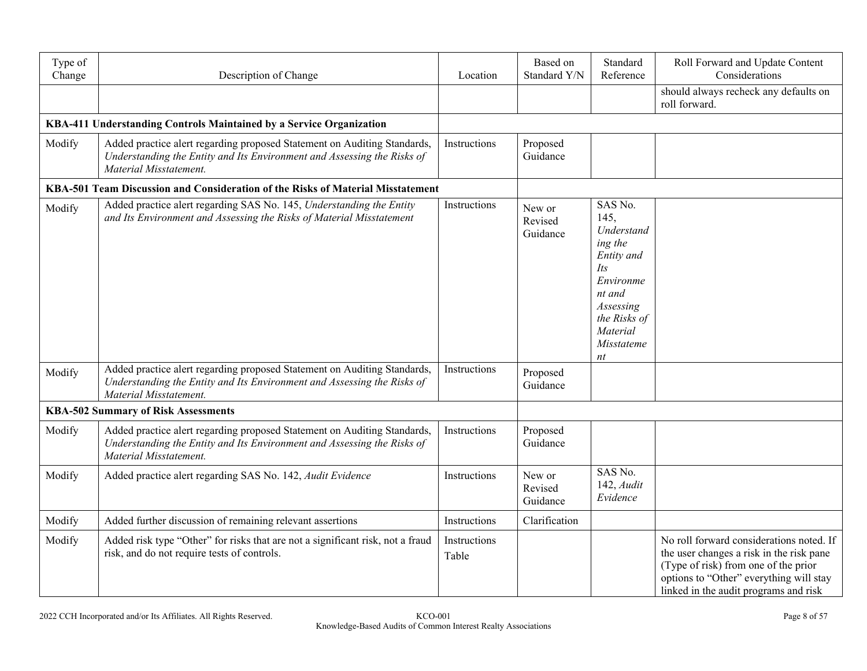| Type of<br>Change | Description of Change                                                                                                                                                         | Location              | Based on<br>Standard Y/N      | Standard<br>Reference                                                                                                                                    | Roll Forward and Update Content<br>Considerations                                                                                                                                                                |
|-------------------|-------------------------------------------------------------------------------------------------------------------------------------------------------------------------------|-----------------------|-------------------------------|----------------------------------------------------------------------------------------------------------------------------------------------------------|------------------------------------------------------------------------------------------------------------------------------------------------------------------------------------------------------------------|
|                   |                                                                                                                                                                               |                       |                               |                                                                                                                                                          | should always recheck any defaults on<br>roll forward.                                                                                                                                                           |
|                   | KBA-411 Understanding Controls Maintained by a Service Organization                                                                                                           |                       |                               |                                                                                                                                                          |                                                                                                                                                                                                                  |
| Modify            | Added practice alert regarding proposed Statement on Auditing Standards,<br>Understanding the Entity and Its Environment and Assessing the Risks of<br>Material Misstatement. | Instructions          | Proposed<br>Guidance          |                                                                                                                                                          |                                                                                                                                                                                                                  |
|                   | KBA-501 Team Discussion and Consideration of the Risks of Material Misstatement                                                                                               |                       |                               |                                                                                                                                                          |                                                                                                                                                                                                                  |
| Modify            | Added practice alert regarding SAS No. 145, Understanding the Entity<br>and Its Environment and Assessing the Risks of Material Misstatement                                  | Instructions          | New or<br>Revised<br>Guidance | SAS No.<br>145,<br>Understand<br>ing the<br>Entity and<br>Its<br>Environme<br>nt and<br>Assessing<br>the Risks of<br>Material<br><i>Misstateme</i><br>nt |                                                                                                                                                                                                                  |
| Modify            | Added practice alert regarding proposed Statement on Auditing Standards,<br>Understanding the Entity and Its Environment and Assessing the Risks of<br>Material Misstatement. | Instructions          | Proposed<br>Guidance          |                                                                                                                                                          |                                                                                                                                                                                                                  |
|                   | <b>KBA-502 Summary of Risk Assessments</b>                                                                                                                                    |                       |                               |                                                                                                                                                          |                                                                                                                                                                                                                  |
| Modify            | Added practice alert regarding proposed Statement on Auditing Standards,<br>Understanding the Entity and Its Environment and Assessing the Risks of<br>Material Misstatement. | Instructions          | Proposed<br>Guidance          |                                                                                                                                                          |                                                                                                                                                                                                                  |
| Modify            | Added practice alert regarding SAS No. 142, Audit Evidence                                                                                                                    | Instructions          | New or<br>Revised<br>Guidance | SAS No.<br>$142$ , $Audit$<br>Evidence                                                                                                                   |                                                                                                                                                                                                                  |
| Modify            | Added further discussion of remaining relevant assertions                                                                                                                     | Instructions          | Clarification                 |                                                                                                                                                          |                                                                                                                                                                                                                  |
| Modify            | Added risk type "Other" for risks that are not a significant risk, not a fraud<br>risk, and do not require tests of controls.                                                 | Instructions<br>Table |                               |                                                                                                                                                          | No roll forward considerations noted. If<br>the user changes a risk in the risk pane<br>(Type of risk) from one of the prior<br>options to "Other" everything will stay<br>linked in the audit programs and risk |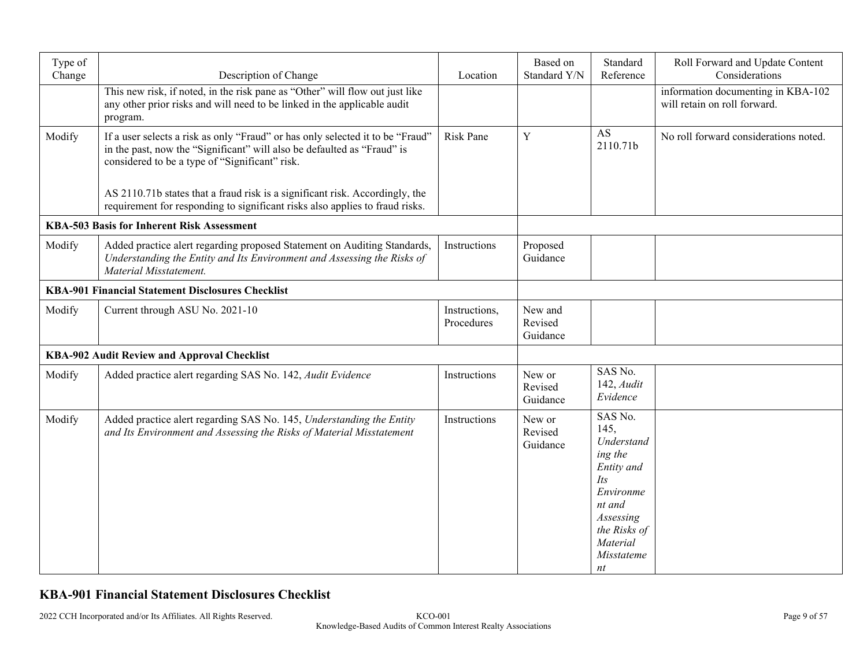| Type of<br>Change                                        | Description of Change                                                                                                                                                                                       | Location                    | Based on<br>Standard Y/N       | Standard<br>Reference                                                                                                                                    | Roll Forward and Update Content<br>Considerations                  |
|----------------------------------------------------------|-------------------------------------------------------------------------------------------------------------------------------------------------------------------------------------------------------------|-----------------------------|--------------------------------|----------------------------------------------------------------------------------------------------------------------------------------------------------|--------------------------------------------------------------------|
|                                                          | This new risk, if noted, in the risk pane as "Other" will flow out just like<br>any other prior risks and will need to be linked in the applicable audit<br>program.                                        |                             |                                |                                                                                                                                                          | information documenting in KBA-102<br>will retain on roll forward. |
| Modify                                                   | If a user selects a risk as only "Fraud" or has only selected it to be "Fraud"<br>in the past, now the "Significant" will also be defaulted as "Fraud" is<br>considered to be a type of "Significant" risk. | <b>Risk Pane</b>            | Y                              | AS<br>2110.71b                                                                                                                                           | No roll forward considerations noted.                              |
|                                                          | AS 2110.71b states that a fraud risk is a significant risk. Accordingly, the<br>requirement for responding to significant risks also applies to fraud risks.                                                |                             |                                |                                                                                                                                                          |                                                                    |
|                                                          | <b>KBA-503 Basis for Inherent Risk Assessment</b>                                                                                                                                                           |                             |                                |                                                                                                                                                          |                                                                    |
| Modify                                                   | Added practice alert regarding proposed Statement on Auditing Standards,<br>Understanding the Entity and Its Environment and Assessing the Risks of<br>Material Misstatement.                               | Instructions                | Proposed<br>Guidance           |                                                                                                                                                          |                                                                    |
| <b>KBA-901 Financial Statement Disclosures Checklist</b> |                                                                                                                                                                                                             |                             |                                |                                                                                                                                                          |                                                                    |
| Modify                                                   | Current through ASU No. 2021-10                                                                                                                                                                             | Instructions,<br>Procedures | New and<br>Revised<br>Guidance |                                                                                                                                                          |                                                                    |
|                                                          | KBA-902 Audit Review and Approval Checklist                                                                                                                                                                 |                             |                                |                                                                                                                                                          |                                                                    |
| Modify                                                   | Added practice alert regarding SAS No. 142, Audit Evidence                                                                                                                                                  | Instructions                | New or<br>Revised<br>Guidance  | SAS No.<br>$142$ , $Audit$<br>Evidence                                                                                                                   |                                                                    |
| Modify                                                   | Added practice alert regarding SAS No. 145, Understanding the Entity<br>and Its Environment and Assessing the Risks of Material Misstatement                                                                | Instructions                | New or<br>Revised<br>Guidance  | SAS No.<br>145,<br>Understand<br>ing the<br>Entity and<br>Its<br>Environme<br>nt and<br>Assessing<br>the Risks of<br>Material<br><i>Misstateme</i><br>nt |                                                                    |

# **KBA-901 Financial Statement Disclosures Checklist**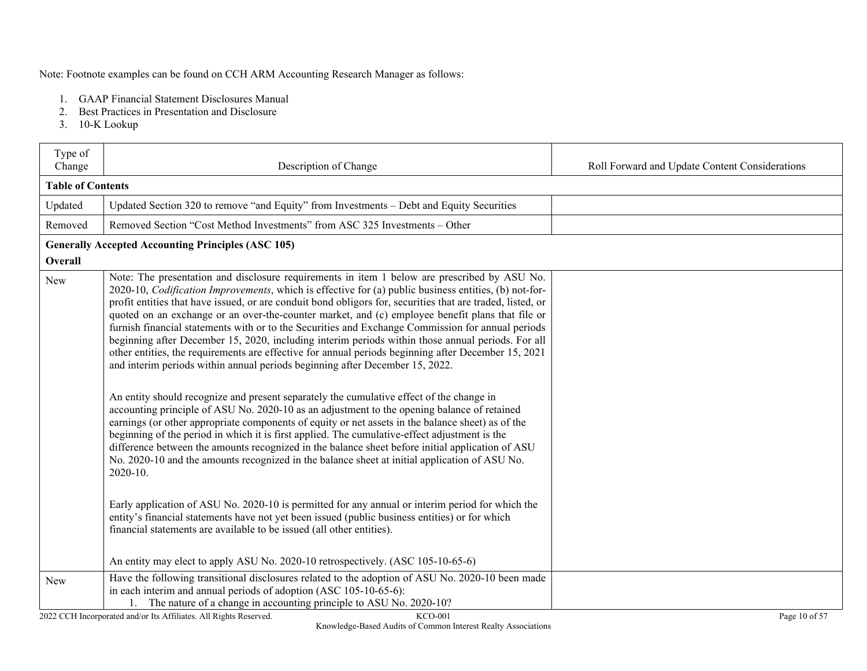Note: Footnote examples can be found on CCH ARM Accounting Research Manager as follows:

- 1. GAAP Financial Statement Disclosures Manual
- 2. Best Practices in Presentation and Disclosure
- 3. 10-K Lookup

| <b>Table of Contents</b><br>Updated Section 320 to remove "and Equity" from Investments - Debt and Equity Securities<br>Updated<br>Removed Section "Cost Method Investments" from ASC 325 Investments - Other<br>Removed<br><b>Generally Accepted Accounting Principles (ASC 105)</b><br>Overall<br>Note: The presentation and disclosure requirements in item 1 below are prescribed by ASU No.<br>New<br>2020-10, <i>Codification Improvements</i> , which is effective for (a) public business entities, (b) not-for-<br>profit entities that have issued, or are conduit bond obligors for, securities that are traded, listed, or<br>quoted on an exchange or an over-the-counter market, and (c) employee benefit plans that file or<br>furnish financial statements with or to the Securities and Exchange Commission for annual periods<br>beginning after December 15, 2020, including interim periods within those annual periods. For all<br>other entities, the requirements are effective for annual periods beginning after December 15, 2021<br>and interim periods within annual periods beginning after December 15, 2022.<br>An entity should recognize and present separately the cumulative effect of the change in<br>accounting principle of ASU No. 2020-10 as an adjustment to the opening balance of retained<br>earnings (or other appropriate components of equity or net assets in the balance sheet) as of the<br>beginning of the period in which it is first applied. The cumulative-effect adjustment is the<br>difference between the amounts recognized in the balance sheet before initial application of ASU<br>No. 2020-10 and the amounts recognized in the balance sheet at initial application of ASU No.<br>2020-10.<br>Early application of ASU No. 2020-10 is permitted for any annual or interim period for which the |
|-------------------------------------------------------------------------------------------------------------------------------------------------------------------------------------------------------------------------------------------------------------------------------------------------------------------------------------------------------------------------------------------------------------------------------------------------------------------------------------------------------------------------------------------------------------------------------------------------------------------------------------------------------------------------------------------------------------------------------------------------------------------------------------------------------------------------------------------------------------------------------------------------------------------------------------------------------------------------------------------------------------------------------------------------------------------------------------------------------------------------------------------------------------------------------------------------------------------------------------------------------------------------------------------------------------------------------------------------------------------------------------------------------------------------------------------------------------------------------------------------------------------------------------------------------------------------------------------------------------------------------------------------------------------------------------------------------------------------------------------------------------------------------------------------------------------------------------------------------------------|
|                                                                                                                                                                                                                                                                                                                                                                                                                                                                                                                                                                                                                                                                                                                                                                                                                                                                                                                                                                                                                                                                                                                                                                                                                                                                                                                                                                                                                                                                                                                                                                                                                                                                                                                                                                                                                                                                   |
|                                                                                                                                                                                                                                                                                                                                                                                                                                                                                                                                                                                                                                                                                                                                                                                                                                                                                                                                                                                                                                                                                                                                                                                                                                                                                                                                                                                                                                                                                                                                                                                                                                                                                                                                                                                                                                                                   |
|                                                                                                                                                                                                                                                                                                                                                                                                                                                                                                                                                                                                                                                                                                                                                                                                                                                                                                                                                                                                                                                                                                                                                                                                                                                                                                                                                                                                                                                                                                                                                                                                                                                                                                                                                                                                                                                                   |
|                                                                                                                                                                                                                                                                                                                                                                                                                                                                                                                                                                                                                                                                                                                                                                                                                                                                                                                                                                                                                                                                                                                                                                                                                                                                                                                                                                                                                                                                                                                                                                                                                                                                                                                                                                                                                                                                   |
|                                                                                                                                                                                                                                                                                                                                                                                                                                                                                                                                                                                                                                                                                                                                                                                                                                                                                                                                                                                                                                                                                                                                                                                                                                                                                                                                                                                                                                                                                                                                                                                                                                                                                                                                                                                                                                                                   |
| entity's financial statements have not yet been issued (public business entities) or for which<br>financial statements are available to be issued (all other entities).<br>An entity may elect to apply ASU No. 2020-10 retrospectively. (ASC 105-10-65-6)                                                                                                                                                                                                                                                                                                                                                                                                                                                                                                                                                                                                                                                                                                                                                                                                                                                                                                                                                                                                                                                                                                                                                                                                                                                                                                                                                                                                                                                                                                                                                                                                        |
| Have the following transitional disclosures related to the adoption of ASU No. 2020-10 been made<br>New                                                                                                                                                                                                                                                                                                                                                                                                                                                                                                                                                                                                                                                                                                                                                                                                                                                                                                                                                                                                                                                                                                                                                                                                                                                                                                                                                                                                                                                                                                                                                                                                                                                                                                                                                           |
| in each interim and annual periods of adoption (ASC 105-10-65-6):<br>1. The nature of a change in accounting principle to ASU No. 2020-10?                                                                                                                                                                                                                                                                                                                                                                                                                                                                                                                                                                                                                                                                                                                                                                                                                                                                                                                                                                                                                                                                                                                                                                                                                                                                                                                                                                                                                                                                                                                                                                                                                                                                                                                        |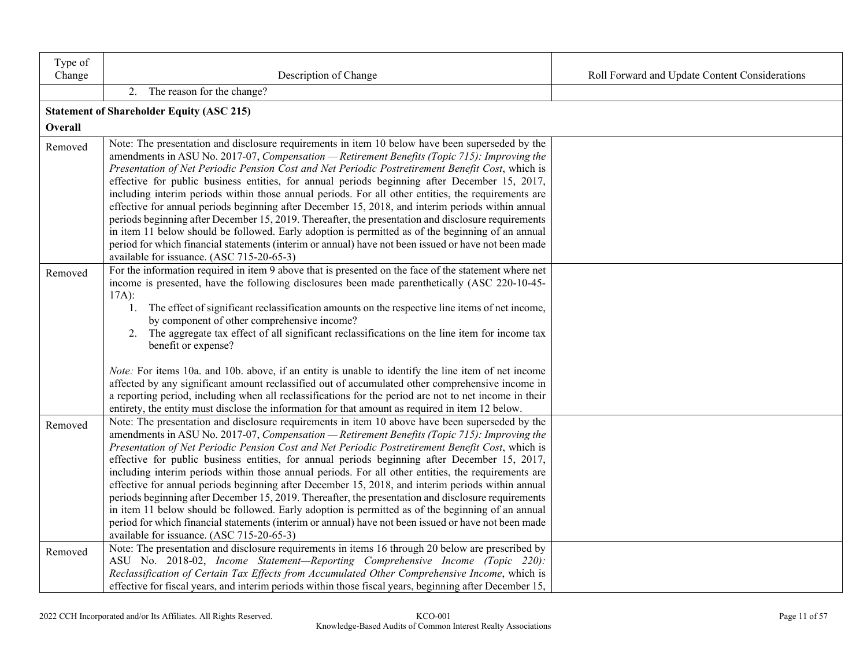| Type of<br>Change | Description of Change                                                                                                                                                                                                                                                                                                                                                                                                                                                                                                                                                                                                                                                                                                                                                                                                                                                                                                                                                             | Roll Forward and Update Content Considerations |
|-------------------|-----------------------------------------------------------------------------------------------------------------------------------------------------------------------------------------------------------------------------------------------------------------------------------------------------------------------------------------------------------------------------------------------------------------------------------------------------------------------------------------------------------------------------------------------------------------------------------------------------------------------------------------------------------------------------------------------------------------------------------------------------------------------------------------------------------------------------------------------------------------------------------------------------------------------------------------------------------------------------------|------------------------------------------------|
|                   | 2. The reason for the change?                                                                                                                                                                                                                                                                                                                                                                                                                                                                                                                                                                                                                                                                                                                                                                                                                                                                                                                                                     |                                                |
|                   | <b>Statement of Shareholder Equity (ASC 215)</b>                                                                                                                                                                                                                                                                                                                                                                                                                                                                                                                                                                                                                                                                                                                                                                                                                                                                                                                                  |                                                |
| Overall           |                                                                                                                                                                                                                                                                                                                                                                                                                                                                                                                                                                                                                                                                                                                                                                                                                                                                                                                                                                                   |                                                |
| Removed           | Note: The presentation and disclosure requirements in item 10 below have been superseded by the<br>amendments in ASU No. 2017-07, Compensation - Retirement Benefits (Topic 715): Improving the<br>Presentation of Net Periodic Pension Cost and Net Periodic Postretirement Benefit Cost, which is<br>effective for public business entities, for annual periods beginning after December 15, 2017,<br>including interim periods within those annual periods. For all other entities, the requirements are<br>effective for annual periods beginning after December 15, 2018, and interim periods within annual<br>periods beginning after December 15, 2019. Thereafter, the presentation and disclosure requirements<br>in item 11 below should be followed. Early adoption is permitted as of the beginning of an annual<br>period for which financial statements (interim or annual) have not been issued or have not been made<br>available for issuance. (ASC 715-20-65-3) |                                                |
| Removed           | For the information required in item 9 above that is presented on the face of the statement where net<br>income is presented, have the following disclosures been made parenthetically (ASC 220-10-45-<br>$17A)$ :<br>1. The effect of significant reclassification amounts on the respective line items of net income,<br>by component of other comprehensive income?<br>The aggregate tax effect of all significant reclassifications on the line item for income tax<br>2.<br>benefit or expense?<br><i>Note:</i> For items 10a. and 10b. above, if an entity is unable to identify the line item of net income<br>affected by any significant amount reclassified out of accumulated other comprehensive income in<br>a reporting period, including when all reclassifications for the period are not to net income in their<br>entirety, the entity must disclose the information for that amount as required in item 12 below.                                              |                                                |
| Removed           | Note: The presentation and disclosure requirements in item 10 above have been superseded by the<br>amendments in ASU No. 2017-07, Compensation - Retirement Benefits (Topic 715): Improving the<br>Presentation of Net Periodic Pension Cost and Net Periodic Postretirement Benefit Cost, which is<br>effective for public business entities, for annual periods beginning after December 15, 2017,<br>including interim periods within those annual periods. For all other entities, the requirements are<br>effective for annual periods beginning after December 15, 2018, and interim periods within annual<br>periods beginning after December 15, 2019. Thereafter, the presentation and disclosure requirements<br>in item 11 below should be followed. Early adoption is permitted as of the beginning of an annual<br>period for which financial statements (interim or annual) have not been issued or have not been made<br>available for issuance. (ASC 715-20-65-3) |                                                |
| Removed           | Note: The presentation and disclosure requirements in items 16 through 20 below are prescribed by<br>ASU No. 2018-02, Income Statement-Reporting Comprehensive Income (Topic 220):<br>Reclassification of Certain Tax Effects from Accumulated Other Comprehensive Income, which is<br>effective for fiscal years, and interim periods within those fiscal years, beginning after December 15,                                                                                                                                                                                                                                                                                                                                                                                                                                                                                                                                                                                    |                                                |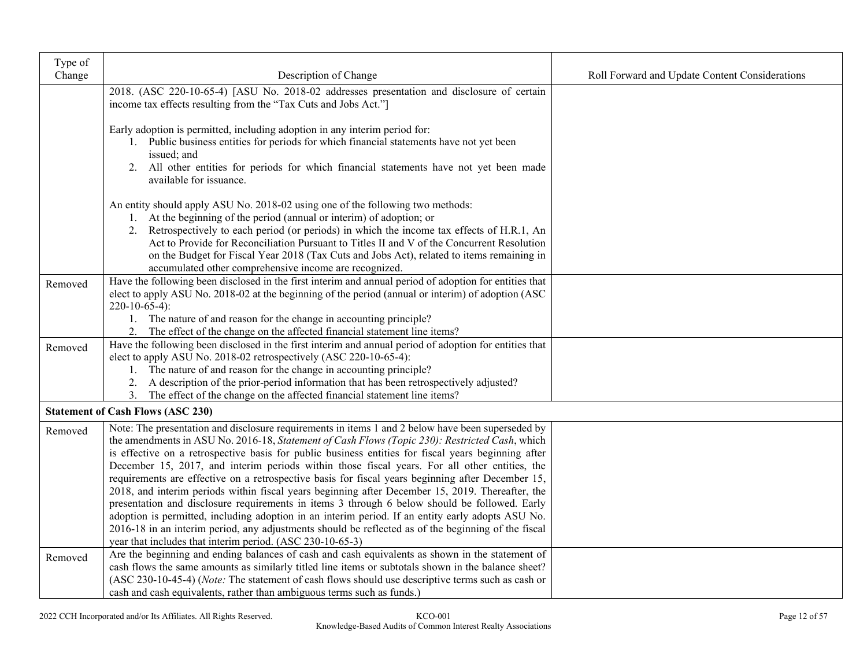| Type of |                                                                                                                                                                                                                                                                                                                                                                                                                                                                                                                                                                                                                                                                                                                                                                                                                                                                                                                                                                                                |                                                |
|---------|------------------------------------------------------------------------------------------------------------------------------------------------------------------------------------------------------------------------------------------------------------------------------------------------------------------------------------------------------------------------------------------------------------------------------------------------------------------------------------------------------------------------------------------------------------------------------------------------------------------------------------------------------------------------------------------------------------------------------------------------------------------------------------------------------------------------------------------------------------------------------------------------------------------------------------------------------------------------------------------------|------------------------------------------------|
| Change  | Description of Change                                                                                                                                                                                                                                                                                                                                                                                                                                                                                                                                                                                                                                                                                                                                                                                                                                                                                                                                                                          | Roll Forward and Update Content Considerations |
|         | 2018. (ASC 220-10-65-4) [ASU No. 2018-02 addresses presentation and disclosure of certain<br>income tax effects resulting from the "Tax Cuts and Jobs Act."]                                                                                                                                                                                                                                                                                                                                                                                                                                                                                                                                                                                                                                                                                                                                                                                                                                   |                                                |
|         | Early adoption is permitted, including adoption in any interim period for:<br>1. Public business entities for periods for which financial statements have not yet been<br>issued; and<br>2. All other entities for periods for which financial statements have not yet been made<br>available for issuance.                                                                                                                                                                                                                                                                                                                                                                                                                                                                                                                                                                                                                                                                                    |                                                |
|         | An entity should apply ASU No. 2018-02 using one of the following two methods:<br>1. At the beginning of the period (annual or interim) of adoption; or<br>2. Retrospectively to each period (or periods) in which the income tax effects of H.R.1, An<br>Act to Provide for Reconciliation Pursuant to Titles II and V of the Concurrent Resolution<br>on the Budget for Fiscal Year 2018 (Tax Cuts and Jobs Act), related to items remaining in<br>accumulated other comprehensive income are recognized.                                                                                                                                                                                                                                                                                                                                                                                                                                                                                    |                                                |
| Removed | Have the following been disclosed in the first interim and annual period of adoption for entities that<br>elect to apply ASU No. 2018-02 at the beginning of the period (annual or interim) of adoption (ASC<br>$220-10-65-4$ :<br>1. The nature of and reason for the change in accounting principle?<br>2. The effect of the change on the affected financial statement line items?                                                                                                                                                                                                                                                                                                                                                                                                                                                                                                                                                                                                          |                                                |
| Removed | Have the following been disclosed in the first interim and annual period of adoption for entities that<br>elect to apply ASU No. 2018-02 retrospectively (ASC 220-10-65-4):<br>1. The nature of and reason for the change in accounting principle?<br>2. A description of the prior-period information that has been retrospectively adjusted?<br>The effect of the change on the affected financial statement line items?<br>3.                                                                                                                                                                                                                                                                                                                                                                                                                                                                                                                                                               |                                                |
|         | <b>Statement of Cash Flows (ASC 230)</b>                                                                                                                                                                                                                                                                                                                                                                                                                                                                                                                                                                                                                                                                                                                                                                                                                                                                                                                                                       |                                                |
| Removed | Note: The presentation and disclosure requirements in items 1 and 2 below have been superseded by<br>the amendments in ASU No. 2016-18, Statement of Cash Flows (Topic 230): Restricted Cash, which<br>is effective on a retrospective basis for public business entities for fiscal years beginning after<br>December 15, 2017, and interim periods within those fiscal years. For all other entities, the<br>requirements are effective on a retrospective basis for fiscal years beginning after December 15,<br>2018, and interim periods within fiscal years beginning after December 15, 2019. Thereafter, the<br>presentation and disclosure requirements in items 3 through 6 below should be followed. Early<br>adoption is permitted, including adoption in an interim period. If an entity early adopts ASU No.<br>2016-18 in an interim period, any adjustments should be reflected as of the beginning of the fiscal<br>year that includes that interim period. (ASC 230-10-65-3) |                                                |
| Removed | Are the beginning and ending balances of cash and cash equivalents as shown in the statement of<br>cash flows the same amounts as similarly titled line items or subtotals shown in the balance sheet?<br>(ASC 230-10-45-4) (Note: The statement of cash flows should use descriptive terms such as cash or<br>cash and cash equivalents, rather than ambiguous terms such as funds.)                                                                                                                                                                                                                                                                                                                                                                                                                                                                                                                                                                                                          |                                                |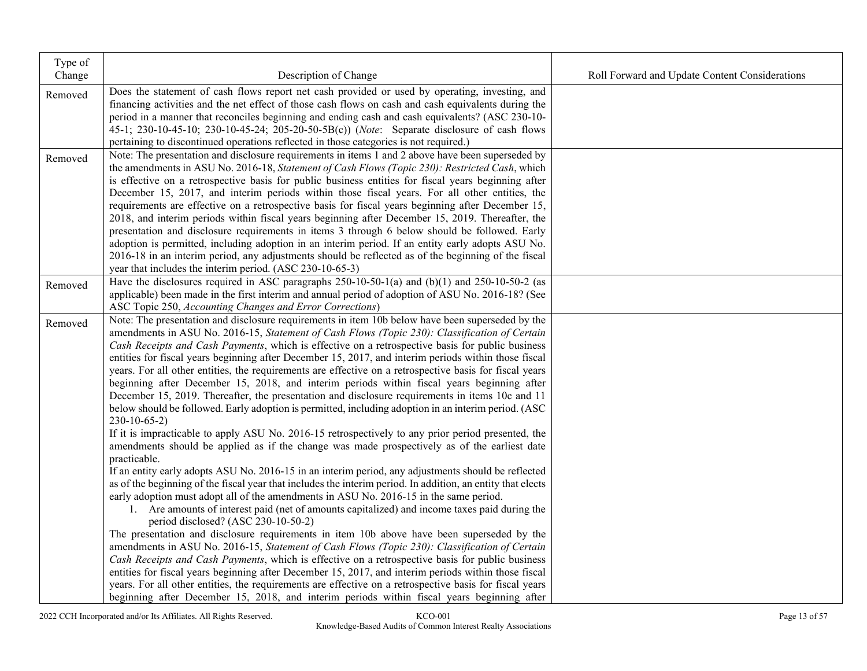| Type of<br>Change | Description of Change                                                                                                                                                                                                                                                                                                                                                                                                                                                                                                                                                                                                                                                                                                                                                                                                                                                                                                                                                                                                                                                                                                                                                                                                                                                                                                                                                                                                                                                                                                                                                                                                                                                                                                                                                                                                                                                                                                                                                                                                                                                                                                                                | Roll Forward and Update Content Considerations |
|-------------------|------------------------------------------------------------------------------------------------------------------------------------------------------------------------------------------------------------------------------------------------------------------------------------------------------------------------------------------------------------------------------------------------------------------------------------------------------------------------------------------------------------------------------------------------------------------------------------------------------------------------------------------------------------------------------------------------------------------------------------------------------------------------------------------------------------------------------------------------------------------------------------------------------------------------------------------------------------------------------------------------------------------------------------------------------------------------------------------------------------------------------------------------------------------------------------------------------------------------------------------------------------------------------------------------------------------------------------------------------------------------------------------------------------------------------------------------------------------------------------------------------------------------------------------------------------------------------------------------------------------------------------------------------------------------------------------------------------------------------------------------------------------------------------------------------------------------------------------------------------------------------------------------------------------------------------------------------------------------------------------------------------------------------------------------------------------------------------------------------------------------------------------------------|------------------------------------------------|
| Removed           | Does the statement of cash flows report net cash provided or used by operating, investing, and<br>financing activities and the net effect of those cash flows on cash and cash equivalents during the<br>period in a manner that reconciles beginning and ending cash and cash equivalents? (ASC 230-10-<br>45-1; 230-10-45-10; 230-10-45-24; 205-20-50-5B(c)) (Note: Separate disclosure of cash flows<br>pertaining to discontinued operations reflected in those categories is not required.)                                                                                                                                                                                                                                                                                                                                                                                                                                                                                                                                                                                                                                                                                                                                                                                                                                                                                                                                                                                                                                                                                                                                                                                                                                                                                                                                                                                                                                                                                                                                                                                                                                                     |                                                |
| Removed           | Note: The presentation and disclosure requirements in items 1 and 2 above have been superseded by<br>the amendments in ASU No. 2016-18, Statement of Cash Flows (Topic 230): Restricted Cash, which<br>is effective on a retrospective basis for public business entities for fiscal years beginning after<br>December 15, 2017, and interim periods within those fiscal years. For all other entities, the<br>requirements are effective on a retrospective basis for fiscal years beginning after December 15,<br>2018, and interim periods within fiscal years beginning after December 15, 2019. Thereafter, the<br>presentation and disclosure requirements in items 3 through 6 below should be followed. Early<br>adoption is permitted, including adoption in an interim period. If an entity early adopts ASU No.<br>2016-18 in an interim period, any adjustments should be reflected as of the beginning of the fiscal<br>year that includes the interim period. (ASC 230-10-65-3)                                                                                                                                                                                                                                                                                                                                                                                                                                                                                                                                                                                                                                                                                                                                                                                                                                                                                                                                                                                                                                                                                                                                                        |                                                |
| Removed           | Have the disclosures required in ASC paragraphs $250-10-50-1$ (a) and $(b)(1)$ and $250-10-50-2$ (as<br>applicable) been made in the first interim and annual period of adoption of ASU No. 2016-18? (See<br>ASC Topic 250, Accounting Changes and Error Corrections)                                                                                                                                                                                                                                                                                                                                                                                                                                                                                                                                                                                                                                                                                                                                                                                                                                                                                                                                                                                                                                                                                                                                                                                                                                                                                                                                                                                                                                                                                                                                                                                                                                                                                                                                                                                                                                                                                |                                                |
| Removed           | Note: The presentation and disclosure requirements in item 10b below have been superseded by the<br>amendments in ASU No. 2016-15, Statement of Cash Flows (Topic 230): Classification of Certain<br>Cash Receipts and Cash Payments, which is effective on a retrospective basis for public business<br>entities for fiscal years beginning after December 15, 2017, and interim periods within those fiscal<br>years. For all other entities, the requirements are effective on a retrospective basis for fiscal years<br>beginning after December 15, 2018, and interim periods within fiscal years beginning after<br>December 15, 2019. Thereafter, the presentation and disclosure requirements in items 10c and 11<br>below should be followed. Early adoption is permitted, including adoption in an interim period. (ASC<br>$230-10-65-2$<br>If it is impracticable to apply ASU No. 2016-15 retrospectively to any prior period presented, the<br>amendments should be applied as if the change was made prospectively as of the earliest date<br>practicable.<br>If an entity early adopts ASU No. 2016-15 in an interim period, any adjustments should be reflected<br>as of the beginning of the fiscal year that includes the interim period. In addition, an entity that elects<br>early adoption must adopt all of the amendments in ASU No. 2016-15 in the same period.<br>1. Are amounts of interest paid (net of amounts capitalized) and income taxes paid during the<br>period disclosed? (ASC 230-10-50-2)<br>The presentation and disclosure requirements in item 10b above have been superseded by the<br>amendments in ASU No. 2016-15, Statement of Cash Flows (Topic 230): Classification of Certain<br>Cash Receipts and Cash Payments, which is effective on a retrospective basis for public business<br>entities for fiscal years beginning after December 15, 2017, and interim periods within those fiscal<br>years. For all other entities, the requirements are effective on a retrospective basis for fiscal years<br>beginning after December 15, 2018, and interim periods within fiscal years beginning after |                                                |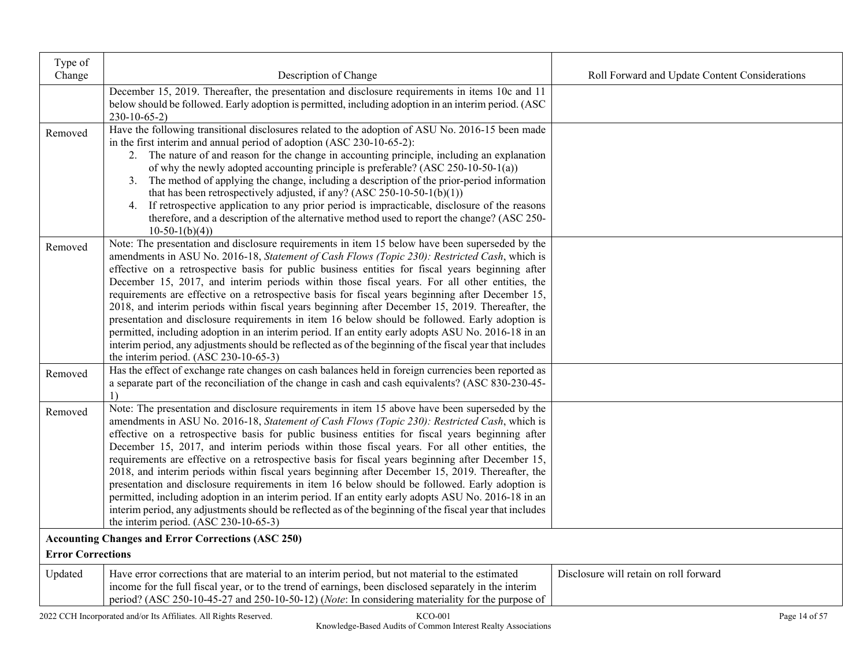| Type of                  |                                                                                                                                                                                                                                                                                                                                                                                                                                                                                                                                                                                                                                                                                                                                                                                                                                                                                                                                                                                 |                                                |
|--------------------------|---------------------------------------------------------------------------------------------------------------------------------------------------------------------------------------------------------------------------------------------------------------------------------------------------------------------------------------------------------------------------------------------------------------------------------------------------------------------------------------------------------------------------------------------------------------------------------------------------------------------------------------------------------------------------------------------------------------------------------------------------------------------------------------------------------------------------------------------------------------------------------------------------------------------------------------------------------------------------------|------------------------------------------------|
| Change                   | Description of Change                                                                                                                                                                                                                                                                                                                                                                                                                                                                                                                                                                                                                                                                                                                                                                                                                                                                                                                                                           | Roll Forward and Update Content Considerations |
|                          | December 15, 2019. Thereafter, the presentation and disclosure requirements in items 10c and 11<br>below should be followed. Early adoption is permitted, including adoption in an interim period. (ASC<br>$230-10-65-2$                                                                                                                                                                                                                                                                                                                                                                                                                                                                                                                                                                                                                                                                                                                                                        |                                                |
| Removed                  | Have the following transitional disclosures related to the adoption of ASU No. 2016-15 been made<br>in the first interim and annual period of adoption (ASC 230-10-65-2):<br>2. The nature of and reason for the change in accounting principle, including an explanation<br>of why the newly adopted accounting principle is preferable? (ASC $250-10-50-1(a)$ )<br>3. The method of applying the change, including a description of the prior-period information                                                                                                                                                                                                                                                                                                                                                                                                                                                                                                              |                                                |
|                          | that has been retrospectively adjusted, if any? (ASC 250-10-50-1(b)(1))<br>4. If retrospective application to any prior period is impracticable, disclosure of the reasons<br>therefore, and a description of the alternative method used to report the change? (ASC 250-<br>$10-50-1(b)(4)$                                                                                                                                                                                                                                                                                                                                                                                                                                                                                                                                                                                                                                                                                    |                                                |
| Removed                  | Note: The presentation and disclosure requirements in item 15 below have been superseded by the<br>amendments in ASU No. 2016-18, Statement of Cash Flows (Topic 230): Restricted Cash, which is<br>effective on a retrospective basis for public business entities for fiscal years beginning after<br>December 15, 2017, and interim periods within those fiscal years. For all other entities, the<br>requirements are effective on a retrospective basis for fiscal years beginning after December 15,<br>2018, and interim periods within fiscal years beginning after December 15, 2019. Thereafter, the<br>presentation and disclosure requirements in item 16 below should be followed. Early adoption is<br>permitted, including adoption in an interim period. If an entity early adopts ASU No. 2016-18 in an<br>interim period, any adjustments should be reflected as of the beginning of the fiscal year that includes<br>the interim period. (ASC 230-10-65-3)   |                                                |
| Removed                  | Has the effect of exchange rate changes on cash balances held in foreign currencies been reported as<br>a separate part of the reconciliation of the change in cash and cash equivalents? (ASC 830-230-45-<br>1)                                                                                                                                                                                                                                                                                                                                                                                                                                                                                                                                                                                                                                                                                                                                                                |                                                |
| Removed                  | Note: The presentation and disclosure requirements in item 15 above have been superseded by the<br>amendments in ASU No. 2016-18, Statement of Cash Flows (Topic 230): Restricted Cash, which is<br>effective on a retrospective basis for public business entities for fiscal years beginning after<br>December 15, 2017, and interim periods within those fiscal years. For all other entities, the<br>requirements are effective on a retrospective basis for fiscal years beginning after December 15,<br>2018, and interim periods within fiscal years beginning after December 15, 2019. Thereafter, the<br>presentation and disclosure requirements in item 16 below should be followed. Early adoption is<br>permitted, including adoption in an interim period. If an entity early adopts ASU No. 2016-18 in an<br>interim period, any adjustments should be reflected as of the beginning of the fiscal year that includes<br>the interim period. $(ASC 230-10-65-3)$ |                                                |
| <b>Error Corrections</b> | <b>Accounting Changes and Error Corrections (ASC 250)</b>                                                                                                                                                                                                                                                                                                                                                                                                                                                                                                                                                                                                                                                                                                                                                                                                                                                                                                                       |                                                |
| Updated                  | Have error corrections that are material to an interim period, but not material to the estimated<br>income for the full fiscal year, or to the trend of earnings, been disclosed separately in the interim<br>period? (ASC 250-10-45-27 and 250-10-50-12) (Note: In considering materiality for the purpose of                                                                                                                                                                                                                                                                                                                                                                                                                                                                                                                                                                                                                                                                  | Disclosure will retain on roll forward         |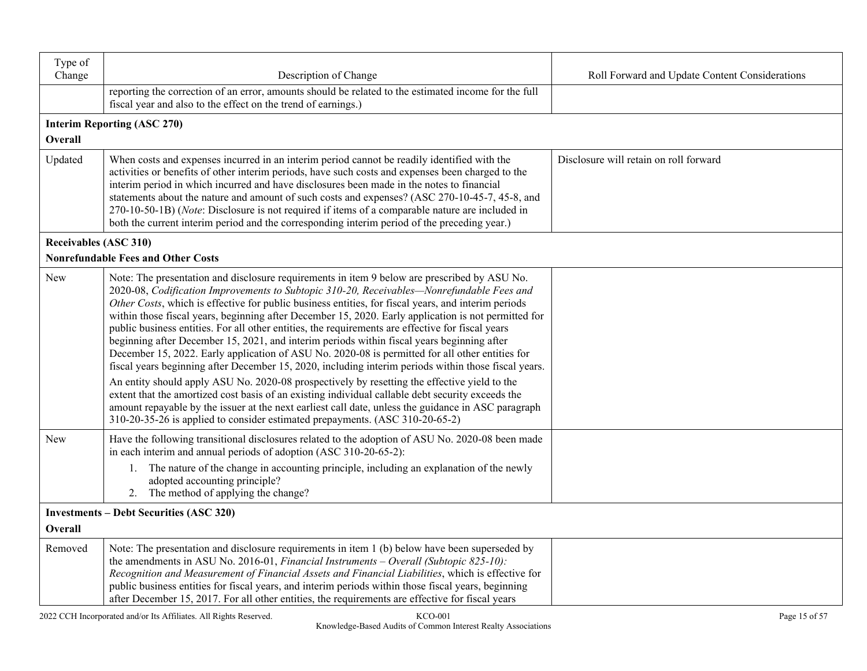| Type of<br>Change            | Description of Change                                                                                                                                                                                                                                                                                                                                                                                                                                                                                                                                                                                                                                                                                                                                                                                                                                                                                                                                                                                                                                                                                                                                                                                              | Roll Forward and Update Content Considerations |
|------------------------------|--------------------------------------------------------------------------------------------------------------------------------------------------------------------------------------------------------------------------------------------------------------------------------------------------------------------------------------------------------------------------------------------------------------------------------------------------------------------------------------------------------------------------------------------------------------------------------------------------------------------------------------------------------------------------------------------------------------------------------------------------------------------------------------------------------------------------------------------------------------------------------------------------------------------------------------------------------------------------------------------------------------------------------------------------------------------------------------------------------------------------------------------------------------------------------------------------------------------|------------------------------------------------|
|                              | reporting the correction of an error, amounts should be related to the estimated income for the full<br>fiscal year and also to the effect on the trend of earnings.)                                                                                                                                                                                                                                                                                                                                                                                                                                                                                                                                                                                                                                                                                                                                                                                                                                                                                                                                                                                                                                              |                                                |
|                              | <b>Interim Reporting (ASC 270)</b>                                                                                                                                                                                                                                                                                                                                                                                                                                                                                                                                                                                                                                                                                                                                                                                                                                                                                                                                                                                                                                                                                                                                                                                 |                                                |
| Overall                      |                                                                                                                                                                                                                                                                                                                                                                                                                                                                                                                                                                                                                                                                                                                                                                                                                                                                                                                                                                                                                                                                                                                                                                                                                    |                                                |
| Updated                      | When costs and expenses incurred in an interim period cannot be readily identified with the<br>activities or benefits of other interim periods, have such costs and expenses been charged to the<br>interim period in which incurred and have disclosures been made in the notes to financial<br>statements about the nature and amount of such costs and expenses? (ASC 270-10-45-7, 45-8, and<br>270-10-50-1B) (Note: Disclosure is not required if items of a comparable nature are included in<br>both the current interim period and the corresponding interim period of the preceding year.)                                                                                                                                                                                                                                                                                                                                                                                                                                                                                                                                                                                                                 | Disclosure will retain on roll forward         |
| <b>Receivables (ASC 310)</b> |                                                                                                                                                                                                                                                                                                                                                                                                                                                                                                                                                                                                                                                                                                                                                                                                                                                                                                                                                                                                                                                                                                                                                                                                                    |                                                |
|                              | <b>Nonrefundable Fees and Other Costs</b>                                                                                                                                                                                                                                                                                                                                                                                                                                                                                                                                                                                                                                                                                                                                                                                                                                                                                                                                                                                                                                                                                                                                                                          |                                                |
| New                          | Note: The presentation and disclosure requirements in item 9 below are prescribed by ASU No.<br>2020-08, Codification Improvements to Subtopic 310-20, Receivables-Nonrefundable Fees and<br>Other Costs, which is effective for public business entities, for fiscal years, and interim periods<br>within those fiscal years, beginning after December 15, 2020. Early application is not permitted for<br>public business entities. For all other entities, the requirements are effective for fiscal years<br>beginning after December 15, 2021, and interim periods within fiscal years beginning after<br>December 15, 2022. Early application of ASU No. 2020-08 is permitted for all other entities for<br>fiscal years beginning after December 15, 2020, including interim periods within those fiscal years.<br>An entity should apply ASU No. 2020-08 prospectively by resetting the effective yield to the<br>extent that the amortized cost basis of an existing individual callable debt security exceeds the<br>amount repayable by the issuer at the next earliest call date, unless the guidance in ASC paragraph<br>310-20-35-26 is applied to consider estimated prepayments. (ASC 310-20-65-2) |                                                |
| New                          | Have the following transitional disclosures related to the adoption of ASU No. 2020-08 been made<br>in each interim and annual periods of adoption (ASC 310-20-65-2):<br>1. The nature of the change in accounting principle, including an explanation of the newly<br>adopted accounting principle?<br>2. The method of applying the change?                                                                                                                                                                                                                                                                                                                                                                                                                                                                                                                                                                                                                                                                                                                                                                                                                                                                      |                                                |
|                              | <b>Investments – Debt Securities (ASC 320)</b>                                                                                                                                                                                                                                                                                                                                                                                                                                                                                                                                                                                                                                                                                                                                                                                                                                                                                                                                                                                                                                                                                                                                                                     |                                                |
| <b>Overall</b>               |                                                                                                                                                                                                                                                                                                                                                                                                                                                                                                                                                                                                                                                                                                                                                                                                                                                                                                                                                                                                                                                                                                                                                                                                                    |                                                |
| Removed                      | Note: The presentation and disclosure requirements in item 1 (b) below have been superseded by<br>the amendments in ASU No. 2016-01, Financial Instruments - Overall (Subtopic 825-10):<br>Recognition and Measurement of Financial Assets and Financial Liabilities, which is effective for<br>public business entities for fiscal years, and interim periods within those fiscal years, beginning<br>after December 15, 2017. For all other entities, the requirements are effective for fiscal years                                                                                                                                                                                                                                                                                                                                                                                                                                                                                                                                                                                                                                                                                                            |                                                |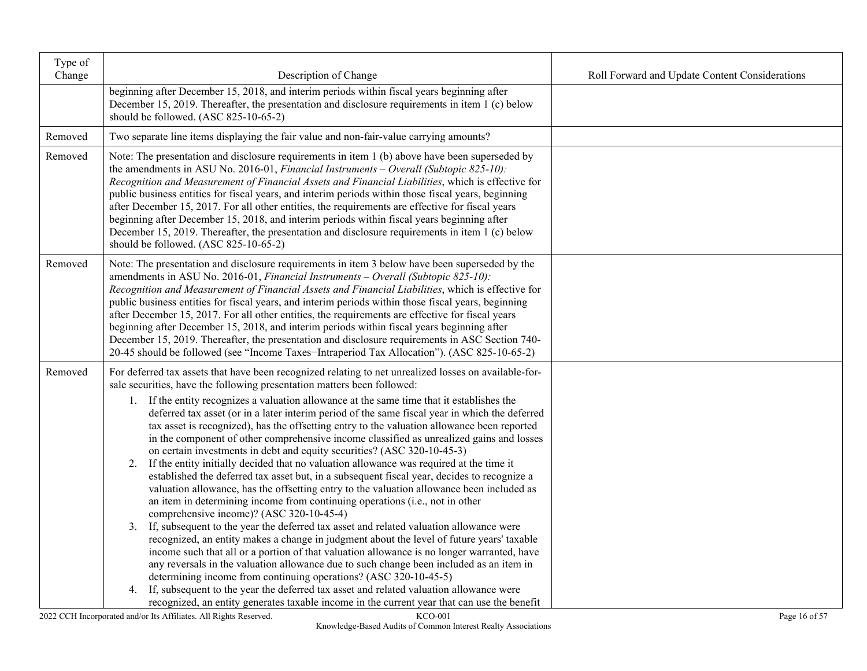| Type of<br>Change | Description of Change                                                                                                                                                                                                                                                                                                                                                                                                                                                                                                                                                                                                                                                                                                                                                                                                                                                                                                                                                                                                                                                                                                                                                                                                                                                                                                                           | Roll Forward and Update Content Considerations |
|-------------------|-------------------------------------------------------------------------------------------------------------------------------------------------------------------------------------------------------------------------------------------------------------------------------------------------------------------------------------------------------------------------------------------------------------------------------------------------------------------------------------------------------------------------------------------------------------------------------------------------------------------------------------------------------------------------------------------------------------------------------------------------------------------------------------------------------------------------------------------------------------------------------------------------------------------------------------------------------------------------------------------------------------------------------------------------------------------------------------------------------------------------------------------------------------------------------------------------------------------------------------------------------------------------------------------------------------------------------------------------|------------------------------------------------|
|                   | beginning after December 15, 2018, and interim periods within fiscal years beginning after<br>December 15, 2019. Thereafter, the presentation and disclosure requirements in item 1 (c) below<br>should be followed. (ASC 825-10-65-2)                                                                                                                                                                                                                                                                                                                                                                                                                                                                                                                                                                                                                                                                                                                                                                                                                                                                                                                                                                                                                                                                                                          |                                                |
| Removed           | Two separate line items displaying the fair value and non-fair-value carrying amounts?                                                                                                                                                                                                                                                                                                                                                                                                                                                                                                                                                                                                                                                                                                                                                                                                                                                                                                                                                                                                                                                                                                                                                                                                                                                          |                                                |
| Removed           | Note: The presentation and disclosure requirements in item 1 (b) above have been superseded by<br>the amendments in ASU No. 2016-01, Financial Instruments – Overall (Subtopic 825-10):<br>Recognition and Measurement of Financial Assets and Financial Liabilities, which is effective for<br>public business entities for fiscal years, and interim periods within those fiscal years, beginning<br>after December 15, 2017. For all other entities, the requirements are effective for fiscal years<br>beginning after December 15, 2018, and interim periods within fiscal years beginning after<br>December 15, 2019. Thereafter, the presentation and disclosure requirements in item 1 (c) below<br>should be followed. (ASC 825-10-65-2)                                                                                                                                                                                                                                                                                                                                                                                                                                                                                                                                                                                               |                                                |
| Removed           | Note: The presentation and disclosure requirements in item 3 below have been superseded by the<br>amendments in ASU No. 2016-01, Financial Instruments - Overall (Subtopic 825-10):<br>Recognition and Measurement of Financial Assets and Financial Liabilities, which is effective for<br>public business entities for fiscal years, and interim periods within those fiscal years, beginning<br>after December 15, 2017. For all other entities, the requirements are effective for fiscal years<br>beginning after December 15, 2018, and interim periods within fiscal years beginning after<br>December 15, 2019. Thereafter, the presentation and disclosure requirements in ASC Section 740-<br>20-45 should be followed (see "Income Taxes-Intraperiod Tax Allocation"). (ASC 825-10-65-2)                                                                                                                                                                                                                                                                                                                                                                                                                                                                                                                                             |                                                |
| Removed           | For deferred tax assets that have been recognized relating to net unrealized losses on available-for-<br>sale securities, have the following presentation matters been followed:                                                                                                                                                                                                                                                                                                                                                                                                                                                                                                                                                                                                                                                                                                                                                                                                                                                                                                                                                                                                                                                                                                                                                                |                                                |
|                   | 1. If the entity recognizes a valuation allowance at the same time that it establishes the<br>deferred tax asset (or in a later interim period of the same fiscal year in which the deferred<br>tax asset is recognized), has the offsetting entry to the valuation allowance been reported<br>in the component of other comprehensive income classified as unrealized gains and losses<br>on certain investments in debt and equity securities? (ASC 320-10-45-3)<br>2. If the entity initially decided that no valuation allowance was required at the time it<br>established the deferred tax asset but, in a subsequent fiscal year, decides to recognize a<br>valuation allowance, has the offsetting entry to the valuation allowance been included as<br>an item in determining income from continuing operations (i.e., not in other<br>comprehensive income)? (ASC 320-10-45-4)<br>3. If, subsequent to the year the deferred tax asset and related valuation allowance were<br>recognized, an entity makes a change in judgment about the level of future years' taxable<br>income such that all or a portion of that valuation allowance is no longer warranted, have<br>any reversals in the valuation allowance due to such change been included as an item in<br>determining income from continuing operations? (ASC 320-10-45-5) |                                                |
|                   | If, subsequent to the year the deferred tax asset and related valuation allowance were<br>4.<br>recognized, an entity generates taxable income in the current year that can use the benefit                                                                                                                                                                                                                                                                                                                                                                                                                                                                                                                                                                                                                                                                                                                                                                                                                                                                                                                                                                                                                                                                                                                                                     |                                                |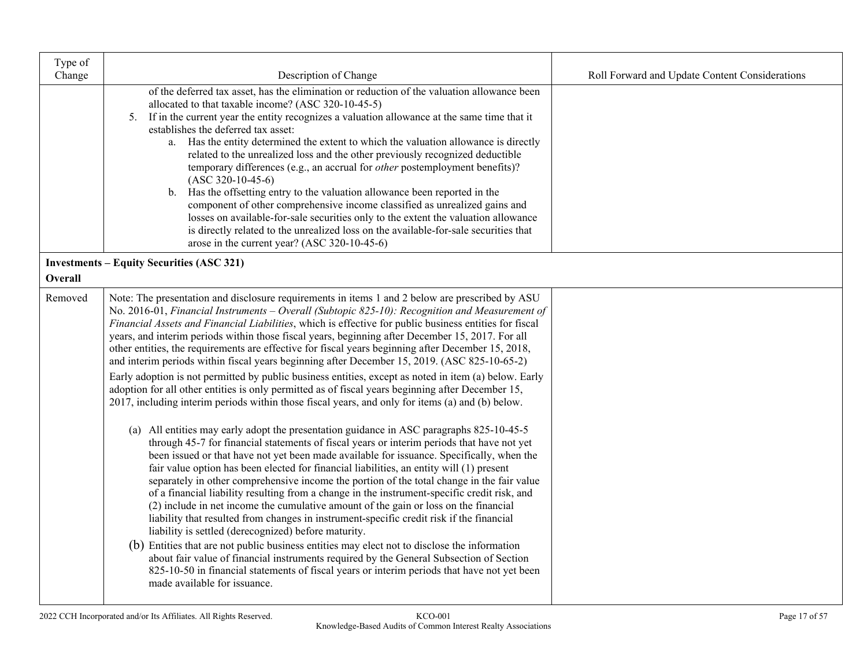| Type of |                                                                                                                                                                                                            |                                                |
|---------|------------------------------------------------------------------------------------------------------------------------------------------------------------------------------------------------------------|------------------------------------------------|
| Change  | Description of Change<br>of the deferred tax asset, has the elimination or reduction of the valuation allowance been                                                                                       | Roll Forward and Update Content Considerations |
|         | allocated to that taxable income? (ASC 320-10-45-5)                                                                                                                                                        |                                                |
|         | 5. If in the current year the entity recognizes a valuation allowance at the same time that it                                                                                                             |                                                |
|         | establishes the deferred tax asset:                                                                                                                                                                        |                                                |
|         | a. Has the entity determined the extent to which the valuation allowance is directly<br>related to the unrealized loss and the other previously recognized deductible                                      |                                                |
|         | temporary differences (e.g., an accrual for <i>other</i> postemployment benefits)?                                                                                                                         |                                                |
|         | $(ASC 320-10-45-6)$                                                                                                                                                                                        |                                                |
|         | b. Has the offsetting entry to the valuation allowance been reported in the<br>component of other comprehensive income classified as unrealized gains and                                                  |                                                |
|         | losses on available-for-sale securities only to the extent the valuation allowance                                                                                                                         |                                                |
|         | is directly related to the unrealized loss on the available-for-sale securities that<br>arose in the current year? (ASC 320-10-45-6)                                                                       |                                                |
|         | <b>Investments - Equity Securities (ASC 321)</b>                                                                                                                                                           |                                                |
| Overall |                                                                                                                                                                                                            |                                                |
| Removed | Note: The presentation and disclosure requirements in items 1 and 2 below are prescribed by ASU                                                                                                            |                                                |
|         | No. 2016-01, Financial Instruments - Overall (Subtopic 825-10): Recognition and Measurement of<br>Financial Assets and Financial Liabilities, which is effective for public business entities for fiscal   |                                                |
|         | years, and interim periods within those fiscal years, beginning after December 15, 2017. For all                                                                                                           |                                                |
|         | other entities, the requirements are effective for fiscal years beginning after December 15, 2018,                                                                                                         |                                                |
|         | and interim periods within fiscal years beginning after December 15, 2019. (ASC 825-10-65-2)                                                                                                               |                                                |
|         | Early adoption is not permitted by public business entities, except as noted in item (a) below. Early<br>adoption for all other entities is only permitted as of fiscal years beginning after December 15, |                                                |
|         | 2017, including interim periods within those fiscal years, and only for items (a) and (b) below.                                                                                                           |                                                |
|         |                                                                                                                                                                                                            |                                                |
|         | (a) All entities may early adopt the presentation guidance in ASC paragraphs 825-10-45-5<br>through 45-7 for financial statements of fiscal years or interim periods that have not yet                     |                                                |
|         | been issued or that have not yet been made available for issuance. Specifically, when the                                                                                                                  |                                                |
|         | fair value option has been elected for financial liabilities, an entity will (1) present                                                                                                                   |                                                |
|         | separately in other comprehensive income the portion of the total change in the fair value<br>of a financial liability resulting from a change in the instrument-specific credit risk, and                 |                                                |
|         | (2) include in net income the cumulative amount of the gain or loss on the financial                                                                                                                       |                                                |
|         | liability that resulted from changes in instrument-specific credit risk if the financial<br>liability is settled (derecognized) before maturity.                                                           |                                                |
|         | (b) Entities that are not public business entities may elect not to disclose the information                                                                                                               |                                                |
|         | about fair value of financial instruments required by the General Subsection of Section<br>825-10-50 in financial statements of fiscal years or interim periods that have not yet been                     |                                                |
|         | made available for issuance.                                                                                                                                                                               |                                                |
|         |                                                                                                                                                                                                            |                                                |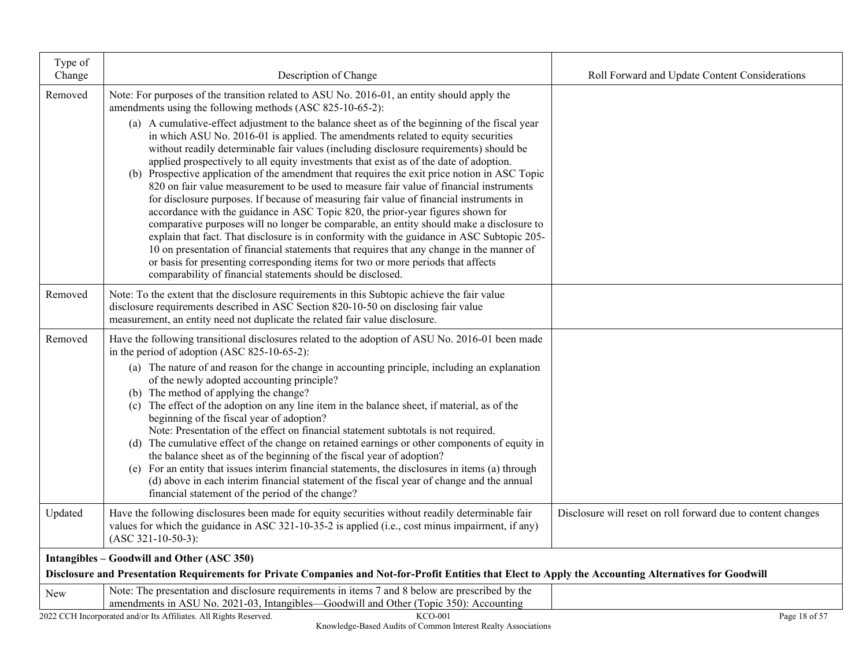| Type of<br>Change | Description of Change                                                                                                                                                                                                                                                                                                                                                                                                                                                                                                                                                                                                                                                                                                                                                                                                                                                                                                                                                                                                                                                                                                                                                                     | Roll Forward and Update Content Considerations               |
|-------------------|-------------------------------------------------------------------------------------------------------------------------------------------------------------------------------------------------------------------------------------------------------------------------------------------------------------------------------------------------------------------------------------------------------------------------------------------------------------------------------------------------------------------------------------------------------------------------------------------------------------------------------------------------------------------------------------------------------------------------------------------------------------------------------------------------------------------------------------------------------------------------------------------------------------------------------------------------------------------------------------------------------------------------------------------------------------------------------------------------------------------------------------------------------------------------------------------|--------------------------------------------------------------|
| Removed           | Note: For purposes of the transition related to ASU No. 2016-01, an entity should apply the<br>amendments using the following methods (ASC 825-10-65-2):                                                                                                                                                                                                                                                                                                                                                                                                                                                                                                                                                                                                                                                                                                                                                                                                                                                                                                                                                                                                                                  |                                                              |
|                   | (a) A cumulative-effect adjustment to the balance sheet as of the beginning of the fiscal year<br>in which ASU No. 2016-01 is applied. The amendments related to equity securities<br>without readily determinable fair values (including disclosure requirements) should be<br>applied prospectively to all equity investments that exist as of the date of adoption.<br>(b) Prospective application of the amendment that requires the exit price notion in ASC Topic<br>820 on fair value measurement to be used to measure fair value of financial instruments<br>for disclosure purposes. If because of measuring fair value of financial instruments in<br>accordance with the guidance in ASC Topic 820, the prior-year figures shown for<br>comparative purposes will no longer be comparable, an entity should make a disclosure to<br>explain that fact. That disclosure is in conformity with the guidance in ASC Subtopic 205-<br>10 on presentation of financial statements that requires that any change in the manner of<br>or basis for presenting corresponding items for two or more periods that affects<br>comparability of financial statements should be disclosed. |                                                              |
| Removed           | Note: To the extent that the disclosure requirements in this Subtopic achieve the fair value<br>disclosure requirements described in ASC Section 820-10-50 on disclosing fair value<br>measurement, an entity need not duplicate the related fair value disclosure.                                                                                                                                                                                                                                                                                                                                                                                                                                                                                                                                                                                                                                                                                                                                                                                                                                                                                                                       |                                                              |
| Removed           | Have the following transitional disclosures related to the adoption of ASU No. 2016-01 been made<br>in the period of adoption (ASC 825-10-65-2):                                                                                                                                                                                                                                                                                                                                                                                                                                                                                                                                                                                                                                                                                                                                                                                                                                                                                                                                                                                                                                          |                                                              |
|                   | (a) The nature of and reason for the change in accounting principle, including an explanation<br>of the newly adopted accounting principle?<br>(b) The method of applying the change?<br>(c) The effect of the adoption on any line item in the balance sheet, if material, as of the<br>beginning of the fiscal year of adoption?<br>Note: Presentation of the effect on financial statement subtotals is not required.<br>(d) The cumulative effect of the change on retained earnings or other components of equity in<br>the balance sheet as of the beginning of the fiscal year of adoption?<br>(e) For an entity that issues interim financial statements, the disclosures in items (a) through<br>(d) above in each interim financial statement of the fiscal year of change and the annual<br>financial statement of the period of the change?                                                                                                                                                                                                                                                                                                                                   |                                                              |
| Updated           | Have the following disclosures been made for equity securities without readily determinable fair<br>values for which the guidance in ASC 321-10-35-2 is applied (i.e., cost minus impairment, if any)<br>$(ASC 321-10-50-3):$                                                                                                                                                                                                                                                                                                                                                                                                                                                                                                                                                                                                                                                                                                                                                                                                                                                                                                                                                             | Disclosure will reset on roll forward due to content changes |
|                   | Intangibles - Goodwill and Other (ASC 350)<br>Disclosure and Presentation Requirements for Private Companies and Not-for-Profit Entities that Elect to Apply the Accounting Alternatives for Goodwill                                                                                                                                                                                                                                                                                                                                                                                                                                                                                                                                                                                                                                                                                                                                                                                                                                                                                                                                                                                     |                                                              |
| <b>New</b>        | Note: The presentation and disclosure requirements in items 7 and 8 below are prescribed by the                                                                                                                                                                                                                                                                                                                                                                                                                                                                                                                                                                                                                                                                                                                                                                                                                                                                                                                                                                                                                                                                                           |                                                              |
|                   | amendments in ASU No. 2021-03, Intangibles—Goodwill and Other (Topic 350): Accounting<br>2022 CCH Incorporated and/or Its Affiliates. All Rights Reserved.<br><b>KCO-001</b>                                                                                                                                                                                                                                                                                                                                                                                                                                                                                                                                                                                                                                                                                                                                                                                                                                                                                                                                                                                                              | Page 18 of 57                                                |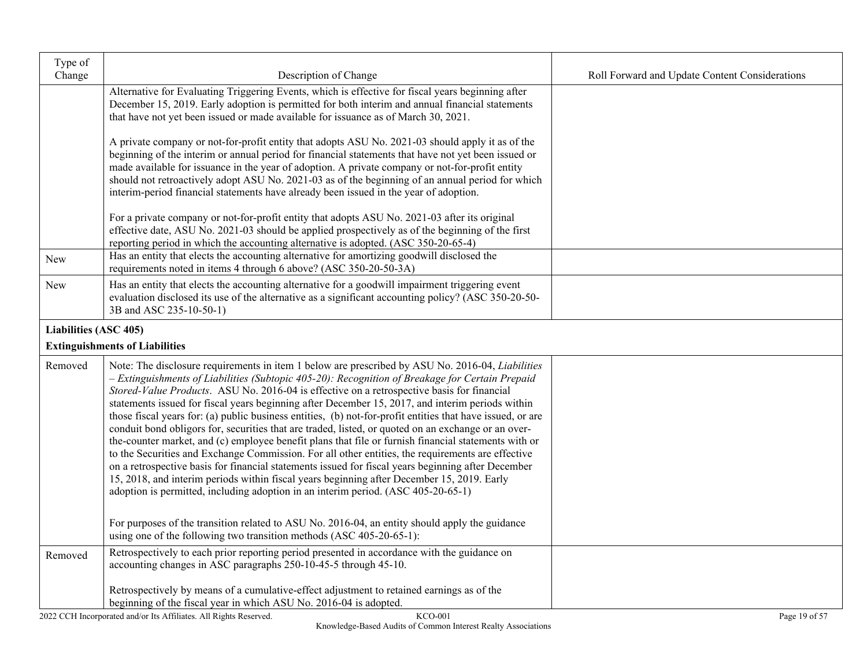| Type of<br>Change            | Description of Change                                                                                                                                                                                                                                                                                                                                                                                                                                                                                                                                                                                                                                                                                                                                                                                                                                                                                                                                                                                                                                                                                                            | Roll Forward and Update Content Considerations |
|------------------------------|----------------------------------------------------------------------------------------------------------------------------------------------------------------------------------------------------------------------------------------------------------------------------------------------------------------------------------------------------------------------------------------------------------------------------------------------------------------------------------------------------------------------------------------------------------------------------------------------------------------------------------------------------------------------------------------------------------------------------------------------------------------------------------------------------------------------------------------------------------------------------------------------------------------------------------------------------------------------------------------------------------------------------------------------------------------------------------------------------------------------------------|------------------------------------------------|
|                              | Alternative for Evaluating Triggering Events, which is effective for fiscal years beginning after<br>December 15, 2019. Early adoption is permitted for both interim and annual financial statements<br>that have not yet been issued or made available for issuance as of March 30, 2021.                                                                                                                                                                                                                                                                                                                                                                                                                                                                                                                                                                                                                                                                                                                                                                                                                                       |                                                |
|                              | A private company or not-for-profit entity that adopts ASU No. 2021-03 should apply it as of the<br>beginning of the interim or annual period for financial statements that have not yet been issued or<br>made available for issuance in the year of adoption. A private company or not-for-profit entity<br>should not retroactively adopt ASU No. 2021-03 as of the beginning of an annual period for which<br>interim-period financial statements have already been issued in the year of adoption.                                                                                                                                                                                                                                                                                                                                                                                                                                                                                                                                                                                                                          |                                                |
|                              | For a private company or not-for-profit entity that adopts ASU No. 2021-03 after its original<br>effective date, ASU No. 2021-03 should be applied prospectively as of the beginning of the first<br>reporting period in which the accounting alternative is adopted. (ASC 350-20-65-4)                                                                                                                                                                                                                                                                                                                                                                                                                                                                                                                                                                                                                                                                                                                                                                                                                                          |                                                |
| <b>New</b>                   | Has an entity that elects the accounting alternative for amortizing goodwill disclosed the<br>requirements noted in items 4 through 6 above? (ASC 350-20-50-3A)                                                                                                                                                                                                                                                                                                                                                                                                                                                                                                                                                                                                                                                                                                                                                                                                                                                                                                                                                                  |                                                |
| New                          | Has an entity that elects the accounting alternative for a goodwill impairment triggering event<br>evaluation disclosed its use of the alternative as a significant accounting policy? (ASC 350-20-50-<br>3B and ASC 235-10-50-1)                                                                                                                                                                                                                                                                                                                                                                                                                                                                                                                                                                                                                                                                                                                                                                                                                                                                                                |                                                |
| <b>Liabilities (ASC 405)</b> |                                                                                                                                                                                                                                                                                                                                                                                                                                                                                                                                                                                                                                                                                                                                                                                                                                                                                                                                                                                                                                                                                                                                  |                                                |
|                              | <b>Extinguishments of Liabilities</b>                                                                                                                                                                                                                                                                                                                                                                                                                                                                                                                                                                                                                                                                                                                                                                                                                                                                                                                                                                                                                                                                                            |                                                |
| Removed                      | Note: The disclosure requirements in item 1 below are prescribed by ASU No. 2016-04, Liabilities<br>- Extinguishments of Liabilities (Subtopic 405-20): Recognition of Breakage for Certain Prepaid<br>Stored-Value Products. ASU No. 2016-04 is effective on a retrospective basis for financial<br>statements issued for fiscal years beginning after December 15, 2017, and interim periods within<br>those fiscal years for: (a) public business entities, (b) not-for-profit entities that have issued, or are<br>conduit bond obligors for, securities that are traded, listed, or quoted on an exchange or an over-<br>the-counter market, and (c) employee benefit plans that file or furnish financial statements with or<br>to the Securities and Exchange Commission. For all other entities, the requirements are effective<br>on a retrospective basis for financial statements issued for fiscal years beginning after December<br>15, 2018, and interim periods within fiscal years beginning after December 15, 2019. Early<br>adoption is permitted, including adoption in an interim period. (ASC 405-20-65-1) |                                                |
|                              | For purposes of the transition related to ASU No. 2016-04, an entity should apply the guidance<br>using one of the following two transition methods (ASC 405-20-65-1):                                                                                                                                                                                                                                                                                                                                                                                                                                                                                                                                                                                                                                                                                                                                                                                                                                                                                                                                                           |                                                |
| Removed                      | Retrospectively to each prior reporting period presented in accordance with the guidance on<br>accounting changes in ASC paragraphs 250-10-45-5 through 45-10.                                                                                                                                                                                                                                                                                                                                                                                                                                                                                                                                                                                                                                                                                                                                                                                                                                                                                                                                                                   |                                                |
|                              | Retrospectively by means of a cumulative-effect adjustment to retained earnings as of the<br>beginning of the fiscal year in which ASU No. 2016-04 is adopted.                                                                                                                                                                                                                                                                                                                                                                                                                                                                                                                                                                                                                                                                                                                                                                                                                                                                                                                                                                   |                                                |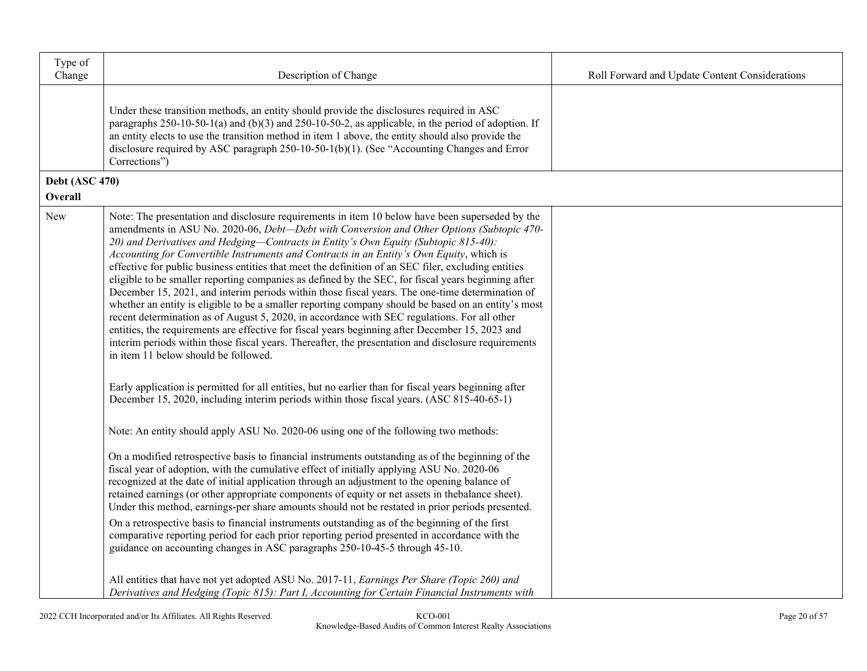| Type of<br>Change                | Description of Change                                                                                                                                                                                                                                                                                                                                                                                                                                                                                                                                                                                                                                                                                                                                                                                                                                                                                                                                                                                                                                                                                                                                    | Roll Forward and Update Content Considerations |
|----------------------------------|----------------------------------------------------------------------------------------------------------------------------------------------------------------------------------------------------------------------------------------------------------------------------------------------------------------------------------------------------------------------------------------------------------------------------------------------------------------------------------------------------------------------------------------------------------------------------------------------------------------------------------------------------------------------------------------------------------------------------------------------------------------------------------------------------------------------------------------------------------------------------------------------------------------------------------------------------------------------------------------------------------------------------------------------------------------------------------------------------------------------------------------------------------|------------------------------------------------|
|                                  | Under these transition methods, an entity should provide the disclosures required in ASC<br>paragraphs $250-10-50-1$ (a) and (b)(3) and $250-10-50-2$ , as applicable, in the period of adoption. If<br>an entity elects to use the transition method in item 1 above, the entity should also provide the<br>disclosure required by ASC paragraph 250-10-50-1(b)(1). (See "Accounting Changes and Error<br>Corrections")                                                                                                                                                                                                                                                                                                                                                                                                                                                                                                                                                                                                                                                                                                                                 |                                                |
| <b>Debt (ASC 470)</b><br>Overall |                                                                                                                                                                                                                                                                                                                                                                                                                                                                                                                                                                                                                                                                                                                                                                                                                                                                                                                                                                                                                                                                                                                                                          |                                                |
| New                              | Note: The presentation and disclosure requirements in item 10 below have been superseded by the<br>amendments in ASU No. 2020-06, Debt-Debt with Conversion and Other Options (Subtopic 470-<br>20) and Derivatives and Hedging-Contracts in Entity's Own Equity (Subtopic 815-40):<br>Accounting for Convertible Instruments and Contracts in an Entity's Own Equity, which is<br>effective for public business entities that meet the definition of an SEC filer, excluding entities<br>eligible to be smaller reporting companies as defined by the SEC, for fiscal years beginning after<br>December 15, 2021, and interim periods within those fiscal years. The one-time determination of<br>whether an entity is eligible to be a smaller reporting company should be based on an entity's most<br>recent determination as of August 5, 2020, in accordance with SEC regulations. For all other<br>entities, the requirements are effective for fiscal years beginning after December 15, 2023 and<br>interim periods within those fiscal years. Thereafter, the presentation and disclosure requirements<br>in item 11 below should be followed. |                                                |
|                                  | Early application is permitted for all entities, but no earlier than for fiscal years beginning after<br>December 15, 2020, including interim periods within those fiscal years. (ASC 815-40-65-1)                                                                                                                                                                                                                                                                                                                                                                                                                                                                                                                                                                                                                                                                                                                                                                                                                                                                                                                                                       |                                                |
|                                  | Note: An entity should apply ASU No. 2020-06 using one of the following two methods:                                                                                                                                                                                                                                                                                                                                                                                                                                                                                                                                                                                                                                                                                                                                                                                                                                                                                                                                                                                                                                                                     |                                                |
|                                  | On a modified retrospective basis to financial instruments outstanding as of the beginning of the<br>fiscal year of adoption, with the cumulative effect of initially applying ASU No. 2020-06<br>recognized at the date of initial application through an adjustment to the opening balance of<br>retained earnings (or other appropriate components of equity or net assets in thebalance sheet).<br>Under this method, earnings-per share amounts should not be restated in prior periods presented.                                                                                                                                                                                                                                                                                                                                                                                                                                                                                                                                                                                                                                                  |                                                |
|                                  | On a retrospective basis to financial instruments outstanding as of the beginning of the first<br>comparative reporting period for each prior reporting period presented in accordance with the<br>guidance on accounting changes in ASC paragraphs 250-10-45-5 through 45-10.                                                                                                                                                                                                                                                                                                                                                                                                                                                                                                                                                                                                                                                                                                                                                                                                                                                                           |                                                |
|                                  | All entities that have not yet adopted ASU No. 2017-11, Earnings Per Share (Topic 260) and<br>Derivatives and Hedging (Topic 815): Part I, Accounting for Certain Financial Instruments with                                                                                                                                                                                                                                                                                                                                                                                                                                                                                                                                                                                                                                                                                                                                                                                                                                                                                                                                                             |                                                |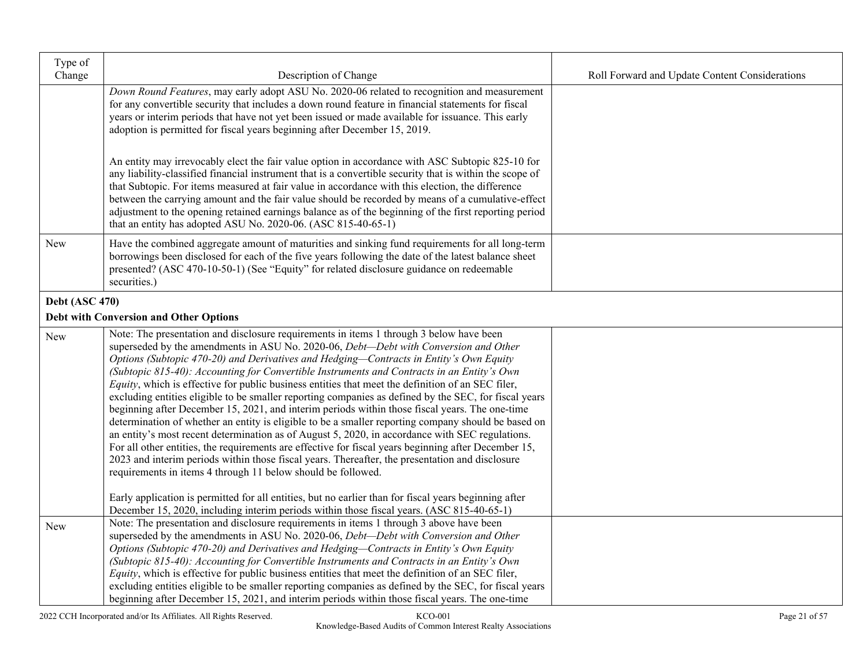| Type of<br>Change     | Description of Change                                                                                                                                                                                                                                                                                                                                                                                                                                                                                                                                                                                                                                                                                                                                                                                                                                                                                                                                                                                                                                                                                                                                                                                                                                                                 | Roll Forward and Update Content Considerations |
|-----------------------|---------------------------------------------------------------------------------------------------------------------------------------------------------------------------------------------------------------------------------------------------------------------------------------------------------------------------------------------------------------------------------------------------------------------------------------------------------------------------------------------------------------------------------------------------------------------------------------------------------------------------------------------------------------------------------------------------------------------------------------------------------------------------------------------------------------------------------------------------------------------------------------------------------------------------------------------------------------------------------------------------------------------------------------------------------------------------------------------------------------------------------------------------------------------------------------------------------------------------------------------------------------------------------------|------------------------------------------------|
|                       | Down Round Features, may early adopt ASU No. 2020-06 related to recognition and measurement<br>for any convertible security that includes a down round feature in financial statements for fiscal<br>years or interim periods that have not yet been issued or made available for issuance. This early<br>adoption is permitted for fiscal years beginning after December 15, 2019.                                                                                                                                                                                                                                                                                                                                                                                                                                                                                                                                                                                                                                                                                                                                                                                                                                                                                                   |                                                |
|                       | An entity may irrevocably elect the fair value option in accordance with ASC Subtopic 825-10 for<br>any liability-classified financial instrument that is a convertible security that is within the scope of<br>that Subtopic. For items measured at fair value in accordance with this election, the difference<br>between the carrying amount and the fair value should be recorded by means of a cumulative-effect<br>adjustment to the opening retained earnings balance as of the beginning of the first reporting period<br>that an entity has adopted ASU No. $2020-06$ . (ASC 815-40-65-1)                                                                                                                                                                                                                                                                                                                                                                                                                                                                                                                                                                                                                                                                                    |                                                |
| <b>New</b>            | Have the combined aggregate amount of maturities and sinking fund requirements for all long-term<br>borrowings been disclosed for each of the five years following the date of the latest balance sheet<br>presented? (ASC 470-10-50-1) (See "Equity" for related disclosure guidance on redeemable<br>securities.)                                                                                                                                                                                                                                                                                                                                                                                                                                                                                                                                                                                                                                                                                                                                                                                                                                                                                                                                                                   |                                                |
| <b>Debt (ASC 470)</b> |                                                                                                                                                                                                                                                                                                                                                                                                                                                                                                                                                                                                                                                                                                                                                                                                                                                                                                                                                                                                                                                                                                                                                                                                                                                                                       |                                                |
|                       | <b>Debt with Conversion and Other Options</b>                                                                                                                                                                                                                                                                                                                                                                                                                                                                                                                                                                                                                                                                                                                                                                                                                                                                                                                                                                                                                                                                                                                                                                                                                                         |                                                |
| <b>New</b>            | Note: The presentation and disclosure requirements in items 1 through 3 below have been<br>superseded by the amendments in ASU No. 2020-06, Debt-Debt with Conversion and Other<br>Options (Subtopic 470-20) and Derivatives and Hedging-Contracts in Entity's Own Equity<br>(Subtopic 815-40): Accounting for Convertible Instruments and Contracts in an Entity's Own<br>Equity, which is effective for public business entities that meet the definition of an SEC filer,<br>excluding entities eligible to be smaller reporting companies as defined by the SEC, for fiscal years<br>beginning after December 15, 2021, and interim periods within those fiscal years. The one-time<br>determination of whether an entity is eligible to be a smaller reporting company should be based on<br>an entity's most recent determination as of August 5, 2020, in accordance with SEC regulations.<br>For all other entities, the requirements are effective for fiscal years beginning after December 15,<br>2023 and interim periods within those fiscal years. Thereafter, the presentation and disclosure<br>requirements in items 4 through 11 below should be followed.<br>Early application is permitted for all entities, but no earlier than for fiscal years beginning after |                                                |
|                       | December 15, 2020, including interim periods within those fiscal years. (ASC 815-40-65-1)                                                                                                                                                                                                                                                                                                                                                                                                                                                                                                                                                                                                                                                                                                                                                                                                                                                                                                                                                                                                                                                                                                                                                                                             |                                                |
| New                   | Note: The presentation and disclosure requirements in items 1 through 3 above have been<br>superseded by the amendments in ASU No. 2020-06, Debt-Debt with Conversion and Other<br>Options (Subtopic 470-20) and Derivatives and Hedging-Contracts in Entity's Own Equity<br>(Subtopic 815-40): Accounting for Convertible Instruments and Contracts in an Entity's Own<br>Equity, which is effective for public business entities that meet the definition of an SEC filer,<br>excluding entities eligible to be smaller reporting companies as defined by the SEC, for fiscal years<br>beginning after December 15, 2021, and interim periods within those fiscal years. The one-time                                                                                                                                                                                                                                                                                                                                                                                                                                                                                                                                                                                               |                                                |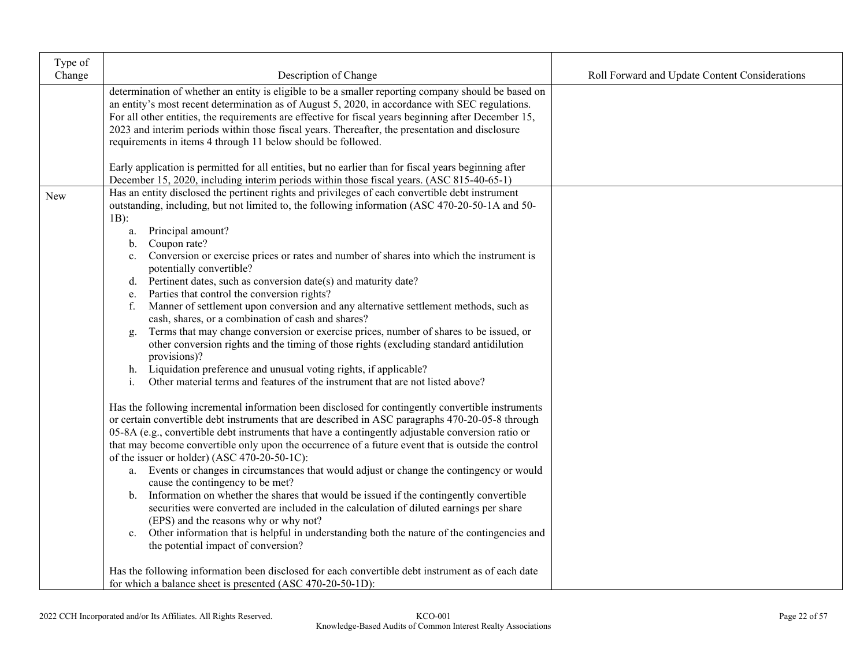| Type of    |                                                                                                                                                                                                                                                                                                                                                                                                                                                                                                                                                                                                                                                                                                                                                                                                                                                                                                                                                                                                                                                                                                                                                                                                                                                                                                                                                                                                                                                                                                                                                                                                                                                                                                                                                                       |                                                |
|------------|-----------------------------------------------------------------------------------------------------------------------------------------------------------------------------------------------------------------------------------------------------------------------------------------------------------------------------------------------------------------------------------------------------------------------------------------------------------------------------------------------------------------------------------------------------------------------------------------------------------------------------------------------------------------------------------------------------------------------------------------------------------------------------------------------------------------------------------------------------------------------------------------------------------------------------------------------------------------------------------------------------------------------------------------------------------------------------------------------------------------------------------------------------------------------------------------------------------------------------------------------------------------------------------------------------------------------------------------------------------------------------------------------------------------------------------------------------------------------------------------------------------------------------------------------------------------------------------------------------------------------------------------------------------------------------------------------------------------------------------------------------------------------|------------------------------------------------|
| Change     | Description of Change                                                                                                                                                                                                                                                                                                                                                                                                                                                                                                                                                                                                                                                                                                                                                                                                                                                                                                                                                                                                                                                                                                                                                                                                                                                                                                                                                                                                                                                                                                                                                                                                                                                                                                                                                 | Roll Forward and Update Content Considerations |
|            | determination of whether an entity is eligible to be a smaller reporting company should be based on<br>an entity's most recent determination as of August 5, 2020, in accordance with SEC regulations.<br>For all other entities, the requirements are effective for fiscal years beginning after December 15,<br>2023 and interim periods within those fiscal years. Thereafter, the presentation and disclosure<br>requirements in items 4 through 11 below should be followed.                                                                                                                                                                                                                                                                                                                                                                                                                                                                                                                                                                                                                                                                                                                                                                                                                                                                                                                                                                                                                                                                                                                                                                                                                                                                                     |                                                |
|            | Early application is permitted for all entities, but no earlier than for fiscal years beginning after<br>December 15, 2020, including interim periods within those fiscal years. (ASC 815-40-65-1)                                                                                                                                                                                                                                                                                                                                                                                                                                                                                                                                                                                                                                                                                                                                                                                                                                                                                                                                                                                                                                                                                                                                                                                                                                                                                                                                                                                                                                                                                                                                                                    |                                                |
| <b>New</b> | Has an entity disclosed the pertinent rights and privileges of each convertible debt instrument<br>outstanding, including, but not limited to, the following information (ASC 470-20-50-1A and 50-<br>$1B$ :<br>Principal amount?<br>a.<br>Coupon rate?<br>b.<br>Conversion or exercise prices or rates and number of shares into which the instrument is<br>$c_{\cdot}$<br>potentially convertible?<br>Pertinent dates, such as conversion date(s) and maturity date?<br>d.<br>Parties that control the conversion rights?<br>e.<br>Manner of settlement upon conversion and any alternative settlement methods, such as<br>f.<br>cash, shares, or a combination of cash and shares?<br>Terms that may change conversion or exercise prices, number of shares to be issued, or<br>g.<br>other conversion rights and the timing of those rights (excluding standard antidilution<br>provisions)?<br>Liquidation preference and unusual voting rights, if applicable?<br>h.<br>Other material terms and features of the instrument that are not listed above?<br>i.<br>Has the following incremental information been disclosed for contingently convertible instruments<br>or certain convertible debt instruments that are described in ASC paragraphs 470-20-05-8 through<br>05-8A (e.g., convertible debt instruments that have a contingently adjustable conversion ratio or<br>that may become convertible only upon the occurrence of a future event that is outside the control<br>of the issuer or holder) (ASC 470-20-50-1C):<br>a. Events or changes in circumstances that would adjust or change the contingency or would<br>cause the contingency to be met?<br>b. Information on whether the shares that would be issued if the contingently convertible |                                                |
|            | securities were converted are included in the calculation of diluted earnings per share<br>(EPS) and the reasons why or why not?<br>Other information that is helpful in understanding both the nature of the contingencies and<br>c.<br>the potential impact of conversion?<br>Has the following information been disclosed for each convertible debt instrument as of each date<br>for which a balance sheet is presented (ASC 470-20-50-1D):                                                                                                                                                                                                                                                                                                                                                                                                                                                                                                                                                                                                                                                                                                                                                                                                                                                                                                                                                                                                                                                                                                                                                                                                                                                                                                                       |                                                |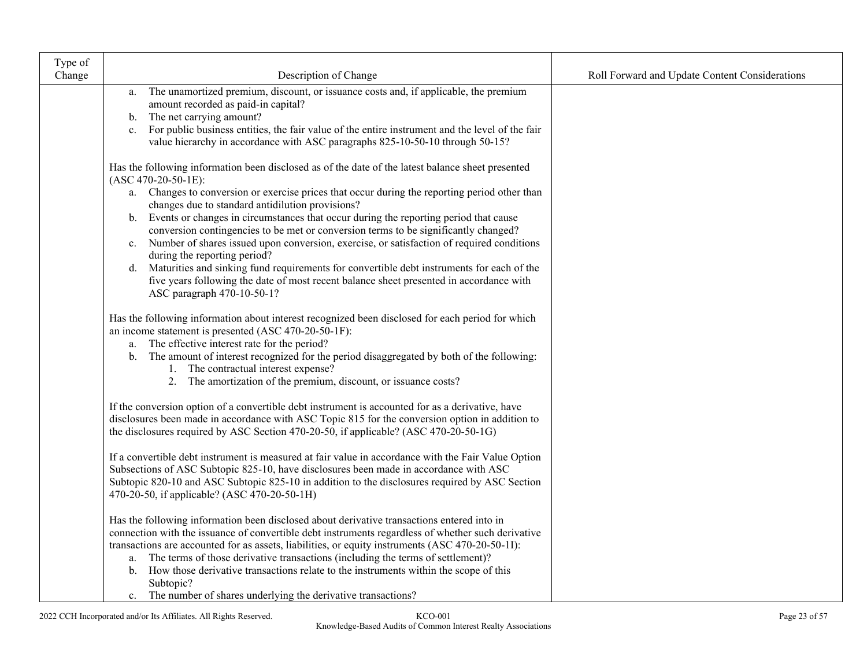| Type of |                                                                                                                                                                                                                                                                                                                                                                                                                                                                                                                                                                       |                                                |
|---------|-----------------------------------------------------------------------------------------------------------------------------------------------------------------------------------------------------------------------------------------------------------------------------------------------------------------------------------------------------------------------------------------------------------------------------------------------------------------------------------------------------------------------------------------------------------------------|------------------------------------------------|
| Change  | Description of Change                                                                                                                                                                                                                                                                                                                                                                                                                                                                                                                                                 | Roll Forward and Update Content Considerations |
|         | The unamortized premium, discount, or issuance costs and, if applicable, the premium<br>a.<br>amount recorded as paid-in capital?<br>The net carrying amount?                                                                                                                                                                                                                                                                                                                                                                                                         |                                                |
|         | $\mathbf{b}$ .<br>For public business entities, the fair value of the entire instrument and the level of the fair<br>$c_{\cdot}$                                                                                                                                                                                                                                                                                                                                                                                                                                      |                                                |
|         | value hierarchy in accordance with ASC paragraphs 825-10-50-10 through 50-15?                                                                                                                                                                                                                                                                                                                                                                                                                                                                                         |                                                |
|         | Has the following information been disclosed as of the date of the latest balance sheet presented<br>$(ASC 470-20-50-1E):$                                                                                                                                                                                                                                                                                                                                                                                                                                            |                                                |
|         | a. Changes to conversion or exercise prices that occur during the reporting period other than<br>changes due to standard antidilution provisions?                                                                                                                                                                                                                                                                                                                                                                                                                     |                                                |
|         | b. Events or changes in circumstances that occur during the reporting period that cause<br>conversion contingencies to be met or conversion terms to be significantly changed?                                                                                                                                                                                                                                                                                                                                                                                        |                                                |
|         | c. Number of shares issued upon conversion, exercise, or satisfaction of required conditions<br>during the reporting period?                                                                                                                                                                                                                                                                                                                                                                                                                                          |                                                |
|         | d. Maturities and sinking fund requirements for convertible debt instruments for each of the<br>five years following the date of most recent balance sheet presented in accordance with<br>ASC paragraph 470-10-50-1?                                                                                                                                                                                                                                                                                                                                                 |                                                |
|         | Has the following information about interest recognized been disclosed for each period for which<br>an income statement is presented (ASC 470-20-50-1F):<br>a. The effective interest rate for the period?<br>b. The amount of interest recognized for the period disaggregated by both of the following:<br>1. The contractual interest expense?                                                                                                                                                                                                                     |                                                |
|         | 2. The amortization of the premium, discount, or issuance costs?                                                                                                                                                                                                                                                                                                                                                                                                                                                                                                      |                                                |
|         | If the conversion option of a convertible debt instrument is accounted for as a derivative, have<br>disclosures been made in accordance with ASC Topic 815 for the conversion option in addition to<br>the disclosures required by ASC Section 470-20-50, if applicable? (ASC 470-20-50-1G)                                                                                                                                                                                                                                                                           |                                                |
|         | If a convertible debt instrument is measured at fair value in accordance with the Fair Value Option<br>Subsections of ASC Subtopic 825-10, have disclosures been made in accordance with ASC<br>Subtopic 820-10 and ASC Subtopic 825-10 in addition to the disclosures required by ASC Section<br>470-20-50, if applicable? (ASC 470-20-50-1H)                                                                                                                                                                                                                        |                                                |
|         | Has the following information been disclosed about derivative transactions entered into in<br>connection with the issuance of convertible debt instruments regardless of whether such derivative<br>transactions are accounted for as assets, liabilities, or equity instruments (ASC 470-20-50-1I):<br>a. The terms of those derivative transactions (including the terms of settlement)?<br>b. How those derivative transactions relate to the instruments within the scope of this<br>Subtopic?<br>c. The number of shares underlying the derivative transactions? |                                                |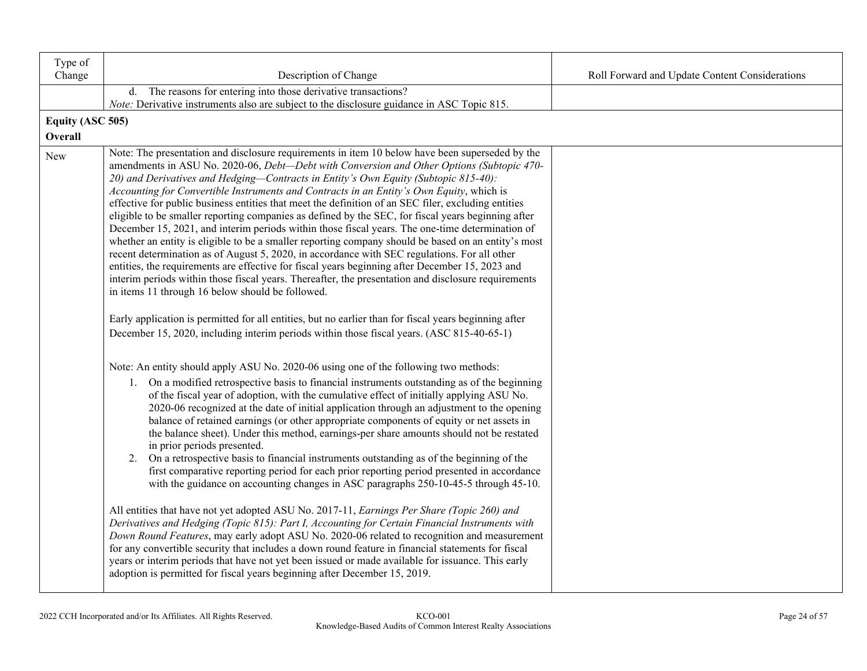| Type of<br>Change           | Description of Change                                                                                                                                                                                                                                                                                                                                                                                                                                                                                                                                                                                                                                                                                                                                                                                                                                                                                                                                                                                                                                                                                                                                                                                                                                                                                                                                                                                                                                                                                                                                                                                                                                                                                                                                                                                                                                                                                                                                                                                                                                                                                                                                                                                                                                                                                                                                                                                                                                                                                                                                                                                                                                                                                                                                                                                                                                            | Roll Forward and Update Content Considerations |
|-----------------------------|------------------------------------------------------------------------------------------------------------------------------------------------------------------------------------------------------------------------------------------------------------------------------------------------------------------------------------------------------------------------------------------------------------------------------------------------------------------------------------------------------------------------------------------------------------------------------------------------------------------------------------------------------------------------------------------------------------------------------------------------------------------------------------------------------------------------------------------------------------------------------------------------------------------------------------------------------------------------------------------------------------------------------------------------------------------------------------------------------------------------------------------------------------------------------------------------------------------------------------------------------------------------------------------------------------------------------------------------------------------------------------------------------------------------------------------------------------------------------------------------------------------------------------------------------------------------------------------------------------------------------------------------------------------------------------------------------------------------------------------------------------------------------------------------------------------------------------------------------------------------------------------------------------------------------------------------------------------------------------------------------------------------------------------------------------------------------------------------------------------------------------------------------------------------------------------------------------------------------------------------------------------------------------------------------------------------------------------------------------------------------------------------------------------------------------------------------------------------------------------------------------------------------------------------------------------------------------------------------------------------------------------------------------------------------------------------------------------------------------------------------------------------------------------------------------------------------------------------------------------|------------------------------------------------|
|                             | d. The reasons for entering into those derivative transactions?<br>Note: Derivative instruments also are subject to the disclosure guidance in ASC Topic 815.                                                                                                                                                                                                                                                                                                                                                                                                                                                                                                                                                                                                                                                                                                                                                                                                                                                                                                                                                                                                                                                                                                                                                                                                                                                                                                                                                                                                                                                                                                                                                                                                                                                                                                                                                                                                                                                                                                                                                                                                                                                                                                                                                                                                                                                                                                                                                                                                                                                                                                                                                                                                                                                                                                    |                                                |
| Equity (ASC 505)<br>Overall |                                                                                                                                                                                                                                                                                                                                                                                                                                                                                                                                                                                                                                                                                                                                                                                                                                                                                                                                                                                                                                                                                                                                                                                                                                                                                                                                                                                                                                                                                                                                                                                                                                                                                                                                                                                                                                                                                                                                                                                                                                                                                                                                                                                                                                                                                                                                                                                                                                                                                                                                                                                                                                                                                                                                                                                                                                                                  |                                                |
| New                         | Note: The presentation and disclosure requirements in item 10 below have been superseded by the<br>amendments in ASU No. 2020-06, Debt-Debt with Conversion and Other Options (Subtopic 470-<br>20) and Derivatives and Hedging-Contracts in Entity's Own Equity (Subtopic 815-40):<br>Accounting for Convertible Instruments and Contracts in an Entity's Own Equity, which is<br>effective for public business entities that meet the definition of an SEC filer, excluding entities<br>eligible to be smaller reporting companies as defined by the SEC, for fiscal years beginning after<br>December 15, 2021, and interim periods within those fiscal years. The one-time determination of<br>whether an entity is eligible to be a smaller reporting company should be based on an entity's most<br>recent determination as of August 5, 2020, in accordance with SEC regulations. For all other<br>entities, the requirements are effective for fiscal years beginning after December 15, 2023 and<br>interim periods within those fiscal years. Thereafter, the presentation and disclosure requirements<br>in items 11 through 16 below should be followed.<br>Early application is permitted for all entities, but no earlier than for fiscal years beginning after<br>December 15, 2020, including interim periods within those fiscal years. (ASC 815-40-65-1)<br>Note: An entity should apply ASU No. 2020-06 using one of the following two methods:<br>1. On a modified retrospective basis to financial instruments outstanding as of the beginning<br>of the fiscal year of adoption, with the cumulative effect of initially applying ASU No.<br>2020-06 recognized at the date of initial application through an adjustment to the opening<br>balance of retained earnings (or other appropriate components of equity or net assets in<br>the balance sheet). Under this method, earnings-per share amounts should not be restated<br>in prior periods presented.<br>2. On a retrospective basis to financial instruments outstanding as of the beginning of the<br>first comparative reporting period for each prior reporting period presented in accordance<br>with the guidance on accounting changes in ASC paragraphs 250-10-45-5 through 45-10.<br>All entities that have not yet adopted ASU No. 2017-11, Earnings Per Share (Topic 260) and<br>Derivatives and Hedging (Topic 815): Part I, Accounting for Certain Financial Instruments with<br>Down Round Features, may early adopt ASU No. 2020-06 related to recognition and measurement<br>for any convertible security that includes a down round feature in financial statements for fiscal<br>years or interim periods that have not yet been issued or made available for issuance. This early<br>adoption is permitted for fiscal years beginning after December 15, 2019. |                                                |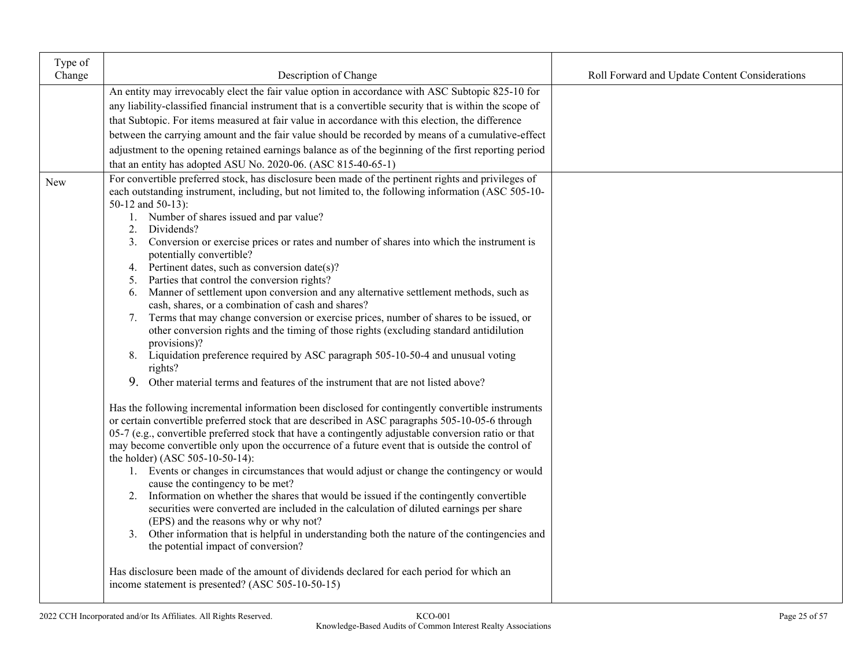| Type of    |                                                                                                                                                                                                                                                                                                                                                                                                                                                                                                                                                                                                                                                                                                                                                                                                                                                                                                                                                                                                                                                                                                                                                                                                                                                                                                                                                                                                                                                                                                                                                                                                                                                                                                                                                                         |                                                |
|------------|-------------------------------------------------------------------------------------------------------------------------------------------------------------------------------------------------------------------------------------------------------------------------------------------------------------------------------------------------------------------------------------------------------------------------------------------------------------------------------------------------------------------------------------------------------------------------------------------------------------------------------------------------------------------------------------------------------------------------------------------------------------------------------------------------------------------------------------------------------------------------------------------------------------------------------------------------------------------------------------------------------------------------------------------------------------------------------------------------------------------------------------------------------------------------------------------------------------------------------------------------------------------------------------------------------------------------------------------------------------------------------------------------------------------------------------------------------------------------------------------------------------------------------------------------------------------------------------------------------------------------------------------------------------------------------------------------------------------------------------------------------------------------|------------------------------------------------|
| Change     | Description of Change                                                                                                                                                                                                                                                                                                                                                                                                                                                                                                                                                                                                                                                                                                                                                                                                                                                                                                                                                                                                                                                                                                                                                                                                                                                                                                                                                                                                                                                                                                                                                                                                                                                                                                                                                   | Roll Forward and Update Content Considerations |
|            | An entity may irrevocably elect the fair value option in accordance with ASC Subtopic 825-10 for                                                                                                                                                                                                                                                                                                                                                                                                                                                                                                                                                                                                                                                                                                                                                                                                                                                                                                                                                                                                                                                                                                                                                                                                                                                                                                                                                                                                                                                                                                                                                                                                                                                                        |                                                |
|            | any liability-classified financial instrument that is a convertible security that is within the scope of                                                                                                                                                                                                                                                                                                                                                                                                                                                                                                                                                                                                                                                                                                                                                                                                                                                                                                                                                                                                                                                                                                                                                                                                                                                                                                                                                                                                                                                                                                                                                                                                                                                                |                                                |
|            | that Subtopic. For items measured at fair value in accordance with this election, the difference                                                                                                                                                                                                                                                                                                                                                                                                                                                                                                                                                                                                                                                                                                                                                                                                                                                                                                                                                                                                                                                                                                                                                                                                                                                                                                                                                                                                                                                                                                                                                                                                                                                                        |                                                |
|            | between the carrying amount and the fair value should be recorded by means of a cumulative-effect                                                                                                                                                                                                                                                                                                                                                                                                                                                                                                                                                                                                                                                                                                                                                                                                                                                                                                                                                                                                                                                                                                                                                                                                                                                                                                                                                                                                                                                                                                                                                                                                                                                                       |                                                |
|            | adjustment to the opening retained earnings balance as of the beginning of the first reporting period                                                                                                                                                                                                                                                                                                                                                                                                                                                                                                                                                                                                                                                                                                                                                                                                                                                                                                                                                                                                                                                                                                                                                                                                                                                                                                                                                                                                                                                                                                                                                                                                                                                                   |                                                |
|            | that an entity has adopted ASU No. 2020-06. (ASC 815-40-65-1)                                                                                                                                                                                                                                                                                                                                                                                                                                                                                                                                                                                                                                                                                                                                                                                                                                                                                                                                                                                                                                                                                                                                                                                                                                                                                                                                                                                                                                                                                                                                                                                                                                                                                                           |                                                |
| <b>New</b> | For convertible preferred stock, has disclosure been made of the pertinent rights and privileges of<br>each outstanding instrument, including, but not limited to, the following information (ASC 505-10-<br>50-12 and 50-13):<br>1. Number of shares issued and par value?<br>Dividends?<br>2.<br>3. Conversion or exercise prices or rates and number of shares into which the instrument is<br>potentially convertible?<br>4. Pertinent dates, such as conversion date(s)?<br>Parties that control the conversion rights?<br>5.<br>6. Manner of settlement upon conversion and any alternative settlement methods, such as<br>cash, shares, or a combination of cash and shares?<br>7. Terms that may change conversion or exercise prices, number of shares to be issued, or<br>other conversion rights and the timing of those rights (excluding standard antidilution<br>provisions)?<br>8. Liquidation preference required by ASC paragraph 505-10-50-4 and unusual voting<br>rights?<br>9. Other material terms and features of the instrument that are not listed above?<br>Has the following incremental information been disclosed for contingently convertible instruments<br>or certain convertible preferred stock that are described in ASC paragraphs 505-10-05-6 through<br>05-7 (e.g., convertible preferred stock that have a contingently adjustable conversion ratio or that<br>may become convertible only upon the occurrence of a future event that is outside the control of<br>the holder) (ASC 505-10-50-14):<br>1. Events or changes in circumstances that would adjust or change the contingency or would<br>cause the contingency to be met?<br>2. Information on whether the shares that would be issued if the contingently convertible |                                                |
|            | securities were converted are included in the calculation of diluted earnings per share                                                                                                                                                                                                                                                                                                                                                                                                                                                                                                                                                                                                                                                                                                                                                                                                                                                                                                                                                                                                                                                                                                                                                                                                                                                                                                                                                                                                                                                                                                                                                                                                                                                                                 |                                                |
|            | (EPS) and the reasons why or why not?                                                                                                                                                                                                                                                                                                                                                                                                                                                                                                                                                                                                                                                                                                                                                                                                                                                                                                                                                                                                                                                                                                                                                                                                                                                                                                                                                                                                                                                                                                                                                                                                                                                                                                                                   |                                                |
|            | 3. Other information that is helpful in understanding both the nature of the contingencies and<br>the potential impact of conversion?                                                                                                                                                                                                                                                                                                                                                                                                                                                                                                                                                                                                                                                                                                                                                                                                                                                                                                                                                                                                                                                                                                                                                                                                                                                                                                                                                                                                                                                                                                                                                                                                                                   |                                                |
|            | Has disclosure been made of the amount of dividends declared for each period for which an<br>income statement is presented? (ASC 505-10-50-15)                                                                                                                                                                                                                                                                                                                                                                                                                                                                                                                                                                                                                                                                                                                                                                                                                                                                                                                                                                                                                                                                                                                                                                                                                                                                                                                                                                                                                                                                                                                                                                                                                          |                                                |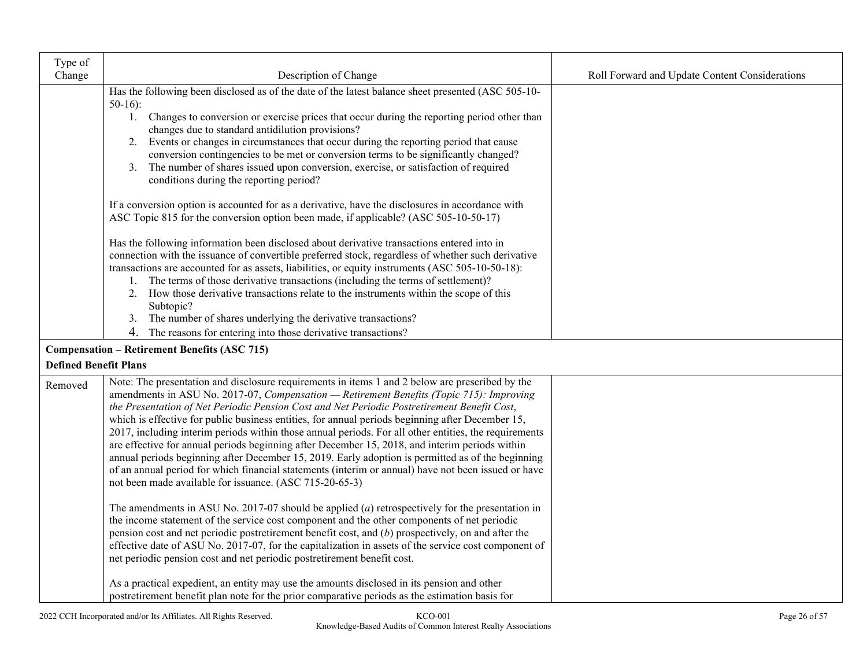| Type of                      |                                                                                                                                                                                                                                                                                                                                                                                                                                                                                                                                                                                                                                                                                                                                                                                                                                                                                         |                                                |
|------------------------------|-----------------------------------------------------------------------------------------------------------------------------------------------------------------------------------------------------------------------------------------------------------------------------------------------------------------------------------------------------------------------------------------------------------------------------------------------------------------------------------------------------------------------------------------------------------------------------------------------------------------------------------------------------------------------------------------------------------------------------------------------------------------------------------------------------------------------------------------------------------------------------------------|------------------------------------------------|
| Change                       | Description of Change                                                                                                                                                                                                                                                                                                                                                                                                                                                                                                                                                                                                                                                                                                                                                                                                                                                                   | Roll Forward and Update Content Considerations |
|                              | Has the following been disclosed as of the date of the latest balance sheet presented (ASC 505-10-<br>$50-16$ :<br>1. Changes to conversion or exercise prices that occur during the reporting period other than<br>changes due to standard antidilution provisions?<br>2. Events or changes in circumstances that occur during the reporting period that cause<br>conversion contingencies to be met or conversion terms to be significantly changed?<br>The number of shares issued upon conversion, exercise, or satisfaction of required<br>3.<br>conditions during the reporting period?<br>If a conversion option is accounted for as a derivative, have the disclosures in accordance with<br>ASC Topic 815 for the conversion option been made, if applicable? (ASC 505-10-50-17)<br>Has the following information been disclosed about derivative transactions entered into in |                                                |
|                              | connection with the issuance of convertible preferred stock, regardless of whether such derivative<br>transactions are accounted for as assets, liabilities, or equity instruments (ASC 505-10-50-18):<br>1. The terms of those derivative transactions (including the terms of settlement)?<br>2. How those derivative transactions relate to the instruments within the scope of this<br>Subtopic?<br>The number of shares underlying the derivative transactions?<br>4.<br>The reasons for entering into those derivative transactions?                                                                                                                                                                                                                                                                                                                                              |                                                |
|                              | <b>Compensation – Retirement Benefits (ASC 715)</b>                                                                                                                                                                                                                                                                                                                                                                                                                                                                                                                                                                                                                                                                                                                                                                                                                                     |                                                |
| <b>Defined Benefit Plans</b> |                                                                                                                                                                                                                                                                                                                                                                                                                                                                                                                                                                                                                                                                                                                                                                                                                                                                                         |                                                |
| Removed                      | Note: The presentation and disclosure requirements in items 1 and 2 below are prescribed by the<br>amendments in ASU No. 2017-07, Compensation - Retirement Benefits (Topic 715): Improving<br>the Presentation of Net Periodic Pension Cost and Net Periodic Postretirement Benefit Cost,<br>which is effective for public business entities, for annual periods beginning after December 15,<br>2017, including interim periods within those annual periods. For all other entities, the requirements<br>are effective for annual periods beginning after December 15, 2018, and interim periods within<br>annual periods beginning after December 15, 2019. Early adoption is permitted as of the beginning<br>of an annual period for which financial statements (interim or annual) have not been issued or have<br>not been made available for issuance. (ASC 715-20-65-3)        |                                                |
|                              | The amendments in ASU No. 2017-07 should be applied (a) retrospectively for the presentation in<br>the income statement of the service cost component and the other components of net periodic<br>pension cost and net periodic postretirement benefit cost, and $(b)$ prospectively, on and after the<br>effective date of ASU No. 2017-07, for the capitalization in assets of the service cost component of<br>net periodic pension cost and net periodic postretirement benefit cost.<br>As a practical expedient, an entity may use the amounts disclosed in its pension and other                                                                                                                                                                                                                                                                                                 |                                                |
|                              | postretirement benefit plan note for the prior comparative periods as the estimation basis for                                                                                                                                                                                                                                                                                                                                                                                                                                                                                                                                                                                                                                                                                                                                                                                          |                                                |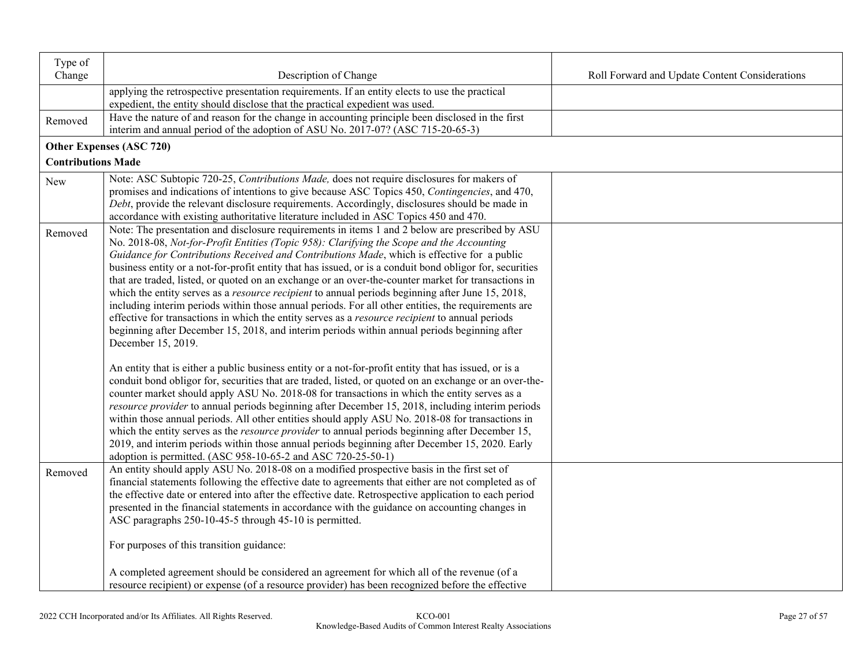| Type of<br>Change         | Description of Change                                                                                                                                                                                                                                                                                                                                                                                                                                                                                                                                                                                                                                                                                                                                                                                                                                                                                                                                                                                                                                                                                                                                                                                                                                                                                                                                                                                                                                                                                                                                                                                                                                                                                                                                                   | Roll Forward and Update Content Considerations |
|---------------------------|-------------------------------------------------------------------------------------------------------------------------------------------------------------------------------------------------------------------------------------------------------------------------------------------------------------------------------------------------------------------------------------------------------------------------------------------------------------------------------------------------------------------------------------------------------------------------------------------------------------------------------------------------------------------------------------------------------------------------------------------------------------------------------------------------------------------------------------------------------------------------------------------------------------------------------------------------------------------------------------------------------------------------------------------------------------------------------------------------------------------------------------------------------------------------------------------------------------------------------------------------------------------------------------------------------------------------------------------------------------------------------------------------------------------------------------------------------------------------------------------------------------------------------------------------------------------------------------------------------------------------------------------------------------------------------------------------------------------------------------------------------------------------|------------------------------------------------|
|                           | applying the retrospective presentation requirements. If an entity elects to use the practical<br>expedient, the entity should disclose that the practical expedient was used.                                                                                                                                                                                                                                                                                                                                                                                                                                                                                                                                                                                                                                                                                                                                                                                                                                                                                                                                                                                                                                                                                                                                                                                                                                                                                                                                                                                                                                                                                                                                                                                          |                                                |
| Removed                   | Have the nature of and reason for the change in accounting principle been disclosed in the first<br>interim and annual period of the adoption of ASU No. 2017-07? (ASC 715-20-65-3)                                                                                                                                                                                                                                                                                                                                                                                                                                                                                                                                                                                                                                                                                                                                                                                                                                                                                                                                                                                                                                                                                                                                                                                                                                                                                                                                                                                                                                                                                                                                                                                     |                                                |
|                           | Other Expenses (ASC 720)                                                                                                                                                                                                                                                                                                                                                                                                                                                                                                                                                                                                                                                                                                                                                                                                                                                                                                                                                                                                                                                                                                                                                                                                                                                                                                                                                                                                                                                                                                                                                                                                                                                                                                                                                |                                                |
| <b>Contributions Made</b> |                                                                                                                                                                                                                                                                                                                                                                                                                                                                                                                                                                                                                                                                                                                                                                                                                                                                                                                                                                                                                                                                                                                                                                                                                                                                                                                                                                                                                                                                                                                                                                                                                                                                                                                                                                         |                                                |
| New                       | Note: ASC Subtopic 720-25, Contributions Made, does not require disclosures for makers of<br>promises and indications of intentions to give because ASC Topics 450, Contingencies, and 470,<br>Debt, provide the relevant disclosure requirements. Accordingly, disclosures should be made in<br>accordance with existing authoritative literature included in ASC Topics 450 and 470.                                                                                                                                                                                                                                                                                                                                                                                                                                                                                                                                                                                                                                                                                                                                                                                                                                                                                                                                                                                                                                                                                                                                                                                                                                                                                                                                                                                  |                                                |
| Removed                   | Note: The presentation and disclosure requirements in items 1 and 2 below are prescribed by ASU<br>No. 2018-08, Not-for-Profit Entities (Topic 958): Clarifying the Scope and the Accounting<br>Guidance for Contributions Received and Contributions Made, which is effective for a public<br>business entity or a not-for-profit entity that has issued, or is a conduit bond obligor for, securities<br>that are traded, listed, or quoted on an exchange or an over-the-counter market for transactions in<br>which the entity serves as a <i>resource recipient</i> to annual periods beginning after June 15, 2018,<br>including interim periods within those annual periods. For all other entities, the requirements are<br>effective for transactions in which the entity serves as a <i>resource recipient</i> to annual periods<br>beginning after December 15, 2018, and interim periods within annual periods beginning after<br>December 15, 2019.<br>An entity that is either a public business entity or a not-for-profit entity that has issued, or is a<br>conduit bond obligor for, securities that are traded, listed, or quoted on an exchange or an over-the-<br>counter market should apply ASU No. 2018-08 for transactions in which the entity serves as a<br>resource provider to annual periods beginning after December 15, 2018, including interim periods<br>within those annual periods. All other entities should apply ASU No. 2018-08 for transactions in<br>which the entity serves as the <i>resource provider</i> to annual periods beginning after December 15,<br>2019, and interim periods within those annual periods beginning after December 15, 2020. Early<br>adoption is permitted. (ASC 958-10-65-2 and ASC 720-25-50-1) |                                                |
| Removed                   | An entity should apply ASU No. 2018-08 on a modified prospective basis in the first set of<br>financial statements following the effective date to agreements that either are not completed as of<br>the effective date or entered into after the effective date. Retrospective application to each period<br>presented in the financial statements in accordance with the guidance on accounting changes in<br>ASC paragraphs 250-10-45-5 through 45-10 is permitted.<br>For purposes of this transition guidance:                                                                                                                                                                                                                                                                                                                                                                                                                                                                                                                                                                                                                                                                                                                                                                                                                                                                                                                                                                                                                                                                                                                                                                                                                                                     |                                                |
|                           | A completed agreement should be considered an agreement for which all of the revenue (of a<br>resource recipient) or expense (of a resource provider) has been recognized before the effective                                                                                                                                                                                                                                                                                                                                                                                                                                                                                                                                                                                                                                                                                                                                                                                                                                                                                                                                                                                                                                                                                                                                                                                                                                                                                                                                                                                                                                                                                                                                                                          |                                                |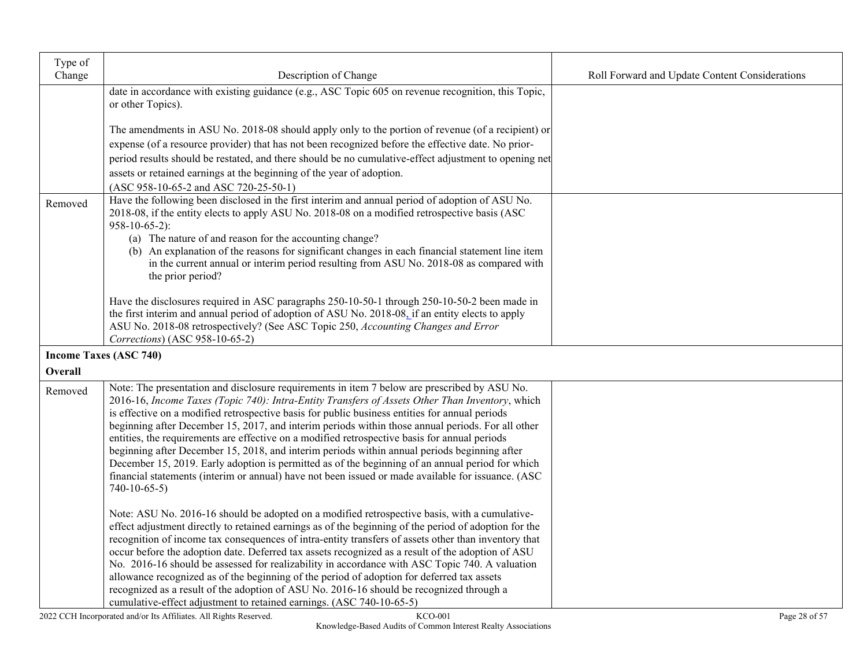| Type of<br>Change                        | Description of Change                                                                                                                                                                                                                                                                                                                                                                                                                                                                                                                                                                                                                                                                                                                                                                                                              | Roll Forward and Update Content Considerations |
|------------------------------------------|------------------------------------------------------------------------------------------------------------------------------------------------------------------------------------------------------------------------------------------------------------------------------------------------------------------------------------------------------------------------------------------------------------------------------------------------------------------------------------------------------------------------------------------------------------------------------------------------------------------------------------------------------------------------------------------------------------------------------------------------------------------------------------------------------------------------------------|------------------------------------------------|
|                                          | date in accordance with existing guidance (e.g., ASC Topic 605 on revenue recognition, this Topic,<br>or other Topics).                                                                                                                                                                                                                                                                                                                                                                                                                                                                                                                                                                                                                                                                                                            |                                                |
|                                          | The amendments in ASU No. 2018-08 should apply only to the portion of revenue (of a recipient) or<br>expense (of a resource provider) that has not been recognized before the effective date. No prior-<br>period results should be restated, and there should be no cumulative-effect adjustment to opening net<br>assets or retained earnings at the beginning of the year of adoption.<br>(ASC 958-10-65-2 and ASC 720-25-50-1)                                                                                                                                                                                                                                                                                                                                                                                                 |                                                |
| Removed                                  | Have the following been disclosed in the first interim and annual period of adoption of ASU No.<br>2018-08, if the entity elects to apply ASU No. 2018-08 on a modified retrospective basis (ASC<br>$958-10-65-2$ :<br>(a) The nature of and reason for the accounting change?<br>(b) An explanation of the reasons for significant changes in each financial statement line item<br>in the current annual or interim period resulting from ASU No. 2018-08 as compared with<br>the prior period?                                                                                                                                                                                                                                                                                                                                  |                                                |
|                                          | Have the disclosures required in ASC paragraphs 250-10-50-1 through 250-10-50-2 been made in<br>the first interim and annual period of adoption of ASU No. 2018-08, if an entity elects to apply<br>ASU No. 2018-08 retrospectively? (See ASC Topic 250, Accounting Changes and Error<br>Corrections) (ASC 958-10-65-2)                                                                                                                                                                                                                                                                                                                                                                                                                                                                                                            |                                                |
| <b>Income Taxes (ASC 740)</b><br>Overall |                                                                                                                                                                                                                                                                                                                                                                                                                                                                                                                                                                                                                                                                                                                                                                                                                                    |                                                |
| Removed                                  | Note: The presentation and disclosure requirements in item 7 below are prescribed by ASU No.<br>2016-16, Income Taxes (Topic 740): Intra-Entity Transfers of Assets Other Than Inventory, which<br>is effective on a modified retrospective basis for public business entities for annual periods<br>beginning after December 15, 2017, and interim periods within those annual periods. For all other<br>entities, the requirements are effective on a modified retrospective basis for annual periods<br>beginning after December 15, 2018, and interim periods within annual periods beginning after<br>December 15, 2019. Early adoption is permitted as of the beginning of an annual period for which<br>financial statements (interim or annual) have not been issued or made available for issuance. (ASC<br>$740-10-65-5$ |                                                |
|                                          | Note: ASU No. 2016-16 should be adopted on a modified retrospective basis, with a cumulative-<br>effect adjustment directly to retained earnings as of the beginning of the period of adoption for the<br>recognition of income tax consequences of intra-entity transfers of assets other than inventory that<br>occur before the adoption date. Deferred tax assets recognized as a result of the adoption of ASU<br>No. 2016-16 should be assessed for realizability in accordance with ASC Topic 740. A valuation<br>allowance recognized as of the beginning of the period of adoption for deferred tax assets<br>recognized as a result of the adoption of ASU No. 2016-16 should be recognized through a<br>cumulative-effect adjustment to retained earnings. (ASC 740-10-65-5)                                            |                                                |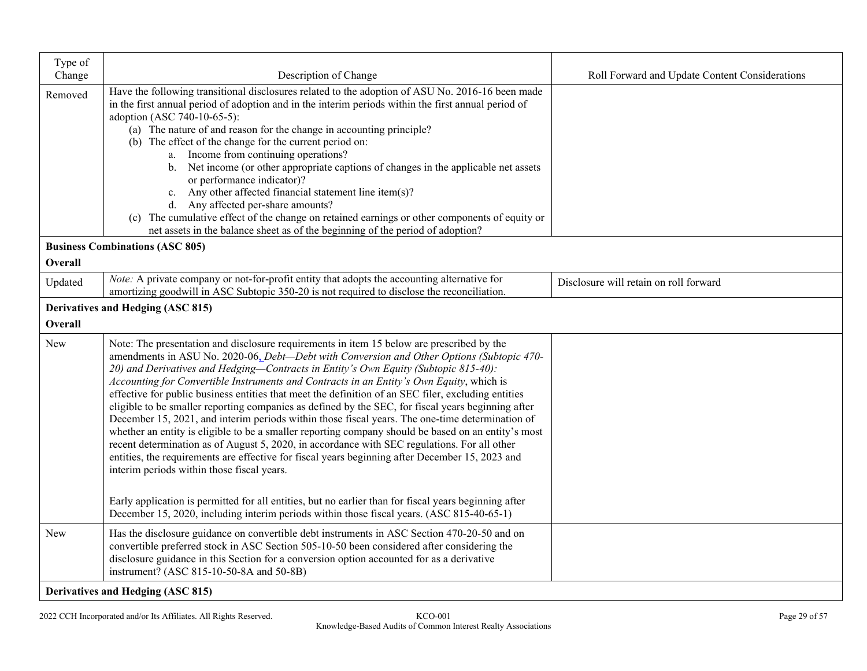| Type of<br>Change | Description of Change                                                                                                                                                                                                                                                                                                                                                                                                                                                                                                                                                                                                                                                                                                                                                                                                                                                                                                                                                                                                                                                                                                                                                                                                                                          | Roll Forward and Update Content Considerations |
|-------------------|----------------------------------------------------------------------------------------------------------------------------------------------------------------------------------------------------------------------------------------------------------------------------------------------------------------------------------------------------------------------------------------------------------------------------------------------------------------------------------------------------------------------------------------------------------------------------------------------------------------------------------------------------------------------------------------------------------------------------------------------------------------------------------------------------------------------------------------------------------------------------------------------------------------------------------------------------------------------------------------------------------------------------------------------------------------------------------------------------------------------------------------------------------------------------------------------------------------------------------------------------------------|------------------------------------------------|
| Removed           | Have the following transitional disclosures related to the adoption of ASU No. 2016-16 been made<br>in the first annual period of adoption and in the interim periods within the first annual period of<br>adoption (ASC 740-10-65-5):<br>(a) The nature of and reason for the change in accounting principle?<br>(b) The effect of the change for the current period on:<br>a. Income from continuing operations?<br>b. Net income (or other appropriate captions of changes in the applicable net assets<br>or performance indicator)?<br>Any other affected financial statement line item(s)?<br>c.<br>d. Any affected per-share amounts?<br>(c) The cumulative effect of the change on retained earnings or other components of equity or<br>net assets in the balance sheet as of the beginning of the period of adoption?                                                                                                                                                                                                                                                                                                                                                                                                                                |                                                |
| Overall           | <b>Business Combinations (ASC 805)</b>                                                                                                                                                                                                                                                                                                                                                                                                                                                                                                                                                                                                                                                                                                                                                                                                                                                                                                                                                                                                                                                                                                                                                                                                                         |                                                |
| Updated           | Note: A private company or not-for-profit entity that adopts the accounting alternative for<br>amortizing goodwill in ASC Subtopic 350-20 is not required to disclose the reconciliation.                                                                                                                                                                                                                                                                                                                                                                                                                                                                                                                                                                                                                                                                                                                                                                                                                                                                                                                                                                                                                                                                      | Disclosure will retain on roll forward         |
|                   | Derivatives and Hedging (ASC 815)                                                                                                                                                                                                                                                                                                                                                                                                                                                                                                                                                                                                                                                                                                                                                                                                                                                                                                                                                                                                                                                                                                                                                                                                                              |                                                |
| Overall           |                                                                                                                                                                                                                                                                                                                                                                                                                                                                                                                                                                                                                                                                                                                                                                                                                                                                                                                                                                                                                                                                                                                                                                                                                                                                |                                                |
| New               | Note: The presentation and disclosure requirements in item 15 below are prescribed by the<br>amendments in ASU No. 2020-06, <i>Debt—Debt with Conversion and Other Options (Subtopic 470-</i><br>20) and Derivatives and Hedging-Contracts in Entity's Own Equity (Subtopic 815-40):<br>Accounting for Convertible Instruments and Contracts in an Entity's Own Equity, which is<br>effective for public business entities that meet the definition of an SEC filer, excluding entities<br>eligible to be smaller reporting companies as defined by the SEC, for fiscal years beginning after<br>December 15, 2021, and interim periods within those fiscal years. The one-time determination of<br>whether an entity is eligible to be a smaller reporting company should be based on an entity's most<br>recent determination as of August 5, 2020, in accordance with SEC regulations. For all other<br>entities, the requirements are effective for fiscal years beginning after December 15, 2023 and<br>interim periods within those fiscal years.<br>Early application is permitted for all entities, but no earlier than for fiscal years beginning after<br>December 15, 2020, including interim periods within those fiscal years. (ASC 815-40-65-1) |                                                |
| New               | Has the disclosure guidance on convertible debt instruments in ASC Section 470-20-50 and on<br>convertible preferred stock in ASC Section 505-10-50 been considered after considering the<br>disclosure guidance in this Section for a conversion option accounted for as a derivative<br>instrument? (ASC 815-10-50-8A and 50-8B)                                                                                                                                                                                                                                                                                                                                                                                                                                                                                                                                                                                                                                                                                                                                                                                                                                                                                                                             |                                                |
|                   | Derivatives and Hedging (ASC 815)                                                                                                                                                                                                                                                                                                                                                                                                                                                                                                                                                                                                                                                                                                                                                                                                                                                                                                                                                                                                                                                                                                                                                                                                                              |                                                |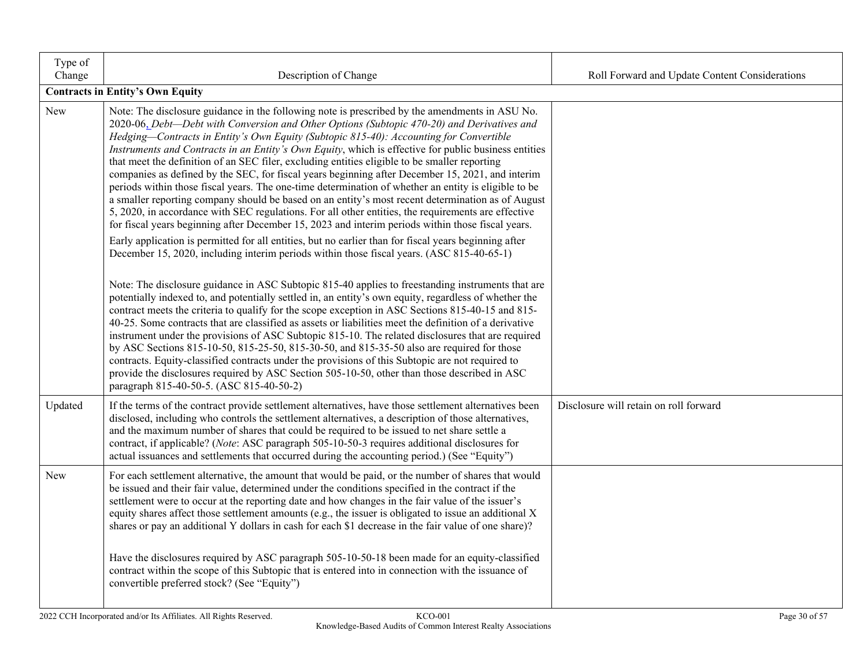| Type of<br>Change | Description of Change                                                                                                                                                                                                                                                                                                                                                                                                                                                                                                                                                                                                                                                                                                                                                                                                                                                                                                                                                                                                                                                                                                                 | Roll Forward and Update Content Considerations |
|-------------------|---------------------------------------------------------------------------------------------------------------------------------------------------------------------------------------------------------------------------------------------------------------------------------------------------------------------------------------------------------------------------------------------------------------------------------------------------------------------------------------------------------------------------------------------------------------------------------------------------------------------------------------------------------------------------------------------------------------------------------------------------------------------------------------------------------------------------------------------------------------------------------------------------------------------------------------------------------------------------------------------------------------------------------------------------------------------------------------------------------------------------------------|------------------------------------------------|
|                   | <b>Contracts in Entity's Own Equity</b>                                                                                                                                                                                                                                                                                                                                                                                                                                                                                                                                                                                                                                                                                                                                                                                                                                                                                                                                                                                                                                                                                               |                                                |
| <b>New</b>        | Note: The disclosure guidance in the following note is prescribed by the amendments in ASU No.<br>2020-06, Debt-Debt with Conversion and Other Options (Subtopic 470-20) and Derivatives and<br>Hedging-Contracts in Entity's Own Equity (Subtopic 815-40): Accounting for Convertible<br>Instruments and Contracts in an Entity's Own Equity, which is effective for public business entities<br>that meet the definition of an SEC filer, excluding entities eligible to be smaller reporting<br>companies as defined by the SEC, for fiscal years beginning after December 15, 2021, and interim<br>periods within those fiscal years. The one-time determination of whether an entity is eligible to be<br>a smaller reporting company should be based on an entity's most recent determination as of August<br>5, 2020, in accordance with SEC regulations. For all other entities, the requirements are effective<br>for fiscal years beginning after December 15, 2023 and interim periods within those fiscal years.<br>Early application is permitted for all entities, but no earlier than for fiscal years beginning after |                                                |
|                   | December 15, 2020, including interim periods within those fiscal years. (ASC 815-40-65-1)                                                                                                                                                                                                                                                                                                                                                                                                                                                                                                                                                                                                                                                                                                                                                                                                                                                                                                                                                                                                                                             |                                                |
|                   | Note: The disclosure guidance in ASC Subtopic 815-40 applies to freestanding instruments that are<br>potentially indexed to, and potentially settled in, an entity's own equity, regardless of whether the<br>contract meets the criteria to qualify for the scope exception in ASC Sections 815-40-15 and 815-<br>40-25. Some contracts that are classified as assets or liabilities meet the definition of a derivative<br>instrument under the provisions of ASC Subtopic 815-10. The related disclosures that are required<br>by ASC Sections 815-10-50, 815-25-50, 815-30-50, and 815-35-50 also are required for those<br>contracts. Equity-classified contracts under the provisions of this Subtopic are not required to<br>provide the disclosures required by ASC Section 505-10-50, other than those described in ASC<br>paragraph 815-40-50-5. (ASC 815-40-50-2)                                                                                                                                                                                                                                                          |                                                |
| Updated           | If the terms of the contract provide settlement alternatives, have those settlement alternatives been<br>disclosed, including who controls the settlement alternatives, a description of those alternatives,<br>and the maximum number of shares that could be required to be issued to net share settle a<br>contract, if applicable? (Note: ASC paragraph 505-10-50-3 requires additional disclosures for<br>actual issuances and settlements that occurred during the accounting period.) (See "Equity")                                                                                                                                                                                                                                                                                                                                                                                                                                                                                                                                                                                                                           | Disclosure will retain on roll forward         |
| New               | For each settlement alternative, the amount that would be paid, or the number of shares that would<br>be issued and their fair value, determined under the conditions specified in the contract if the<br>settlement were to occur at the reporting date and how changes in the fair value of the issuer's<br>equity shares affect those settlement amounts (e.g., the issuer is obligated to issue an additional $X$<br>shares or pay an additional Y dollars in cash for each \$1 decrease in the fair value of one share)?<br>Have the disclosures required by ASC paragraph 505-10-50-18 been made for an equity-classified<br>contract within the scope of this Subtopic that is entered into in connection with the issuance of                                                                                                                                                                                                                                                                                                                                                                                                 |                                                |
|                   | convertible preferred stock? (See "Equity")                                                                                                                                                                                                                                                                                                                                                                                                                                                                                                                                                                                                                                                                                                                                                                                                                                                                                                                                                                                                                                                                                           |                                                |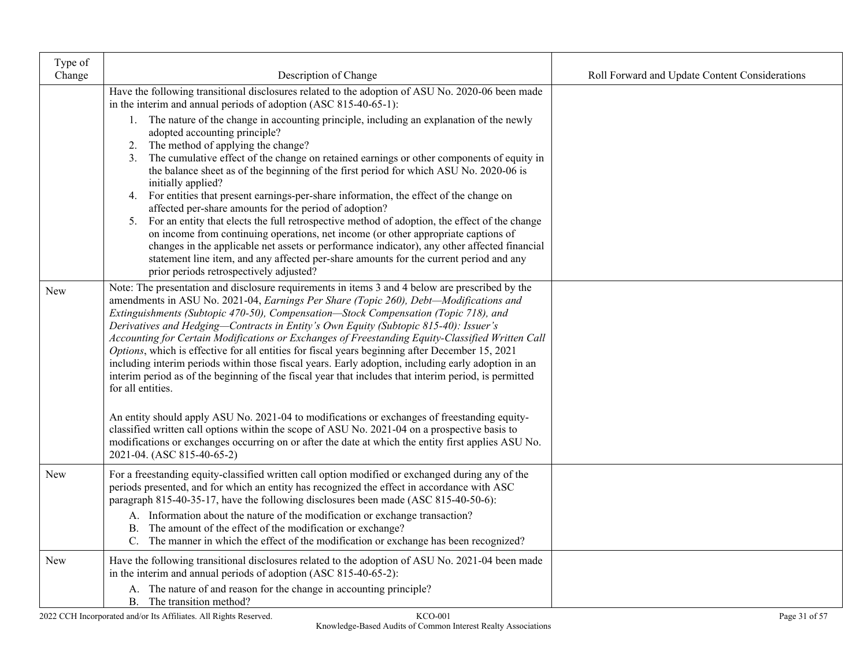| Type of<br>Change | Description of Change                                                                                                                                                                                                                                                                                                                                                                                                                                                                                                                                                                                                                                                                                                                                                                                                                                                                                                                                                     | Roll Forward and Update Content Considerations |
|-------------------|---------------------------------------------------------------------------------------------------------------------------------------------------------------------------------------------------------------------------------------------------------------------------------------------------------------------------------------------------------------------------------------------------------------------------------------------------------------------------------------------------------------------------------------------------------------------------------------------------------------------------------------------------------------------------------------------------------------------------------------------------------------------------------------------------------------------------------------------------------------------------------------------------------------------------------------------------------------------------|------------------------------------------------|
|                   | Have the following transitional disclosures related to the adoption of ASU No. 2020-06 been made<br>in the interim and annual periods of adoption (ASC 815-40-65-1):                                                                                                                                                                                                                                                                                                                                                                                                                                                                                                                                                                                                                                                                                                                                                                                                      |                                                |
|                   | 1. The nature of the change in accounting principle, including an explanation of the newly<br>adopted accounting principle?<br>2. The method of applying the change?<br>3. The cumulative effect of the change on retained earnings or other components of equity in<br>the balance sheet as of the beginning of the first period for which ASU No. 2020-06 is<br>initially applied?<br>4. For entities that present earnings-per-share information, the effect of the change on<br>affected per-share amounts for the period of adoption?<br>5. For an entity that elects the full retrospective method of adoption, the effect of the change<br>on income from continuing operations, net income (or other appropriate captions of<br>changes in the applicable net assets or performance indicator), any other affected financial<br>statement line item, and any affected per-share amounts for the current period and any<br>prior periods retrospectively adjusted? |                                                |
| <b>New</b>        | Note: The presentation and disclosure requirements in items 3 and 4 below are prescribed by the<br>amendments in ASU No. 2021-04, Earnings Per Share (Topic 260), Debt-Modifications and<br>Extinguishments (Subtopic 470-50), Compensation-Stock Compensation (Topic 718), and<br>Derivatives and Hedging-Contracts in Entity's Own Equity (Subtopic 815-40): Issuer's<br>Accounting for Certain Modifications or Exchanges of Freestanding Equity-Classified Written Call<br>Options, which is effective for all entities for fiscal years beginning after December 15, 2021<br>including interim periods within those fiscal years. Early adoption, including early adoption in an<br>interim period as of the beginning of the fiscal year that includes that interim period, is permitted<br>for all entities.                                                                                                                                                       |                                                |
|                   | An entity should apply ASU No. 2021-04 to modifications or exchanges of freestanding equity-<br>classified written call options within the scope of ASU No. 2021-04 on a prospective basis to<br>modifications or exchanges occurring on or after the date at which the entity first applies ASU No.<br>2021-04. (ASC 815-40-65-2)                                                                                                                                                                                                                                                                                                                                                                                                                                                                                                                                                                                                                                        |                                                |
| New               | For a freestanding equity-classified written call option modified or exchanged during any of the<br>periods presented, and for which an entity has recognized the effect in accordance with ASC<br>paragraph 815-40-35-17, have the following disclosures been made (ASC 815-40-50-6):                                                                                                                                                                                                                                                                                                                                                                                                                                                                                                                                                                                                                                                                                    |                                                |
|                   | A. Information about the nature of the modification or exchange transaction?<br>B. The amount of the effect of the modification or exchange?<br>C. The manner in which the effect of the modification or exchange has been recognized?                                                                                                                                                                                                                                                                                                                                                                                                                                                                                                                                                                                                                                                                                                                                    |                                                |
| <b>New</b>        | Have the following transitional disclosures related to the adoption of ASU No. 2021-04 been made<br>in the interim and annual periods of adoption (ASC 815-40-65-2):                                                                                                                                                                                                                                                                                                                                                                                                                                                                                                                                                                                                                                                                                                                                                                                                      |                                                |
|                   | A. The nature of and reason for the change in accounting principle?<br>B. The transition method?                                                                                                                                                                                                                                                                                                                                                                                                                                                                                                                                                                                                                                                                                                                                                                                                                                                                          |                                                |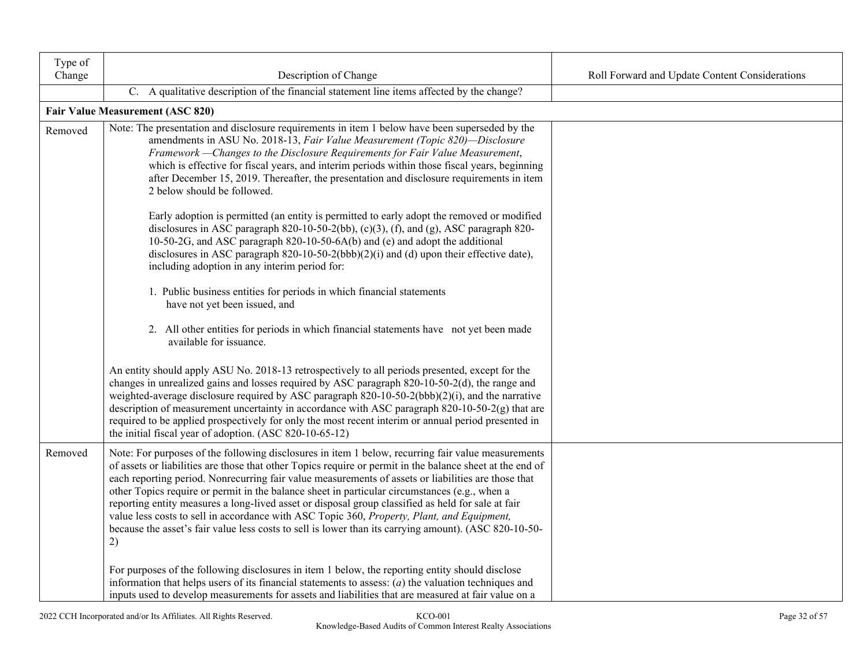| Type of<br>Change |                                                                                                                                                                                                                                                                                                                                                                                                                                                                                                                                                                                                                                                                                                                                            |                                                |
|-------------------|--------------------------------------------------------------------------------------------------------------------------------------------------------------------------------------------------------------------------------------------------------------------------------------------------------------------------------------------------------------------------------------------------------------------------------------------------------------------------------------------------------------------------------------------------------------------------------------------------------------------------------------------------------------------------------------------------------------------------------------------|------------------------------------------------|
|                   | Description of Change<br>C. A qualitative description of the financial statement line items affected by the change?                                                                                                                                                                                                                                                                                                                                                                                                                                                                                                                                                                                                                        | Roll Forward and Update Content Considerations |
|                   |                                                                                                                                                                                                                                                                                                                                                                                                                                                                                                                                                                                                                                                                                                                                            |                                                |
|                   | <b>Fair Value Measurement (ASC 820)</b>                                                                                                                                                                                                                                                                                                                                                                                                                                                                                                                                                                                                                                                                                                    |                                                |
| Removed           | Note: The presentation and disclosure requirements in item 1 below have been superseded by the<br>amendments in ASU No. 2018-13, Fair Value Measurement (Topic 820)-Disclosure<br>Framework - Changes to the Disclosure Requirements for Fair Value Measurement,<br>which is effective for fiscal years, and interim periods within those fiscal years, beginning<br>after December 15, 2019. Thereafter, the presentation and disclosure requirements in item<br>2 below should be followed.                                                                                                                                                                                                                                              |                                                |
|                   | Early adoption is permitted (an entity is permitted to early adopt the removed or modified<br>disclosures in ASC paragraph 820-10-50-2(bb), (c)(3), (f), and (g), ASC paragraph 820-<br>10-50-2G, and ASC paragraph 820-10-50-6A(b) and (e) and adopt the additional<br>disclosures in ASC paragraph $820-10-50-2(bbb)(2)(i)$ and (d) upon their effective date),<br>including adoption in any interim period for:                                                                                                                                                                                                                                                                                                                         |                                                |
|                   | 1. Public business entities for periods in which financial statements<br>have not yet been issued, and                                                                                                                                                                                                                                                                                                                                                                                                                                                                                                                                                                                                                                     |                                                |
|                   | 2. All other entities for periods in which financial statements have not yet been made<br>available for issuance.                                                                                                                                                                                                                                                                                                                                                                                                                                                                                                                                                                                                                          |                                                |
|                   | An entity should apply ASU No. 2018-13 retrospectively to all periods presented, except for the<br>changes in unrealized gains and losses required by ASC paragraph 820-10-50-2(d), the range and<br>weighted-average disclosure required by ASC paragraph 820-10-50-2(bbb) $(2)(i)$ , and the narrative<br>description of measurement uncertainty in accordance with ASC paragraph $820-10-50-2(g)$ that are<br>required to be applied prospectively for only the most recent interim or annual period presented in<br>the initial fiscal year of adoption. (ASC 820-10-65-12)                                                                                                                                                            |                                                |
| Removed           | Note: For purposes of the following disclosures in item 1 below, recurring fair value measurements<br>of assets or liabilities are those that other Topics require or permit in the balance sheet at the end of<br>each reporting period. Nonrecurring fair value measurements of assets or liabilities are those that<br>other Topics require or permit in the balance sheet in particular circumstances (e.g., when a<br>reporting entity measures a long-lived asset or disposal group classified as held for sale at fair<br>value less costs to sell in accordance with ASC Topic 360, Property, Plant, and Equipment,<br>because the asset's fair value less costs to sell is lower than its carrying amount). (ASC 820-10-50-<br>2) |                                                |
|                   | For purposes of the following disclosures in item 1 below, the reporting entity should disclose<br>information that helps users of its financial statements to assess: $(a)$ the valuation techniques and<br>inputs used to develop measurements for assets and liabilities that are measured at fair value on a                                                                                                                                                                                                                                                                                                                                                                                                                           |                                                |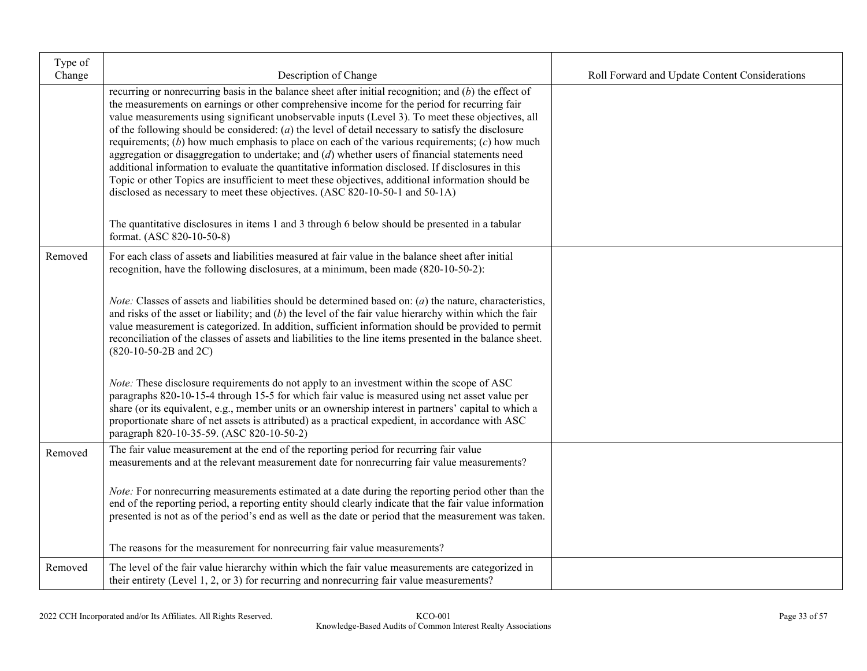| Type of<br>Change | Description of Change                                                                                                                                                                                                                                                                                                                                                                                                                                                                                                                                                                                                                                                                                                                                                                                                                                                                                                                                                                                                                                              | Roll Forward and Update Content Considerations |
|-------------------|--------------------------------------------------------------------------------------------------------------------------------------------------------------------------------------------------------------------------------------------------------------------------------------------------------------------------------------------------------------------------------------------------------------------------------------------------------------------------------------------------------------------------------------------------------------------------------------------------------------------------------------------------------------------------------------------------------------------------------------------------------------------------------------------------------------------------------------------------------------------------------------------------------------------------------------------------------------------------------------------------------------------------------------------------------------------|------------------------------------------------|
|                   | recurring or nonrecurring basis in the balance sheet after initial recognition; and $\overline{(b)}$ the effect of<br>the measurements on earnings or other comprehensive income for the period for recurring fair<br>value measurements using significant unobservable inputs (Level 3). To meet these objectives, all<br>of the following should be considered: $(a)$ the level of detail necessary to satisfy the disclosure<br>requirements; $(b)$ how much emphasis to place on each of the various requirements; $(c)$ how much<br>aggregation or disaggregation to undertake; and $(d)$ whether users of financial statements need<br>additional information to evaluate the quantitative information disclosed. If disclosures in this<br>Topic or other Topics are insufficient to meet these objectives, additional information should be<br>disclosed as necessary to meet these objectives. (ASC 820-10-50-1 and 50-1A)<br>The quantitative disclosures in items 1 and 3 through 6 below should be presented in a tabular<br>format. (ASC 820-10-50-8) |                                                |
| Removed           | For each class of assets and liabilities measured at fair value in the balance sheet after initial<br>recognition, have the following disclosures, at a minimum, been made (820-10-50-2):                                                                                                                                                                                                                                                                                                                                                                                                                                                                                                                                                                                                                                                                                                                                                                                                                                                                          |                                                |
|                   | <i>Note:</i> Classes of assets and liabilities should be determined based on: $(a)$ the nature, characteristics,<br>and risks of the asset or liability; and $(b)$ the level of the fair value hierarchy within which the fair<br>value measurement is categorized. In addition, sufficient information should be provided to permit<br>reconciliation of the classes of assets and liabilities to the line items presented in the balance sheet.<br>$(820-10-50-2B$ and $2C)$                                                                                                                                                                                                                                                                                                                                                                                                                                                                                                                                                                                     |                                                |
|                   | <i>Note:</i> These disclosure requirements do not apply to an investment within the scope of ASC<br>paragraphs 820-10-15-4 through 15-5 for which fair value is measured using net asset value per<br>share (or its equivalent, e.g., member units or an ownership interest in partners' capital to which a<br>proportionate share of net assets is attributed) as a practical expedient, in accordance with ASC<br>paragraph 820-10-35-59. (ASC 820-10-50-2)                                                                                                                                                                                                                                                                                                                                                                                                                                                                                                                                                                                                      |                                                |
| Removed           | The fair value measurement at the end of the reporting period for recurring fair value<br>measurements and at the relevant measurement date for nonrecurring fair value measurements?                                                                                                                                                                                                                                                                                                                                                                                                                                                                                                                                                                                                                                                                                                                                                                                                                                                                              |                                                |
|                   | <i>Note:</i> For nonrecurring measurements estimated at a date during the reporting period other than the<br>end of the reporting period, a reporting entity should clearly indicate that the fair value information<br>presented is not as of the period's end as well as the date or period that the measurement was taken.                                                                                                                                                                                                                                                                                                                                                                                                                                                                                                                                                                                                                                                                                                                                      |                                                |
|                   | The reasons for the measurement for nonrecurring fair value measurements?                                                                                                                                                                                                                                                                                                                                                                                                                                                                                                                                                                                                                                                                                                                                                                                                                                                                                                                                                                                          |                                                |
| Removed           | The level of the fair value hierarchy within which the fair value measurements are categorized in<br>their entirety (Level 1, 2, or 3) for recurring and nonrecurring fair value measurements?                                                                                                                                                                                                                                                                                                                                                                                                                                                                                                                                                                                                                                                                                                                                                                                                                                                                     |                                                |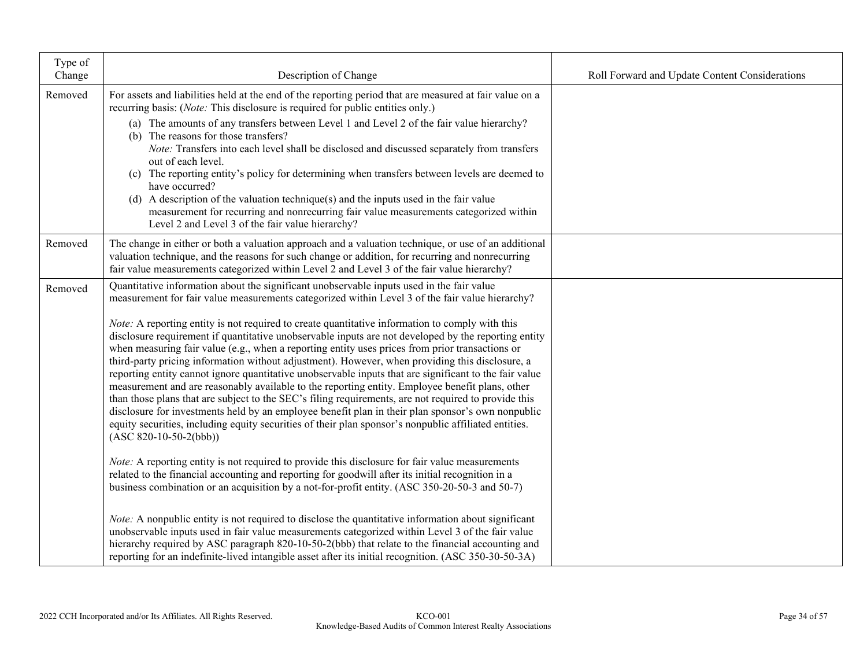| Type of<br>Change | Description of Change                                                                                                                                                                                                                                                                                                                                                                                                                                                                                                                                                                                                                                                                                                                                                                                                                                                                                                                                                                                                                                                                                                                                                                                                                                                                                                                                                                                                                                                                        | Roll Forward and Update Content Considerations |
|-------------------|----------------------------------------------------------------------------------------------------------------------------------------------------------------------------------------------------------------------------------------------------------------------------------------------------------------------------------------------------------------------------------------------------------------------------------------------------------------------------------------------------------------------------------------------------------------------------------------------------------------------------------------------------------------------------------------------------------------------------------------------------------------------------------------------------------------------------------------------------------------------------------------------------------------------------------------------------------------------------------------------------------------------------------------------------------------------------------------------------------------------------------------------------------------------------------------------------------------------------------------------------------------------------------------------------------------------------------------------------------------------------------------------------------------------------------------------------------------------------------------------|------------------------------------------------|
| Removed           | For assets and liabilities held at the end of the reporting period that are measured at fair value on a<br>recurring basis: (Note: This disclosure is required for public entities only.)<br>(a) The amounts of any transfers between Level 1 and Level 2 of the fair value hierarchy?<br>(b) The reasons for those transfers?<br>Note: Transfers into each level shall be disclosed and discussed separately from transfers<br>out of each level.<br>(c) The reporting entity's policy for determining when transfers between levels are deemed to<br>have occurred?<br>(d) A description of the valuation technique(s) and the inputs used in the fair value<br>measurement for recurring and nonrecurring fair value measurements categorized within<br>Level 2 and Level 3 of the fair value hierarchy?                                                                                                                                                                                                                                                                                                                                                                                                                                                                                                                                                                                                                                                                                  |                                                |
| Removed           | The change in either or both a valuation approach and a valuation technique, or use of an additional<br>valuation technique, and the reasons for such change or addition, for recurring and nonrecurring<br>fair value measurements categorized within Level 2 and Level 3 of the fair value hierarchy?                                                                                                                                                                                                                                                                                                                                                                                                                                                                                                                                                                                                                                                                                                                                                                                                                                                                                                                                                                                                                                                                                                                                                                                      |                                                |
| Removed           | Quantitative information about the significant unobservable inputs used in the fair value<br>measurement for fair value measurements categorized within Level 3 of the fair value hierarchy?<br>Note: A reporting entity is not required to create quantitative information to comply with this<br>disclosure requirement if quantitative unobservable inputs are not developed by the reporting entity<br>when measuring fair value (e.g., when a reporting entity uses prices from prior transactions or<br>third-party pricing information without adjustment). However, when providing this disclosure, a<br>reporting entity cannot ignore quantitative unobservable inputs that are significant to the fair value<br>measurement and are reasonably available to the reporting entity. Employee benefit plans, other<br>than those plans that are subject to the SEC's filing requirements, are not required to provide this<br>disclosure for investments held by an employee benefit plan in their plan sponsor's own nonpublic<br>equity securities, including equity securities of their plan sponsor's nonpublic affiliated entities.<br>$(ASC 820-10-50-2(bbb))$<br><i>Note:</i> A reporting entity is not required to provide this disclosure for fair value measurements<br>related to the financial accounting and reporting for goodwill after its initial recognition in a<br>business combination or an acquisition by a not-for-profit entity. (ASC 350-20-50-3 and 50-7) |                                                |
|                   | Note: A nonpublic entity is not required to disclose the quantitative information about significant<br>unobservable inputs used in fair value measurements categorized within Level 3 of the fair value<br>hierarchy required by ASC paragraph 820-10-50-2(bbb) that relate to the financial accounting and<br>reporting for an indefinite-lived intangible asset after its initial recognition. (ASC 350-30-50-3A)                                                                                                                                                                                                                                                                                                                                                                                                                                                                                                                                                                                                                                                                                                                                                                                                                                                                                                                                                                                                                                                                          |                                                |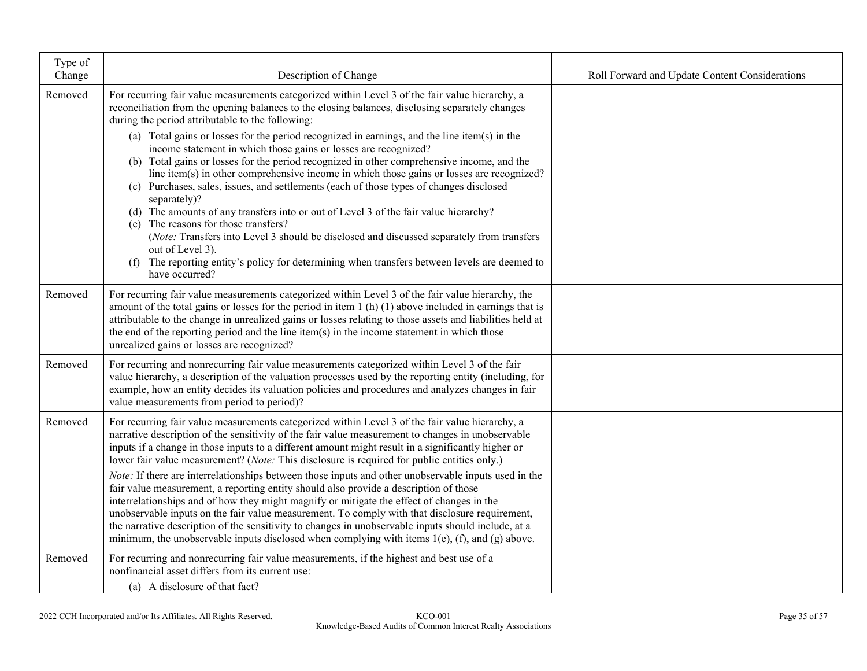| Type of<br>Change | Description of Change                                                                                                                                                                                                                                                                                                                                                                                                                                                                                                                                                                                                                                                                                                                                                                                                                                                                                                                                                                                                                                                                               | Roll Forward and Update Content Considerations |
|-------------------|-----------------------------------------------------------------------------------------------------------------------------------------------------------------------------------------------------------------------------------------------------------------------------------------------------------------------------------------------------------------------------------------------------------------------------------------------------------------------------------------------------------------------------------------------------------------------------------------------------------------------------------------------------------------------------------------------------------------------------------------------------------------------------------------------------------------------------------------------------------------------------------------------------------------------------------------------------------------------------------------------------------------------------------------------------------------------------------------------------|------------------------------------------------|
| Removed           | For recurring fair value measurements categorized within Level 3 of the fair value hierarchy, a<br>reconciliation from the opening balances to the closing balances, disclosing separately changes<br>during the period attributable to the following:<br>(a) Total gains or losses for the period recognized in earnings, and the line item(s) in the<br>income statement in which those gains or losses are recognized?<br>(b) Total gains or losses for the period recognized in other comprehensive income, and the<br>line item(s) in other comprehensive income in which those gains or losses are recognized?<br>(c) Purchases, sales, issues, and settlements (each of those types of changes disclosed<br>separately)?<br>(d) The amounts of any transfers into or out of Level 3 of the fair value hierarchy?<br>(e) The reasons for those transfers?<br>(Note: Transfers into Level 3 should be disclosed and discussed separately from transfers<br>out of Level 3).<br>(f) The reporting entity's policy for determining when transfers between levels are deemed to<br>have occurred? |                                                |
| Removed           | For recurring fair value measurements categorized within Level 3 of the fair value hierarchy, the<br>amount of the total gains or losses for the period in item $1(h)(1)$ above included in earnings that is<br>attributable to the change in unrealized gains or losses relating to those assets and liabilities held at<br>the end of the reporting period and the line item(s) in the income statement in which those<br>unrealized gains or losses are recognized?                                                                                                                                                                                                                                                                                                                                                                                                                                                                                                                                                                                                                              |                                                |
| Removed           | For recurring and nonrecurring fair value measurements categorized within Level 3 of the fair<br>value hierarchy, a description of the valuation processes used by the reporting entity (including, for<br>example, how an entity decides its valuation policies and procedures and analyzes changes in fair<br>value measurements from period to period)?                                                                                                                                                                                                                                                                                                                                                                                                                                                                                                                                                                                                                                                                                                                                          |                                                |
| Removed           | For recurring fair value measurements categorized within Level 3 of the fair value hierarchy, a<br>narrative description of the sensitivity of the fair value measurement to changes in unobservable<br>inputs if a change in those inputs to a different amount might result in a significantly higher or<br>lower fair value measurement? (Note: This disclosure is required for public entities only.)<br>Note: If there are interrelationships between those inputs and other unobservable inputs used in the<br>fair value measurement, a reporting entity should also provide a description of those<br>interrelationships and of how they might magnify or mitigate the effect of changes in the<br>unobservable inputs on the fair value measurement. To comply with that disclosure requirement,<br>the narrative description of the sensitivity to changes in unobservable inputs should include, at a<br>minimum, the unobservable inputs disclosed when complying with items $1(e)$ , $(f)$ , and $(g)$ above.                                                                          |                                                |
| Removed           | For recurring and nonrecurring fair value measurements, if the highest and best use of a<br>nonfinancial asset differs from its current use:<br>(a) A disclosure of that fact?                                                                                                                                                                                                                                                                                                                                                                                                                                                                                                                                                                                                                                                                                                                                                                                                                                                                                                                      |                                                |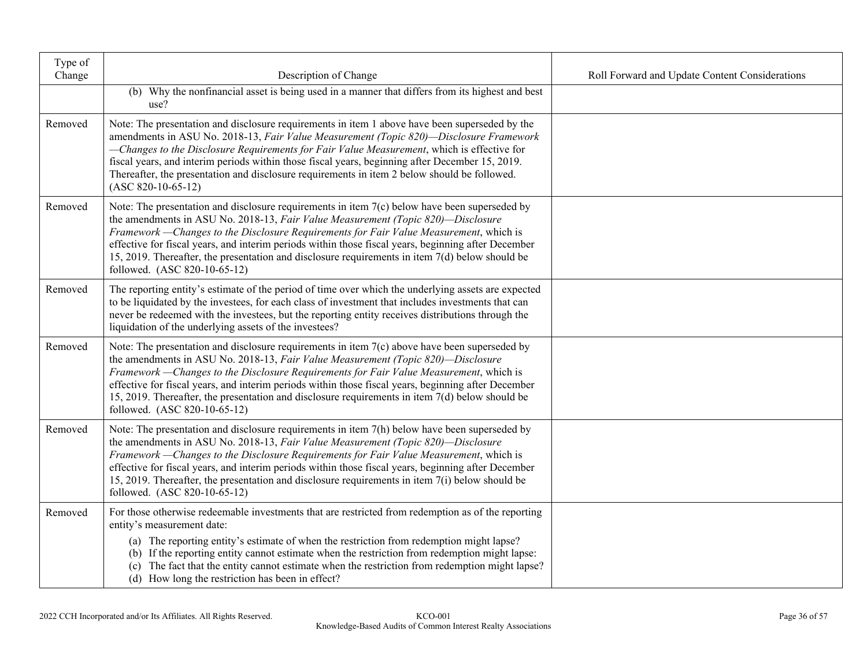| Type of<br>Change | Description of Change                                                                                                                                                                                                                                                                                                                                                                                                                                                                                                    | Roll Forward and Update Content Considerations |
|-------------------|--------------------------------------------------------------------------------------------------------------------------------------------------------------------------------------------------------------------------------------------------------------------------------------------------------------------------------------------------------------------------------------------------------------------------------------------------------------------------------------------------------------------------|------------------------------------------------|
|                   | (b) Why the nonfinancial asset is being used in a manner that differs from its highest and best<br>use?                                                                                                                                                                                                                                                                                                                                                                                                                  |                                                |
| Removed           | Note: The presentation and disclosure requirements in item 1 above have been superseded by the<br>amendments in ASU No. 2018-13, Fair Value Measurement (Topic 820)-Disclosure Framework<br>-Changes to the Disclosure Requirements for Fair Value Measurement, which is effective for<br>fiscal years, and interim periods within those fiscal years, beginning after December 15, 2019.<br>Thereafter, the presentation and disclosure requirements in item 2 below should be followed.<br>$(ASC 820-10-65-12)$        |                                                |
| Removed           | Note: The presentation and disclosure requirements in item $7(c)$ below have been superseded by<br>the amendments in ASU No. 2018-13, Fair Value Measurement (Topic 820)-Disclosure<br>Framework - Changes to the Disclosure Requirements for Fair Value Measurement, which is<br>effective for fiscal years, and interim periods within those fiscal years, beginning after December<br>15, 2019. Thereafter, the presentation and disclosure requirements in item 7(d) below should be<br>followed. (ASC 820-10-65-12) |                                                |
| Removed           | The reporting entity's estimate of the period of time over which the underlying assets are expected<br>to be liquidated by the investees, for each class of investment that includes investments that can<br>never be redeemed with the investees, but the reporting entity receives distributions through the<br>liquidation of the underlying assets of the investees?                                                                                                                                                 |                                                |
| Removed           | Note: The presentation and disclosure requirements in item $7(c)$ above have been superseded by<br>the amendments in ASU No. 2018-13, Fair Value Measurement (Topic 820)—Disclosure<br>Framework - Changes to the Disclosure Requirements for Fair Value Measurement, which is<br>effective for fiscal years, and interim periods within those fiscal years, beginning after December<br>15, 2019. Thereafter, the presentation and disclosure requirements in item 7(d) below should be<br>followed. (ASC 820-10-65-12) |                                                |
| Removed           | Note: The presentation and disclosure requirements in item 7(h) below have been superseded by<br>the amendments in ASU No. 2018-13, Fair Value Measurement (Topic 820)-Disclosure<br>Framework - Changes to the Disclosure Requirements for Fair Value Measurement, which is<br>effective for fiscal years, and interim periods within those fiscal years, beginning after December<br>15, 2019. Thereafter, the presentation and disclosure requirements in item $7(i)$ below should be<br>followed. (ASC 820-10-65-12) |                                                |
| Removed           | For those otherwise redeemable investments that are restricted from redemption as of the reporting<br>entity's measurement date:<br>(a) The reporting entity's estimate of when the restriction from redemption might lapse?<br>(b) If the reporting entity cannot estimate when the restriction from redemption might lapse:<br>(c) The fact that the entity cannot estimate when the restriction from redemption might lapse?<br>(d) How long the restriction has been in effect?                                      |                                                |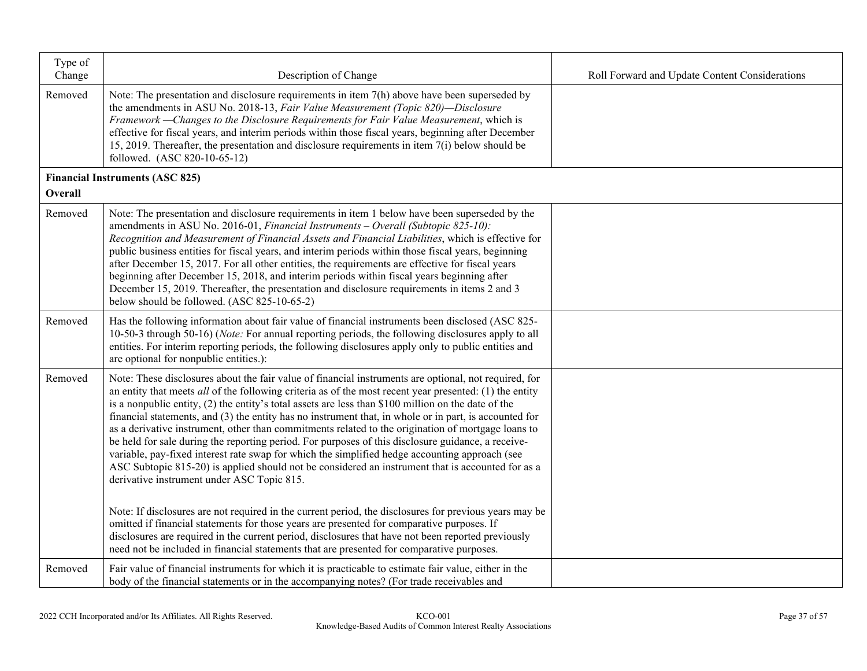| Type of<br>Change | Description of Change                                                                                                                                                                                                                                                                                                                                                                                                                                                                                                                                                                                                                                                                                                                                                                                                                                                                                | Roll Forward and Update Content Considerations |
|-------------------|------------------------------------------------------------------------------------------------------------------------------------------------------------------------------------------------------------------------------------------------------------------------------------------------------------------------------------------------------------------------------------------------------------------------------------------------------------------------------------------------------------------------------------------------------------------------------------------------------------------------------------------------------------------------------------------------------------------------------------------------------------------------------------------------------------------------------------------------------------------------------------------------------|------------------------------------------------|
| Removed           | Note: The presentation and disclosure requirements in item $7(h)$ above have been superseded by<br>the amendments in ASU No. 2018-13, Fair Value Measurement (Topic 820)-Disclosure<br>Framework - Changes to the Disclosure Requirements for Fair Value Measurement, which is<br>effective for fiscal years, and interim periods within those fiscal years, beginning after December<br>15, 2019. Thereafter, the presentation and disclosure requirements in item $7(i)$ below should be<br>followed. (ASC 820-10-65-12)                                                                                                                                                                                                                                                                                                                                                                           |                                                |
|                   | <b>Financial Instruments (ASC 825)</b>                                                                                                                                                                                                                                                                                                                                                                                                                                                                                                                                                                                                                                                                                                                                                                                                                                                               |                                                |
| Overall           |                                                                                                                                                                                                                                                                                                                                                                                                                                                                                                                                                                                                                                                                                                                                                                                                                                                                                                      |                                                |
| Removed           | Note: The presentation and disclosure requirements in item 1 below have been superseded by the<br>amendments in ASU No. 2016-01, Financial Instruments - Overall (Subtopic 825-10):<br>Recognition and Measurement of Financial Assets and Financial Liabilities, which is effective for<br>public business entities for fiscal years, and interim periods within those fiscal years, beginning<br>after December 15, 2017. For all other entities, the requirements are effective for fiscal years<br>beginning after December 15, 2018, and interim periods within fiscal years beginning after<br>December 15, 2019. Thereafter, the presentation and disclosure requirements in items 2 and 3<br>below should be followed. (ASC 825-10-65-2)                                                                                                                                                     |                                                |
| Removed           | Has the following information about fair value of financial instruments been disclosed (ASC 825-<br>10-50-3 through 50-16) (Note: For annual reporting periods, the following disclosures apply to all<br>entities. For interim reporting periods, the following disclosures apply only to public entities and<br>are optional for nonpublic entities.):                                                                                                                                                                                                                                                                                                                                                                                                                                                                                                                                             |                                                |
| Removed           | Note: These disclosures about the fair value of financial instruments are optional, not required, for<br>an entity that meets all of the following criteria as of the most recent year presented: (1) the entity<br>is a nonpublic entity, $(2)$ the entity's total assets are less than \$100 million on the date of the<br>financial statements, and (3) the entity has no instrument that, in whole or in part, is accounted for<br>as a derivative instrument, other than commitments related to the origination of mortgage loans to<br>be held for sale during the reporting period. For purposes of this disclosure guidance, a receive-<br>variable, pay-fixed interest rate swap for which the simplified hedge accounting approach (see<br>ASC Subtopic 815-20) is applied should not be considered an instrument that is accounted for as a<br>derivative instrument under ASC Topic 815. |                                                |
|                   | Note: If disclosures are not required in the current period, the disclosures for previous years may be<br>omitted if financial statements for those years are presented for comparative purposes. If<br>disclosures are required in the current period, disclosures that have not been reported previously<br>need not be included in financial statements that are presented for comparative purposes.                                                                                                                                                                                                                                                                                                                                                                                                                                                                                              |                                                |
| Removed           | Fair value of financial instruments for which it is practicable to estimate fair value, either in the<br>body of the financial statements or in the accompanying notes? (For trade receivables and                                                                                                                                                                                                                                                                                                                                                                                                                                                                                                                                                                                                                                                                                                   |                                                |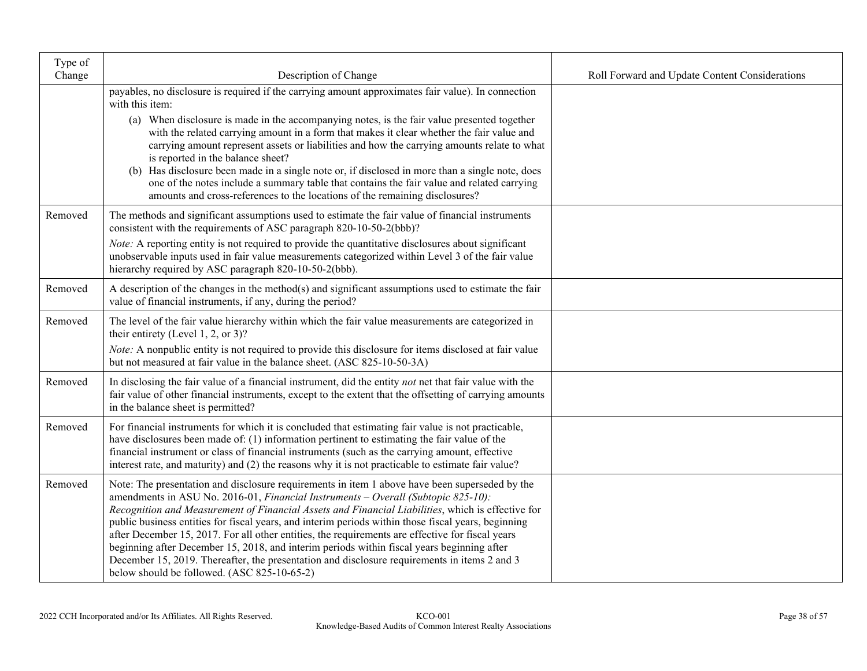| Type of<br>Change | Description of Change                                                                                                                                                                                                                                                                                                                                                                                                                                                                                                                                                                                                                                                                                                                                    | Roll Forward and Update Content Considerations |
|-------------------|----------------------------------------------------------------------------------------------------------------------------------------------------------------------------------------------------------------------------------------------------------------------------------------------------------------------------------------------------------------------------------------------------------------------------------------------------------------------------------------------------------------------------------------------------------------------------------------------------------------------------------------------------------------------------------------------------------------------------------------------------------|------------------------------------------------|
|                   | payables, no disclosure is required if the carrying amount approximates fair value). In connection<br>with this item:                                                                                                                                                                                                                                                                                                                                                                                                                                                                                                                                                                                                                                    |                                                |
|                   | (a) When disclosure is made in the accompanying notes, is the fair value presented together<br>with the related carrying amount in a form that makes it clear whether the fair value and<br>carrying amount represent assets or liabilities and how the carrying amounts relate to what<br>is reported in the balance sheet?<br>(b) Has disclosure been made in a single note or, if disclosed in more than a single note, does                                                                                                                                                                                                                                                                                                                          |                                                |
|                   | one of the notes include a summary table that contains the fair value and related carrying<br>amounts and cross-references to the locations of the remaining disclosures?                                                                                                                                                                                                                                                                                                                                                                                                                                                                                                                                                                                |                                                |
| Removed           | The methods and significant assumptions used to estimate the fair value of financial instruments<br>consistent with the requirements of ASC paragraph 820-10-50-2(bbb)?                                                                                                                                                                                                                                                                                                                                                                                                                                                                                                                                                                                  |                                                |
|                   | Note: A reporting entity is not required to provide the quantitative disclosures about significant<br>unobservable inputs used in fair value measurements categorized within Level 3 of the fair value<br>hierarchy required by ASC paragraph 820-10-50-2(bbb).                                                                                                                                                                                                                                                                                                                                                                                                                                                                                          |                                                |
| Removed           | A description of the changes in the method(s) and significant assumptions used to estimate the fair<br>value of financial instruments, if any, during the period?                                                                                                                                                                                                                                                                                                                                                                                                                                                                                                                                                                                        |                                                |
| Removed           | The level of the fair value hierarchy within which the fair value measurements are categorized in<br>their entirety (Level 1, 2, or 3)?                                                                                                                                                                                                                                                                                                                                                                                                                                                                                                                                                                                                                  |                                                |
|                   | Note: A nonpublic entity is not required to provide this disclosure for items disclosed at fair value<br>but not measured at fair value in the balance sheet. (ASC 825-10-50-3A)                                                                                                                                                                                                                                                                                                                                                                                                                                                                                                                                                                         |                                                |
| Removed           | In disclosing the fair value of a financial instrument, did the entity not net that fair value with the<br>fair value of other financial instruments, except to the extent that the offsetting of carrying amounts<br>in the balance sheet is permitted?                                                                                                                                                                                                                                                                                                                                                                                                                                                                                                 |                                                |
| Removed           | For financial instruments for which it is concluded that estimating fair value is not practicable,<br>have disclosures been made of: (1) information pertinent to estimating the fair value of the<br>financial instrument or class of financial instruments (such as the carrying amount, effective<br>interest rate, and maturity) and (2) the reasons why it is not practicable to estimate fair value?                                                                                                                                                                                                                                                                                                                                               |                                                |
| Removed           | Note: The presentation and disclosure requirements in item 1 above have been superseded by the<br>amendments in ASU No. 2016-01, <i>Financial Instruments – Overall (Subtopic 825-10)</i> :<br>Recognition and Measurement of Financial Assets and Financial Liabilities, which is effective for<br>public business entities for fiscal years, and interim periods within those fiscal years, beginning<br>after December 15, 2017. For all other entities, the requirements are effective for fiscal years<br>beginning after December 15, 2018, and interim periods within fiscal years beginning after<br>December 15, 2019. Thereafter, the presentation and disclosure requirements in items 2 and 3<br>below should be followed. (ASC 825-10-65-2) |                                                |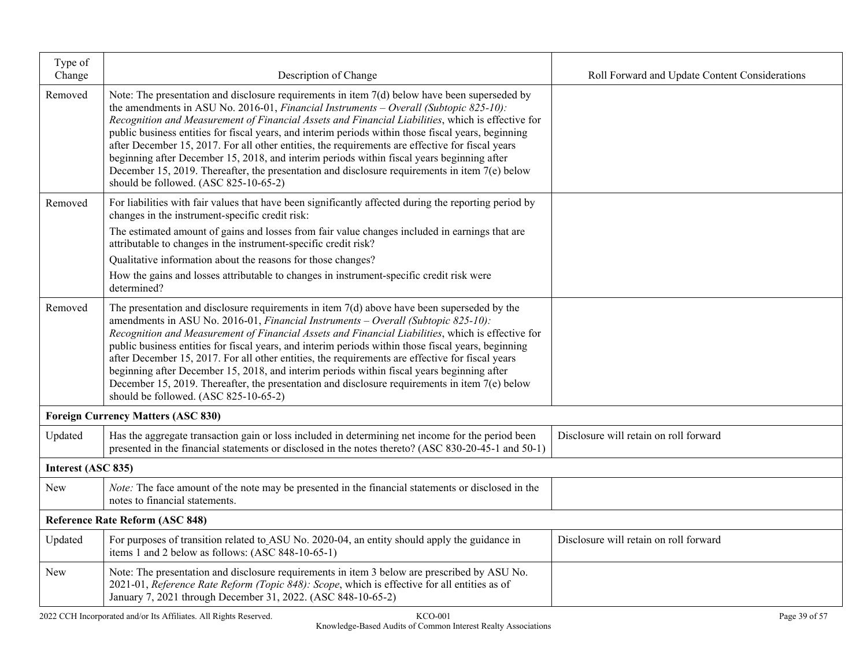| Type of<br>Change  | Description of Change                                                                                                                                                                                                                                                                                                                                                                                                                                                                                                                                                                                                                                                                                                                             | Roll Forward and Update Content Considerations |
|--------------------|---------------------------------------------------------------------------------------------------------------------------------------------------------------------------------------------------------------------------------------------------------------------------------------------------------------------------------------------------------------------------------------------------------------------------------------------------------------------------------------------------------------------------------------------------------------------------------------------------------------------------------------------------------------------------------------------------------------------------------------------------|------------------------------------------------|
| Removed            | Note: The presentation and disclosure requirements in item $7(d)$ below have been superseded by<br>the amendments in ASU No. 2016-01, Financial Instruments - Overall (Subtopic 825-10):<br>Recognition and Measurement of Financial Assets and Financial Liabilities, which is effective for<br>public business entities for fiscal years, and interim periods within those fiscal years, beginning<br>after December 15, 2017. For all other entities, the requirements are effective for fiscal years<br>beginning after December 15, 2018, and interim periods within fiscal years beginning after<br>December 15, 2019. Thereafter, the presentation and disclosure requirements in item 7(e) below<br>should be followed. (ASC 825-10-65-2) |                                                |
| Removed            | For liabilities with fair values that have been significantly affected during the reporting period by<br>changes in the instrument-specific credit risk:                                                                                                                                                                                                                                                                                                                                                                                                                                                                                                                                                                                          |                                                |
|                    | The estimated amount of gains and losses from fair value changes included in earnings that are<br>attributable to changes in the instrument-specific credit risk?                                                                                                                                                                                                                                                                                                                                                                                                                                                                                                                                                                                 |                                                |
|                    | Qualitative information about the reasons for those changes?                                                                                                                                                                                                                                                                                                                                                                                                                                                                                                                                                                                                                                                                                      |                                                |
|                    | How the gains and losses attributable to changes in instrument-specific credit risk were<br>determined?                                                                                                                                                                                                                                                                                                                                                                                                                                                                                                                                                                                                                                           |                                                |
| Removed            | The presentation and disclosure requirements in item $7(d)$ above have been superseded by the<br>amendments in ASU No. 2016-01, Financial Instruments - Overall (Subtopic 825-10):<br>Recognition and Measurement of Financial Assets and Financial Liabilities, which is effective for<br>public business entities for fiscal years, and interim periods within those fiscal years, beginning<br>after December 15, 2017. For all other entities, the requirements are effective for fiscal years<br>beginning after December 15, 2018, and interim periods within fiscal years beginning after<br>December 15, 2019. Thereafter, the presentation and disclosure requirements in item $7(e)$ below<br>should be followed. (ASC 825-10-65-2)     |                                                |
|                    | <b>Foreign Currency Matters (ASC 830)</b>                                                                                                                                                                                                                                                                                                                                                                                                                                                                                                                                                                                                                                                                                                         |                                                |
| Updated            | Has the aggregate transaction gain or loss included in determining net income for the period been<br>presented in the financial statements or disclosed in the notes thereto? (ASC 830-20-45-1 and 50-1)                                                                                                                                                                                                                                                                                                                                                                                                                                                                                                                                          | Disclosure will retain on roll forward         |
| Interest (ASC 835) |                                                                                                                                                                                                                                                                                                                                                                                                                                                                                                                                                                                                                                                                                                                                                   |                                                |
| New                | Note: The face amount of the note may be presented in the financial statements or disclosed in the<br>notes to financial statements.                                                                                                                                                                                                                                                                                                                                                                                                                                                                                                                                                                                                              |                                                |
|                    | <b>Reference Rate Reform (ASC 848)</b>                                                                                                                                                                                                                                                                                                                                                                                                                                                                                                                                                                                                                                                                                                            |                                                |
| Updated            | For purposes of transition related to ASU No. 2020-04, an entity should apply the guidance in<br>items 1 and 2 below as follows: (ASC 848-10-65-1)                                                                                                                                                                                                                                                                                                                                                                                                                                                                                                                                                                                                | Disclosure will retain on roll forward         |
| New                | Note: The presentation and disclosure requirements in item 3 below are prescribed by ASU No.<br>2021-01, Reference Rate Reform (Topic 848): Scope, which is effective for all entities as of<br>January 7, 2021 through December 31, 2022. (ASC 848-10-65-2)                                                                                                                                                                                                                                                                                                                                                                                                                                                                                      |                                                |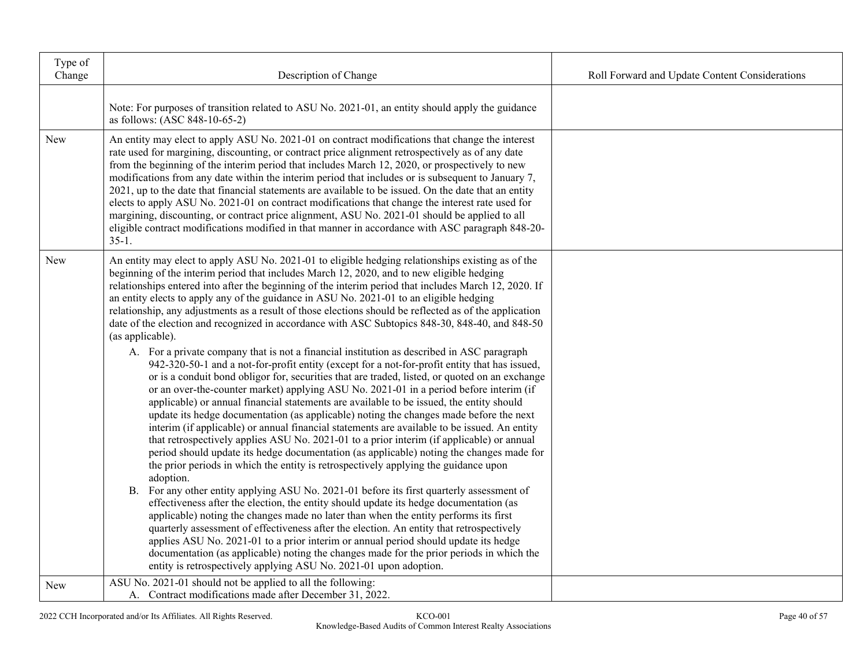| Type of<br>Change | Description of Change                                                                                                                                                                                                                                                                                                                                                                                                                                                                                                                                                                                                                                                                                                                                                                                                                                                                                                                                                                                                                                                                                                                                                                                                                                                                                                                                                                                                                                                                                                                                                                                                                                                                                                                                                                                                                                                                                                                                                                                                                                                                                                                                                           | Roll Forward and Update Content Considerations |
|-------------------|---------------------------------------------------------------------------------------------------------------------------------------------------------------------------------------------------------------------------------------------------------------------------------------------------------------------------------------------------------------------------------------------------------------------------------------------------------------------------------------------------------------------------------------------------------------------------------------------------------------------------------------------------------------------------------------------------------------------------------------------------------------------------------------------------------------------------------------------------------------------------------------------------------------------------------------------------------------------------------------------------------------------------------------------------------------------------------------------------------------------------------------------------------------------------------------------------------------------------------------------------------------------------------------------------------------------------------------------------------------------------------------------------------------------------------------------------------------------------------------------------------------------------------------------------------------------------------------------------------------------------------------------------------------------------------------------------------------------------------------------------------------------------------------------------------------------------------------------------------------------------------------------------------------------------------------------------------------------------------------------------------------------------------------------------------------------------------------------------------------------------------------------------------------------------------|------------------------------------------------|
|                   | Note: For purposes of transition related to ASU No. 2021-01, an entity should apply the guidance<br>as follows: (ASC 848-10-65-2)                                                                                                                                                                                                                                                                                                                                                                                                                                                                                                                                                                                                                                                                                                                                                                                                                                                                                                                                                                                                                                                                                                                                                                                                                                                                                                                                                                                                                                                                                                                                                                                                                                                                                                                                                                                                                                                                                                                                                                                                                                               |                                                |
| <b>New</b>        | An entity may elect to apply ASU No. 2021-01 on contract modifications that change the interest<br>rate used for margining, discounting, or contract price alignment retrospectively as of any date<br>from the beginning of the interim period that includes March 12, 2020, or prospectively to new<br>modifications from any date within the interim period that includes or is subsequent to January 7,<br>2021, up to the date that financial statements are available to be issued. On the date that an entity<br>elects to apply ASU No. 2021-01 on contract modifications that change the interest rate used for<br>margining, discounting, or contract price alignment, ASU No. 2021-01 should be applied to all<br>eligible contract modifications modified in that manner in accordance with ASC paragraph 848-20-<br>$35-1.$                                                                                                                                                                                                                                                                                                                                                                                                                                                                                                                                                                                                                                                                                                                                                                                                                                                                                                                                                                                                                                                                                                                                                                                                                                                                                                                                        |                                                |
| New               | An entity may elect to apply ASU No. 2021-01 to eligible hedging relationships existing as of the<br>beginning of the interim period that includes March 12, 2020, and to new eligible hedging<br>relationships entered into after the beginning of the interim period that includes March 12, 2020. If<br>an entity elects to apply any of the guidance in ASU No. 2021-01 to an eligible hedging<br>relationship, any adjustments as a result of those elections should be reflected as of the application<br>date of the election and recognized in accordance with ASC Subtopics 848-30, 848-40, and 848-50<br>(as applicable).<br>A. For a private company that is not a financial institution as described in ASC paragraph<br>942-320-50-1 and a not-for-profit entity (except for a not-for-profit entity that has issued,<br>or is a conduit bond obligor for, securities that are traded, listed, or quoted on an exchange<br>or an over-the-counter market) applying ASU No. 2021-01 in a period before interim (if<br>applicable) or annual financial statements are available to be issued, the entity should<br>update its hedge documentation (as applicable) noting the changes made before the next<br>interim (if applicable) or annual financial statements are available to be issued. An entity<br>that retrospectively applies ASU No. 2021-01 to a prior interim (if applicable) or annual<br>period should update its hedge documentation (as applicable) noting the changes made for<br>the prior periods in which the entity is retrospectively applying the guidance upon<br>adoption.<br>B. For any other entity applying ASU No. 2021-01 before its first quarterly assessment of<br>effectiveness after the election, the entity should update its hedge documentation (as<br>applicable) noting the changes made no later than when the entity performs its first<br>quarterly assessment of effectiveness after the election. An entity that retrospectively<br>applies ASU No. 2021-01 to a prior interim or annual period should update its hedge<br>documentation (as applicable) noting the changes made for the prior periods in which the |                                                |
| New               | entity is retrospectively applying ASU No. 2021-01 upon adoption.<br>ASU No. 2021-01 should not be applied to all the following:<br>A. Contract modifications made after December 31, 2022.                                                                                                                                                                                                                                                                                                                                                                                                                                                                                                                                                                                                                                                                                                                                                                                                                                                                                                                                                                                                                                                                                                                                                                                                                                                                                                                                                                                                                                                                                                                                                                                                                                                                                                                                                                                                                                                                                                                                                                                     |                                                |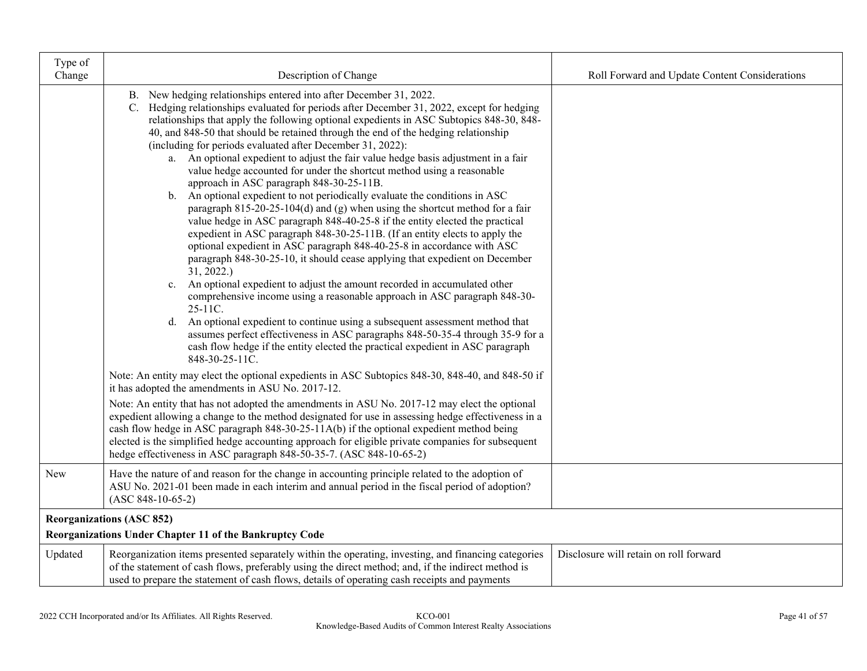| Type of<br>Change | Description of Change                                                                                                                                                                                                                                                                                                                                                                                                                                                                                                                                                                                                                                                                                                                                                                                                                                                                                                                                                                                                                                                                                                                                                                                                                                                                                                                                                                                                                                                                                                                                                                            | Roll Forward and Update Content Considerations |
|-------------------|--------------------------------------------------------------------------------------------------------------------------------------------------------------------------------------------------------------------------------------------------------------------------------------------------------------------------------------------------------------------------------------------------------------------------------------------------------------------------------------------------------------------------------------------------------------------------------------------------------------------------------------------------------------------------------------------------------------------------------------------------------------------------------------------------------------------------------------------------------------------------------------------------------------------------------------------------------------------------------------------------------------------------------------------------------------------------------------------------------------------------------------------------------------------------------------------------------------------------------------------------------------------------------------------------------------------------------------------------------------------------------------------------------------------------------------------------------------------------------------------------------------------------------------------------------------------------------------------------|------------------------------------------------|
|                   | B. New hedging relationships entered into after December 31, 2022.<br>C. Hedging relationships evaluated for periods after December 31, 2022, except for hedging<br>relationships that apply the following optional expedients in ASC Subtopics 848-30, 848-<br>40, and 848-50 that should be retained through the end of the hedging relationship<br>(including for periods evaluated after December 31, 2022):<br>a. An optional expedient to adjust the fair value hedge basis adjustment in a fair<br>value hedge accounted for under the shortcut method using a reasonable<br>approach in ASC paragraph 848-30-25-11B.<br>b. An optional expedient to not periodically evaluate the conditions in ASC<br>paragraph $815-20-25-104(d)$ and (g) when using the shortcut method for a fair<br>value hedge in ASC paragraph 848-40-25-8 if the entity elected the practical<br>expedient in ASC paragraph 848-30-25-11B. (If an entity elects to apply the<br>optional expedient in ASC paragraph 848-40-25-8 in accordance with ASC<br>paragraph 848-30-25-10, it should cease applying that expedient on December<br>31, 2022.<br>An optional expedient to adjust the amount recorded in accumulated other<br>$\mathbf{c}$ .<br>comprehensive income using a reasonable approach in ASC paragraph 848-30-<br>25-11C.<br>d. An optional expedient to continue using a subsequent assessment method that<br>assumes perfect effectiveness in ASC paragraphs 848-50-35-4 through 35-9 for a<br>cash flow hedge if the entity elected the practical expedient in ASC paragraph<br>848-30-25-11C. |                                                |
|                   | Note: An entity may elect the optional expedients in ASC Subtopics 848-30, 848-40, and 848-50 if<br>it has adopted the amendments in ASU No. 2017-12.<br>Note: An entity that has not adopted the amendments in ASU No. 2017-12 may elect the optional<br>expedient allowing a change to the method designated for use in assessing hedge effectiveness in a<br>cash flow hedge in ASC paragraph 848-30-25-11A(b) if the optional expedient method being<br>elected is the simplified hedge accounting approach for eligible private companies for subsequent<br>hedge effectiveness in ASC paragraph 848-50-35-7. (ASC 848-10-65-2)                                                                                                                                                                                                                                                                                                                                                                                                                                                                                                                                                                                                                                                                                                                                                                                                                                                                                                                                                             |                                                |
| New               | Have the nature of and reason for the change in accounting principle related to the adoption of<br>ASU No. 2021-01 been made in each interim and annual period in the fiscal period of adoption?<br>$(ASC 848-10-65-2)$                                                                                                                                                                                                                                                                                                                                                                                                                                                                                                                                                                                                                                                                                                                                                                                                                                                                                                                                                                                                                                                                                                                                                                                                                                                                                                                                                                          |                                                |
|                   | <b>Reorganizations (ASC 852)</b><br>Reorganizations Under Chapter 11 of the Bankruptcy Code                                                                                                                                                                                                                                                                                                                                                                                                                                                                                                                                                                                                                                                                                                                                                                                                                                                                                                                                                                                                                                                                                                                                                                                                                                                                                                                                                                                                                                                                                                      |                                                |
| Updated           | Reorganization items presented separately within the operating, investing, and financing categories<br>of the statement of cash flows, preferably using the direct method; and, if the indirect method is<br>used to prepare the statement of cash flows, details of operating cash receipts and payments                                                                                                                                                                                                                                                                                                                                                                                                                                                                                                                                                                                                                                                                                                                                                                                                                                                                                                                                                                                                                                                                                                                                                                                                                                                                                        | Disclosure will retain on roll forward         |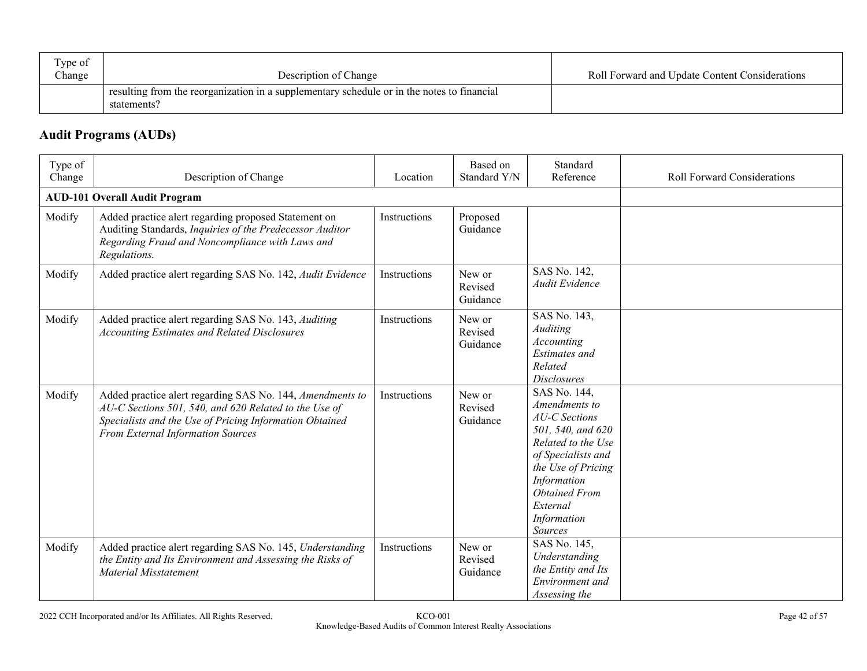| Type of<br>Change | Description of Change                                                                                     | Roll Forward and Update Content Considerations |
|-------------------|-----------------------------------------------------------------------------------------------------------|------------------------------------------------|
|                   | resulting from the reorganization in a supplementary schedule or in the notes to financial<br>statements? |                                                |

# **Audit Programs (AUDs)**

| Type of<br>Change | Description of Change                                                                                                                                                                                              | Location            | Based on<br>Standard Y/N      | Standard<br>Reference                                                                                                                                                                                                            | <b>Roll Forward Considerations</b> |
|-------------------|--------------------------------------------------------------------------------------------------------------------------------------------------------------------------------------------------------------------|---------------------|-------------------------------|----------------------------------------------------------------------------------------------------------------------------------------------------------------------------------------------------------------------------------|------------------------------------|
|                   | <b>AUD-101 Overall Audit Program</b>                                                                                                                                                                               |                     |                               |                                                                                                                                                                                                                                  |                                    |
| Modify            | Added practice alert regarding proposed Statement on<br>Auditing Standards, Inquiries of the Predecessor Auditor<br>Regarding Fraud and Noncompliance with Laws and<br>Regulations.                                | <b>Instructions</b> | Proposed<br>Guidance          |                                                                                                                                                                                                                                  |                                    |
| Modify            | Added practice alert regarding SAS No. 142, Audit Evidence                                                                                                                                                         | Instructions        | New or<br>Revised<br>Guidance | SAS No. 142,<br><b>Audit Evidence</b>                                                                                                                                                                                            |                                    |
| Modify            | Added practice alert regarding SAS No. 143, Auditing<br><b>Accounting Estimates and Related Disclosures</b>                                                                                                        | Instructions        | New or<br>Revised<br>Guidance | SAS No. 143,<br><b>Auditing</b><br>Accounting<br><b>Estimates</b> and<br>Related<br><b>Disclosures</b>                                                                                                                           |                                    |
| Modify            | Added practice alert regarding SAS No. 144, Amendments to<br>AU-C Sections 501, 540, and 620 Related to the Use of<br>Specialists and the Use of Pricing Information Obtained<br>From External Information Sources | <b>Instructions</b> | New or<br>Revised<br>Guidance | SAS No. 144,<br>Amendments to<br><b>AU-C</b> Sections<br>501, 540, and 620<br>Related to the Use<br>of Specialists and<br>the Use of Pricing<br>Information<br><b>Obtained From</b><br>External<br>Information<br><b>Sources</b> |                                    |
| Modify            | Added practice alert regarding SAS No. 145, Understanding<br>the Entity and Its Environment and Assessing the Risks of<br>Material Misstatement                                                                    | Instructions        | New or<br>Revised<br>Guidance | SAS No. 145,<br>Understanding<br>the Entity and Its<br>Environment and<br>Assessing the                                                                                                                                          |                                    |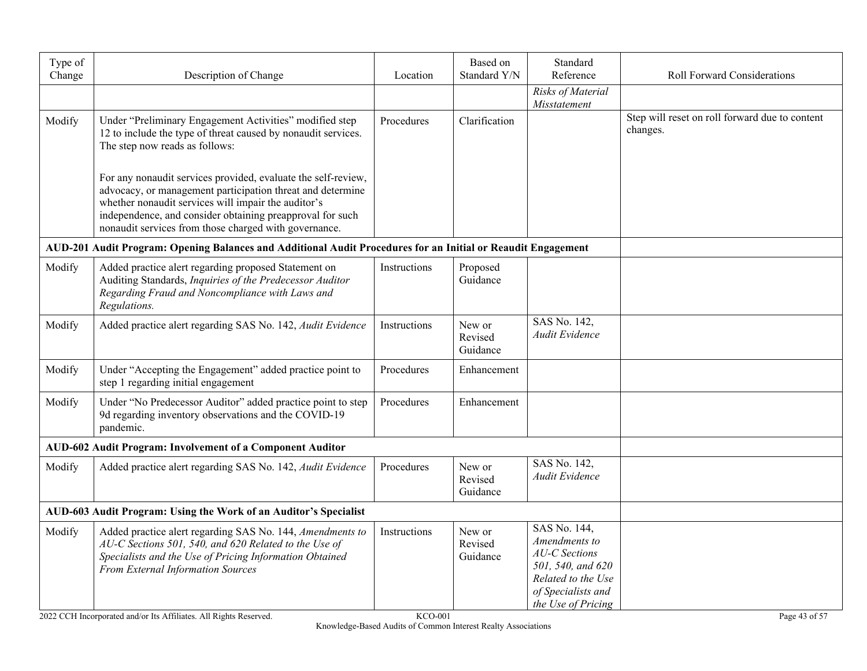| Type of<br>Change | Description of Change                                                                                                                                                                                                                                                                                    | Location            | Based on<br>Standard Y/N      | Standard<br>Reference                                                                                                                        | <b>Roll Forward Considerations</b>                         |
|-------------------|----------------------------------------------------------------------------------------------------------------------------------------------------------------------------------------------------------------------------------------------------------------------------------------------------------|---------------------|-------------------------------|----------------------------------------------------------------------------------------------------------------------------------------------|------------------------------------------------------------|
|                   |                                                                                                                                                                                                                                                                                                          |                     |                               | Risks of Material<br>Misstatement                                                                                                            |                                                            |
| Modify            | Under "Preliminary Engagement Activities" modified step<br>12 to include the type of threat caused by nonaudit services.<br>The step now reads as follows:                                                                                                                                               | Procedures          | Clarification                 |                                                                                                                                              | Step will reset on roll forward due to content<br>changes. |
|                   | For any nonaudit services provided, evaluate the self-review,<br>advocacy, or management participation threat and determine<br>whether nonaudit services will impair the auditor's<br>independence, and consider obtaining preapproval for such<br>nonaudit services from those charged with governance. |                     |                               |                                                                                                                                              |                                                            |
|                   | AUD-201 Audit Program: Opening Balances and Additional Audit Procedures for an Initial or Reaudit Engagement                                                                                                                                                                                             |                     |                               |                                                                                                                                              |                                                            |
| Modify            | Added practice alert regarding proposed Statement on<br>Auditing Standards, Inquiries of the Predecessor Auditor<br>Regarding Fraud and Noncompliance with Laws and<br>Regulations.                                                                                                                      | <b>Instructions</b> | Proposed<br>Guidance          |                                                                                                                                              |                                                            |
| Modify            | Added practice alert regarding SAS No. 142, Audit Evidence                                                                                                                                                                                                                                               | Instructions        | New or<br>Revised<br>Guidance | SAS No. 142,<br>Audit Evidence                                                                                                               |                                                            |
| Modify            | Under "Accepting the Engagement" added practice point to<br>step 1 regarding initial engagement                                                                                                                                                                                                          | Procedures          | Enhancement                   |                                                                                                                                              |                                                            |
| Modify            | Under "No Predecessor Auditor" added practice point to step<br>9d regarding inventory observations and the COVID-19<br>pandemic.                                                                                                                                                                         | Procedures          | Enhancement                   |                                                                                                                                              |                                                            |
|                   | AUD-602 Audit Program: Involvement of a Component Auditor                                                                                                                                                                                                                                                |                     |                               |                                                                                                                                              |                                                            |
| Modify            | Added practice alert regarding SAS No. 142, Audit Evidence                                                                                                                                                                                                                                               | Procedures          | New or<br>Revised<br>Guidance | SAS No. 142,<br>Audit Evidence                                                                                                               |                                                            |
|                   | AUD-603 Audit Program: Using the Work of an Auditor's Specialist                                                                                                                                                                                                                                         |                     |                               |                                                                                                                                              |                                                            |
| Modify            | Added practice alert regarding SAS No. 144, Amendments to<br>AU-C Sections 501, 540, and 620 Related to the Use of<br>Specialists and the Use of Pricing Information Obtained<br>From External Information Sources                                                                                       | Instructions        | New or<br>Revised<br>Guidance | SAS No. 144,<br>Amendments to<br><b>AU-C</b> Sections<br>501, 540, and 620<br>Related to the Use<br>of Specialists and<br>the Use of Pricing |                                                            |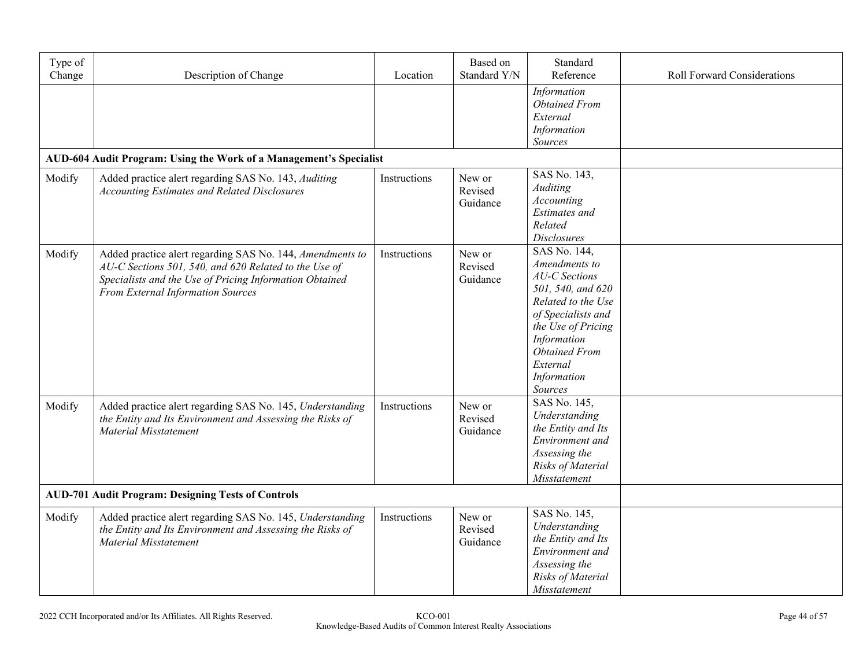| Type of<br>Change | Description of Change                                                                                                                                                                                              | Location     | Based on<br>Standard Y/N      | Standard<br>Reference                                                                                                                                                                                                     | <b>Roll Forward Considerations</b> |
|-------------------|--------------------------------------------------------------------------------------------------------------------------------------------------------------------------------------------------------------------|--------------|-------------------------------|---------------------------------------------------------------------------------------------------------------------------------------------------------------------------------------------------------------------------|------------------------------------|
|                   |                                                                                                                                                                                                                    |              |                               | Information<br><b>Obtained From</b><br>External<br>Information<br>Sources                                                                                                                                                 |                                    |
|                   | AUD-604 Audit Program: Using the Work of a Management's Specialist                                                                                                                                                 |              |                               |                                                                                                                                                                                                                           |                                    |
| Modify            | Added practice alert regarding SAS No. 143, Auditing<br><b>Accounting Estimates and Related Disclosures</b>                                                                                                        | Instructions | New or<br>Revised<br>Guidance | SAS No. 143,<br><b>Auditing</b><br>Accounting<br><b>Estimates</b> and<br>Related<br><b>Disclosures</b>                                                                                                                    |                                    |
| Modify            | Added practice alert regarding SAS No. 144, Amendments to<br>AU-C Sections 501, 540, and 620 Related to the Use of<br>Specialists and the Use of Pricing Information Obtained<br>From External Information Sources | Instructions | New or<br>Revised<br>Guidance | SAS No. 144,<br>Amendments to<br><b>AU-C</b> Sections<br>501, 540, and 620<br>Related to the Use<br>of Specialists and<br>the Use of Pricing<br>Information<br><b>Obtained From</b><br>External<br>Information<br>Sources |                                    |
| Modify            | Added practice alert regarding SAS No. 145, Understanding<br>the Entity and Its Environment and Assessing the Risks of<br>Material Misstatement                                                                    | Instructions | New or<br>Revised<br>Guidance | SAS No. 145,<br>Understanding<br>the Entity and Its<br>Environment and<br>Assessing the<br>Risks of Material<br>Misstatement                                                                                              |                                    |
|                   | <b>AUD-701 Audit Program: Designing Tests of Controls</b>                                                                                                                                                          |              |                               |                                                                                                                                                                                                                           |                                    |
| Modify            | Added practice alert regarding SAS No. 145, Understanding<br>the Entity and Its Environment and Assessing the Risks of<br><b>Material Misstatement</b>                                                             | Instructions | New or<br>Revised<br>Guidance | SAS No. 145,<br>Understanding<br>the Entity and Its<br>Environment and<br>Assessing the<br>Risks of Material<br>Misstatement                                                                                              |                                    |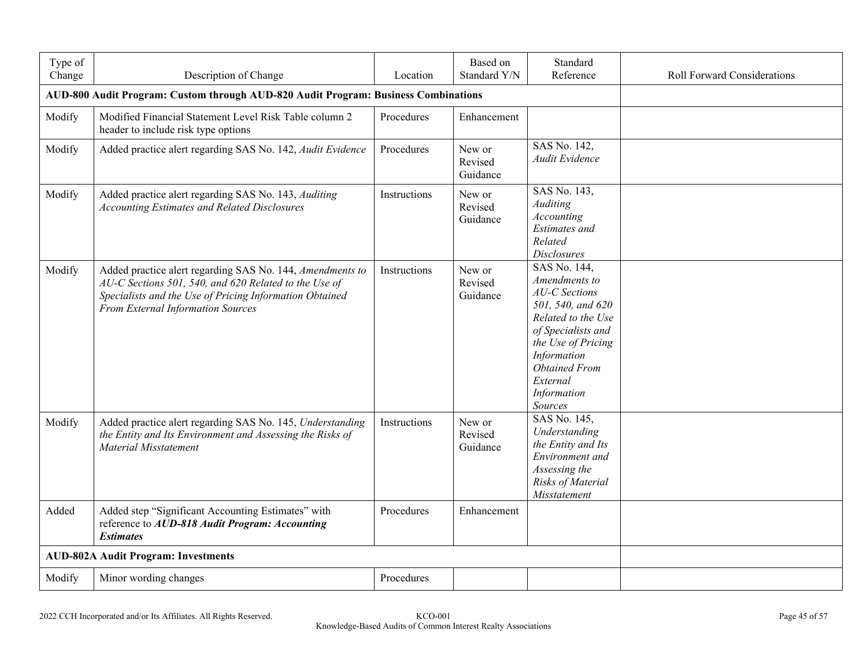| Type of<br>Change | Description of Change                                                                                                                                                                                              | Location     | Based on<br>Standard Y/N      | Standard<br>Reference                                                                                                                                                                                                     | <b>Roll Forward Considerations</b> |
|-------------------|--------------------------------------------------------------------------------------------------------------------------------------------------------------------------------------------------------------------|--------------|-------------------------------|---------------------------------------------------------------------------------------------------------------------------------------------------------------------------------------------------------------------------|------------------------------------|
|                   | AUD-800 Audit Program: Custom through AUD-820 Audit Program: Business Combinations                                                                                                                                 |              |                               |                                                                                                                                                                                                                           |                                    |
| Modify            | Modified Financial Statement Level Risk Table column 2<br>header to include risk type options                                                                                                                      | Procedures   | Enhancement                   |                                                                                                                                                                                                                           |                                    |
| Modify            | Added practice alert regarding SAS No. 142, Audit Evidence                                                                                                                                                         | Procedures   | New or<br>Revised<br>Guidance | SAS No. 142,<br>Audit Evidence                                                                                                                                                                                            |                                    |
| Modify            | Added practice alert regarding SAS No. 143, Auditing<br><b>Accounting Estimates and Related Disclosures</b>                                                                                                        | Instructions | New or<br>Revised<br>Guidance | SAS No. 143,<br>Auditing<br>Accounting<br>Estimates and<br>Related<br><b>Disclosures</b>                                                                                                                                  |                                    |
| Modify            | Added practice alert regarding SAS No. 144, Amendments to<br>AU-C Sections 501, 540, and 620 Related to the Use of<br>Specialists and the Use of Pricing Information Obtained<br>From External Information Sources | Instructions | New or<br>Revised<br>Guidance | SAS No. 144,<br>Amendments to<br><b>AU-C</b> Sections<br>501, 540, and 620<br>Related to the Use<br>of Specialists and<br>the Use of Pricing<br>Information<br><b>Obtained From</b><br>External<br>Information<br>Sources |                                    |
| Modify            | Added practice alert regarding SAS No. 145, Understanding<br>the Entity and Its Environment and Assessing the Risks of<br><b>Material Misstatement</b>                                                             | Instructions | New or<br>Revised<br>Guidance | SAS No. 145,<br>Understanding<br>the Entity and Its<br>Environment and<br>Assessing the<br>Risks of Material<br><i>Misstatement</i>                                                                                       |                                    |
| Added             | Added step "Significant Accounting Estimates" with<br>reference to AUD-818 Audit Program: Accounting<br><b>Estimates</b>                                                                                           | Procedures   | Enhancement                   |                                                                                                                                                                                                                           |                                    |
|                   | <b>AUD-802A Audit Program: Investments</b>                                                                                                                                                                         |              |                               |                                                                                                                                                                                                                           |                                    |
| Modify            | Minor wording changes                                                                                                                                                                                              | Procedures   |                               |                                                                                                                                                                                                                           |                                    |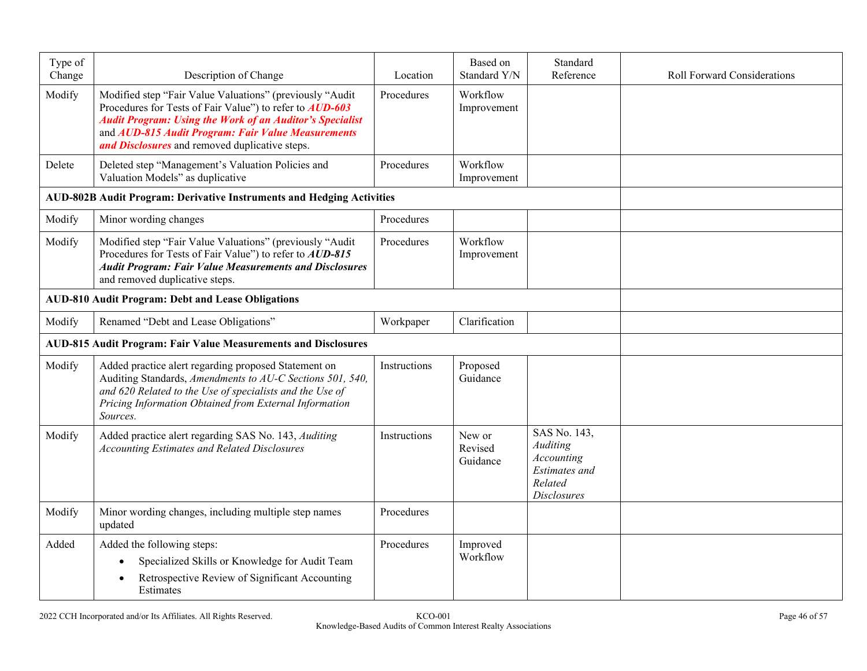| Type of<br>Change | Description of Change                                                                                                                                                                                                                                                                                  | Location     | Based on<br>Standard Y/N      | Standard<br>Reference                                                                           | <b>Roll Forward Considerations</b> |
|-------------------|--------------------------------------------------------------------------------------------------------------------------------------------------------------------------------------------------------------------------------------------------------------------------------------------------------|--------------|-------------------------------|-------------------------------------------------------------------------------------------------|------------------------------------|
| Modify            | Modified step "Fair Value Valuations" (previously "Audit<br>Procedures for Tests of Fair Value") to refer to <b>AUD-603</b><br><b>Audit Program: Using the Work of an Auditor's Specialist</b><br>and AUD-815 Audit Program: Fair Value Measurements<br>and Disclosures and removed duplicative steps. | Procedures   | Workflow<br>Improvement       |                                                                                                 |                                    |
| Delete            | Deleted step "Management's Valuation Policies and<br>Valuation Models" as duplicative                                                                                                                                                                                                                  | Procedures   | Workflow<br>Improvement       |                                                                                                 |                                    |
|                   | <b>AUD-802B Audit Program: Derivative Instruments and Hedging Activities</b>                                                                                                                                                                                                                           |              |                               |                                                                                                 |                                    |
| Modify            | Minor wording changes                                                                                                                                                                                                                                                                                  | Procedures   |                               |                                                                                                 |                                    |
| Modify            | Modified step "Fair Value Valuations" (previously "Audit<br>Procedures for Tests of Fair Value") to refer to AUD-815<br><b>Audit Program: Fair Value Measurements and Disclosures</b><br>and removed duplicative steps.                                                                                | Procedures   | Workflow<br>Improvement       |                                                                                                 |                                    |
|                   | <b>AUD-810 Audit Program: Debt and Lease Obligations</b>                                                                                                                                                                                                                                               |              |                               |                                                                                                 |                                    |
| Modify            | Renamed "Debt and Lease Obligations"                                                                                                                                                                                                                                                                   | Workpaper    | Clarification                 |                                                                                                 |                                    |
|                   | <b>AUD-815 Audit Program: Fair Value Measurements and Disclosures</b>                                                                                                                                                                                                                                  |              |                               |                                                                                                 |                                    |
| Modify            | Added practice alert regarding proposed Statement on<br>Auditing Standards, Amendments to AU-C Sections 501, 540,<br>and 620 Related to the Use of specialists and the Use of<br>Pricing Information Obtained from External Information<br>Sources.                                                    | Instructions | Proposed<br>Guidance          |                                                                                                 |                                    |
| Modify            | Added practice alert regarding SAS No. 143, Auditing<br><b>Accounting Estimates and Related Disclosures</b>                                                                                                                                                                                            | Instructions | New or<br>Revised<br>Guidance | SAS No. 143,<br>Auditing<br>Accounting<br><b>Estimates</b> and<br>Related<br><b>Disclosures</b> |                                    |
| Modify            | Minor wording changes, including multiple step names<br>updated                                                                                                                                                                                                                                        | Procedures   |                               |                                                                                                 |                                    |
| Added             | Added the following steps:<br>Specialized Skills or Knowledge for Audit Team<br>Retrospective Review of Significant Accounting<br>Estimates                                                                                                                                                            | Procedures   | Improved<br>Workflow          |                                                                                                 |                                    |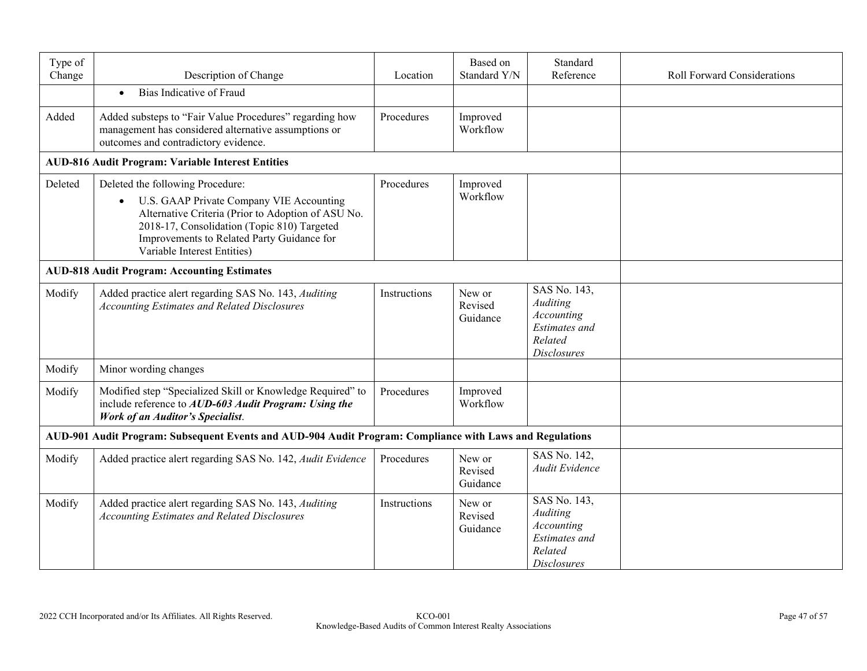| Type of<br>Change | Description of Change                                                                                                                                                                                                                                                       | Location     | Based on<br>Standard Y/N      | Standard<br>Reference                                                                           | <b>Roll Forward Considerations</b> |
|-------------------|-----------------------------------------------------------------------------------------------------------------------------------------------------------------------------------------------------------------------------------------------------------------------------|--------------|-------------------------------|-------------------------------------------------------------------------------------------------|------------------------------------|
|                   | Bias Indicative of Fraud<br>$\bullet$                                                                                                                                                                                                                                       |              |                               |                                                                                                 |                                    |
| Added             | Added substeps to "Fair Value Procedures" regarding how<br>management has considered alternative assumptions or<br>outcomes and contradictory evidence.                                                                                                                     | Procedures   | Improved<br>Workflow          |                                                                                                 |                                    |
|                   | <b>AUD-816 Audit Program: Variable Interest Entities</b>                                                                                                                                                                                                                    |              |                               |                                                                                                 |                                    |
| Deleted           | Deleted the following Procedure:<br>U.S. GAAP Private Company VIE Accounting<br>$\bullet$<br>Alternative Criteria (Prior to Adoption of ASU No.<br>2018-17, Consolidation (Topic 810) Targeted<br>Improvements to Related Party Guidance for<br>Variable Interest Entities) | Procedures   | Improved<br>Workflow          |                                                                                                 |                                    |
|                   | <b>AUD-818 Audit Program: Accounting Estimates</b>                                                                                                                                                                                                                          |              |                               |                                                                                                 |                                    |
| Modify            | Added practice alert regarding SAS No. 143, Auditing<br><b>Accounting Estimates and Related Disclosures</b>                                                                                                                                                                 | Instructions | New or<br>Revised<br>Guidance | SAS No. 143,<br>Auditing<br>Accounting<br><b>Estimates</b> and<br>Related<br><b>Disclosures</b> |                                    |
| Modify            | Minor wording changes                                                                                                                                                                                                                                                       |              |                               |                                                                                                 |                                    |
| Modify            | Modified step "Specialized Skill or Knowledge Required" to<br>include reference to AUD-603 Audit Program: Using the<br><b>Work of an Auditor's Specialist.</b>                                                                                                              | Procedures   | Improved<br>Workflow          |                                                                                                 |                                    |
|                   | AUD-901 Audit Program: Subsequent Events and AUD-904 Audit Program: Compliance with Laws and Regulations                                                                                                                                                                    |              |                               |                                                                                                 |                                    |
| Modify            | Added practice alert regarding SAS No. 142, Audit Evidence                                                                                                                                                                                                                  | Procedures   | New or<br>Revised<br>Guidance | SAS No. 142,<br>Audit Evidence                                                                  |                                    |
| Modify            | Added practice alert regarding SAS No. 143, Auditing<br><b>Accounting Estimates and Related Disclosures</b>                                                                                                                                                                 | Instructions | New or<br>Revised<br>Guidance | SAS No. 143,<br>Auditing<br>Accounting<br><b>Estimates</b> and<br>Related<br><b>Disclosures</b> |                                    |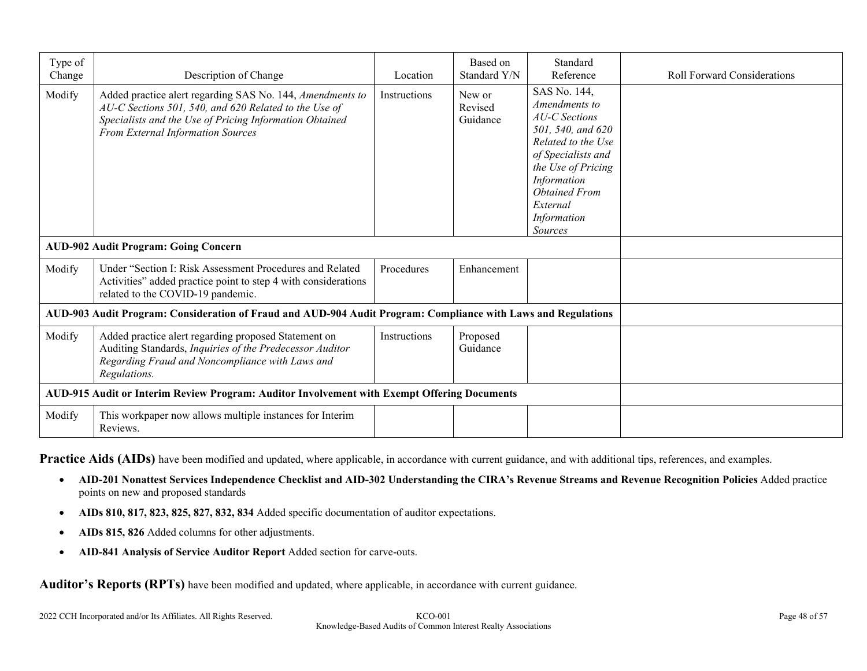| Type of                                                                                     |                                                                                                                                                                                                                    |                     | Based on                      | Standard                                                                                                                                                                                                                  |                                    |
|---------------------------------------------------------------------------------------------|--------------------------------------------------------------------------------------------------------------------------------------------------------------------------------------------------------------------|---------------------|-------------------------------|---------------------------------------------------------------------------------------------------------------------------------------------------------------------------------------------------------------------------|------------------------------------|
| Change                                                                                      | Description of Change                                                                                                                                                                                              | Location            | Standard Y/N                  | Reference                                                                                                                                                                                                                 | <b>Roll Forward Considerations</b> |
| Modify                                                                                      | Added practice alert regarding SAS No. 144, Amendments to<br>AU-C Sections 501, 540, and 620 Related to the Use of<br>Specialists and the Use of Pricing Information Obtained<br>From External Information Sources | Instructions        | New or<br>Revised<br>Guidance | SAS No. 144,<br>Amendments to<br><b>AU-C</b> Sections<br>501, 540, and 620<br>Related to the Use<br>of Specialists and<br>the Use of Pricing<br>Information<br><b>Obtained From</b><br>External<br>Information<br>Sources |                                    |
|                                                                                             | <b>AUD-902 Audit Program: Going Concern</b>                                                                                                                                                                        |                     |                               |                                                                                                                                                                                                                           |                                    |
| Modify                                                                                      | Under "Section I: Risk Assessment Procedures and Related<br>Activities" added practice point to step 4 with considerations<br>related to the COVID-19 pandemic.                                                    | Procedures          | Enhancement                   |                                                                                                                                                                                                                           |                                    |
|                                                                                             | AUD-903 Audit Program: Consideration of Fraud and AUD-904 Audit Program: Compliance with Laws and Regulations                                                                                                      |                     |                               |                                                                                                                                                                                                                           |                                    |
| Modify                                                                                      | Added practice alert regarding proposed Statement on<br>Auditing Standards, Inquiries of the Predecessor Auditor<br>Regarding Fraud and Noncompliance with Laws and<br>Regulations.                                | <b>Instructions</b> | Proposed<br>Guidance          |                                                                                                                                                                                                                           |                                    |
| AUD-915 Audit or Interim Review Program: Auditor Involvement with Exempt Offering Documents |                                                                                                                                                                                                                    |                     |                               |                                                                                                                                                                                                                           |                                    |
| Modify                                                                                      | This workpaper now allows multiple instances for Interim<br>Reviews.                                                                                                                                               |                     |                               |                                                                                                                                                                                                                           |                                    |

**Practice Aids (AIDs)** have been modified and updated, where applicable, in accordance with current guidance, and with additional tips, references, and examples.

- **AID-201 Nonattest Services Independence Checklist and AID-302 Understanding the CIRA's Revenue Streams and Revenue Recognition Policies** Added practice points on new and proposed standards
- **AIDs 810, 817, 823, 825, 827, 832, 834** Added specific documentation of auditor expectations.
- **AIDs 815, 826** Added columns for other adjustments.
- **AID-841 Analysis of Service Auditor Report** Added section for carve-outs.

**Auditor's Reports (RPTs)** have been modified and updated, where applicable, in accordance with current guidance.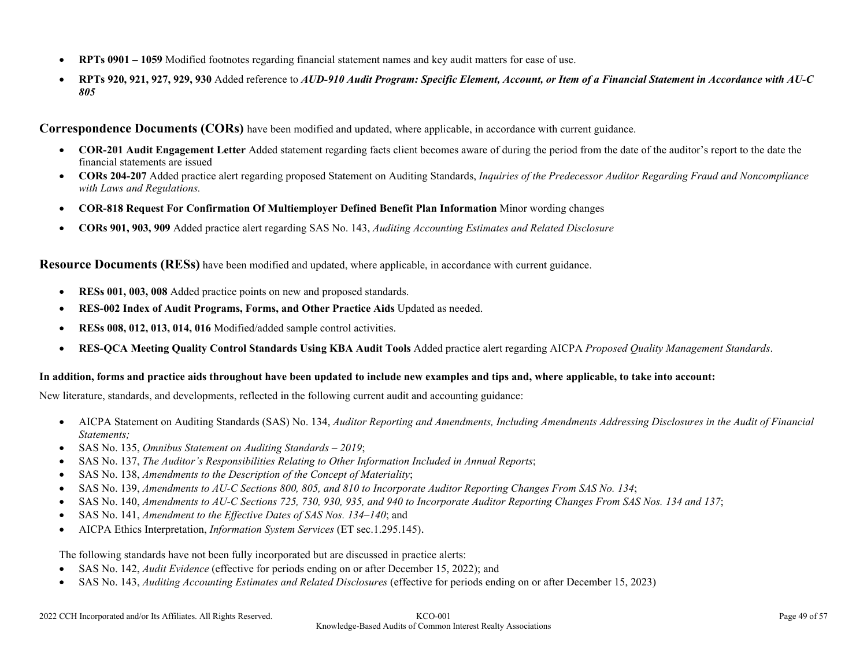- **RPTs 0901 – 1059** Modified footnotes regarding financial statement names and key audit matters for ease of use.
- **RPTs 920, 921, 927, 929, 930** Added reference to *AUD-910 Audit Program: Specific Element, Account, or Item of a Financial Statement in Accordance with AU-C 805*

### **Correspondence Documents (CORs)** have been modified and updated, where applicable, in accordance with current guidance.

- **COR-201 Audit Engagement Letter** Added statement regarding facts client becomes aware of during the period from the date of the auditor's report to the date the financial statements are issued
- **CORs 204-207** Added practice alert regarding proposed Statement on Auditing Standards, *Inquiries of the Predecessor Auditor Regarding Fraud and Noncompliance with Laws and Regulations.*
- **COR-818 Request For Confirmation Of Multiemployer Defined Benefit Plan Information** Minor wording changes
- **CORs 901, 903, 909** Added practice alert regarding SAS No. 143, *Auditing Accounting Estimates and Related Disclosure*

**Resource Documents (RESs)** have been modified and updated, where applicable, in accordance with current guidance.

- **RESs 001, 003, 008** Added practice points on new and proposed standards.
- **RES-002 Index of Audit Programs, Forms, and Other Practice Aids** Updated as needed.
- **RESs 008, 012, 013, 014, 016** Modified/added sample control activities.
- **RES-QCA Meeting Quality Control Standards Using KBA Audit Tools** Added practice alert regarding AICPA *Proposed Quality Management Standards*.

#### **In addition, forms and practice aids throughout have been updated to include new examples and tips and, where applicable, to take into account:**

New literature, standards, and developments, reflected in the following current audit and accounting guidance:

- AICPA Statement on Auditing Standards (SAS) No. 134, *Auditor Reporting and Amendments, Including Amendments Addressing Disclosures in the Audit of Financial Statements;*
- SAS No. 135, *Omnibus Statement on Auditing Standards – 2019*;
- SAS No. 137, *The Auditor's Responsibilities Relating to Other Information Included in Annual Reports*;
- SAS No. 138, *Amendments to the Description of the Concept of Materiality*;
- SAS No. 139, *Amendments to AU-C Sections 800, 805, and 810 to Incorporate Auditor Reporting Changes From SAS No. 134*;
- SAS No. 140, *Amendments to AU-C Sections 725, 730, 930, 935, and 940 to Incorporate Auditor Reporting Changes From SAS Nos. 134 and 137*;
- SAS No. 141, *Amendment to the Effective Dates of SAS Nos. 134–140*; and
- AICPA Ethics Interpretation, *Information System Services* (ET sec.1.295.145).

The following standards have not been fully incorporated but are discussed in practice alerts:

- SAS No. 142, *Audit Evidence* (effective for periods ending on or after December 15, 2022); and
- SAS No. 143, *Auditing Accounting Estimates and Related Disclosures* (effective for periods ending on or after December 15, 2023)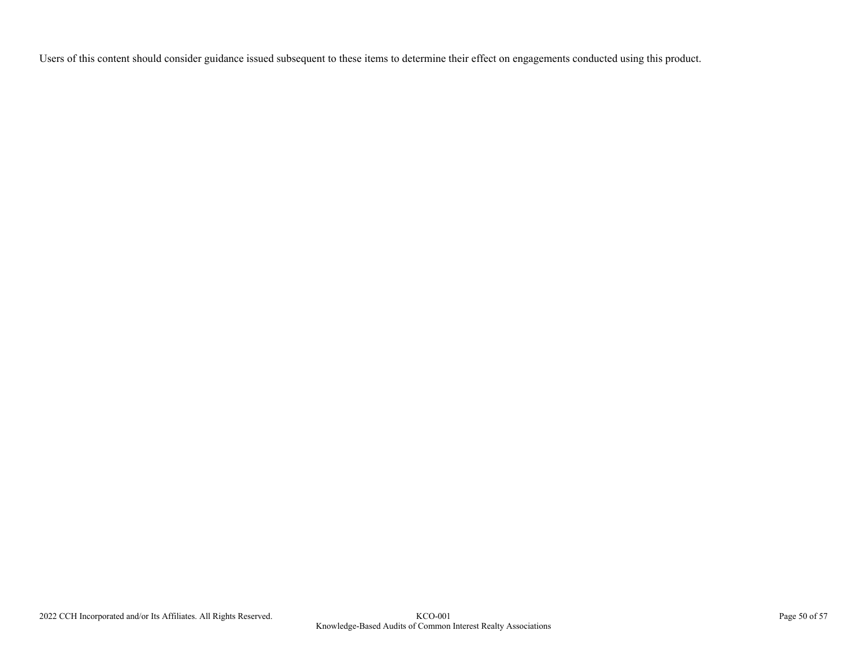Users of this content should consider guidance issued subsequent to these items to determine their effect on engagements conducted using this product.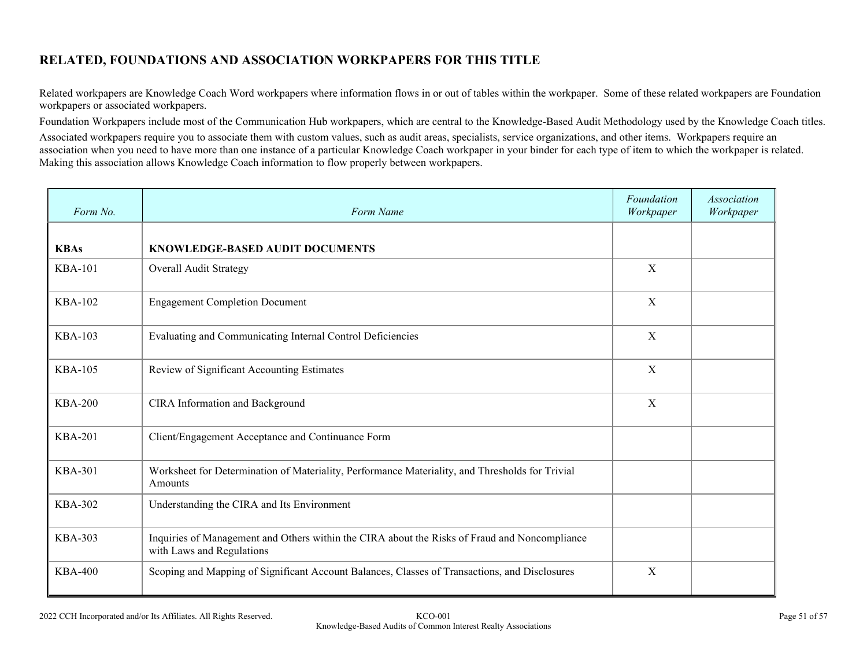# **RELATED, FOUNDATIONS AND ASSOCIATION WORKPAPERS FOR THIS TITLE**

Related workpapers are Knowledge Coach Word workpapers where information flows in or out of tables within the workpaper. Some of these related workpapers are Foundation workpapers or associated workpapers.

Foundation Workpapers include most of the Communication Hub workpapers, which are central to the Knowledge-Based Audit Methodology used by the Knowledge Coach titles.

Associated workpapers require you to associate them with custom values, such as audit areas, specialists, service organizations, and other items. Workpapers require an association when you need to have more than one instance of a particular Knowledge Coach workpaper in your binder for each type of item to which the workpaper is related. Making this association allows Knowledge Coach information to flow properly between workpapers.

| Form No.       | Form Name                                                                                                                  | Foundation<br>Workpaper | <b>Association</b><br>Workpaper |
|----------------|----------------------------------------------------------------------------------------------------------------------------|-------------------------|---------------------------------|
| <b>KBAs</b>    | <b>KNOWLEDGE-BASED AUDIT DOCUMENTS</b>                                                                                     |                         |                                 |
| <b>KBA-101</b> | <b>Overall Audit Strategy</b>                                                                                              | X                       |                                 |
| <b>KBA-102</b> | <b>Engagement Completion Document</b>                                                                                      | $\mathbf X$             |                                 |
| <b>KBA-103</b> | Evaluating and Communicating Internal Control Deficiencies                                                                 | X                       |                                 |
| <b>KBA-105</b> | Review of Significant Accounting Estimates                                                                                 | X                       |                                 |
| <b>KBA-200</b> | CIRA Information and Background                                                                                            | X                       |                                 |
| <b>KBA-201</b> | Client/Engagement Acceptance and Continuance Form                                                                          |                         |                                 |
| <b>KBA-301</b> | Worksheet for Determination of Materiality, Performance Materiality, and Thresholds for Trivial<br>Amounts                 |                         |                                 |
| <b>KBA-302</b> | Understanding the CIRA and Its Environment                                                                                 |                         |                                 |
| <b>KBA-303</b> | Inquiries of Management and Others within the CIRA about the Risks of Fraud and Noncompliance<br>with Laws and Regulations |                         |                                 |
| <b>KBA-400</b> | Scoping and Mapping of Significant Account Balances, Classes of Transactions, and Disclosures                              | X                       |                                 |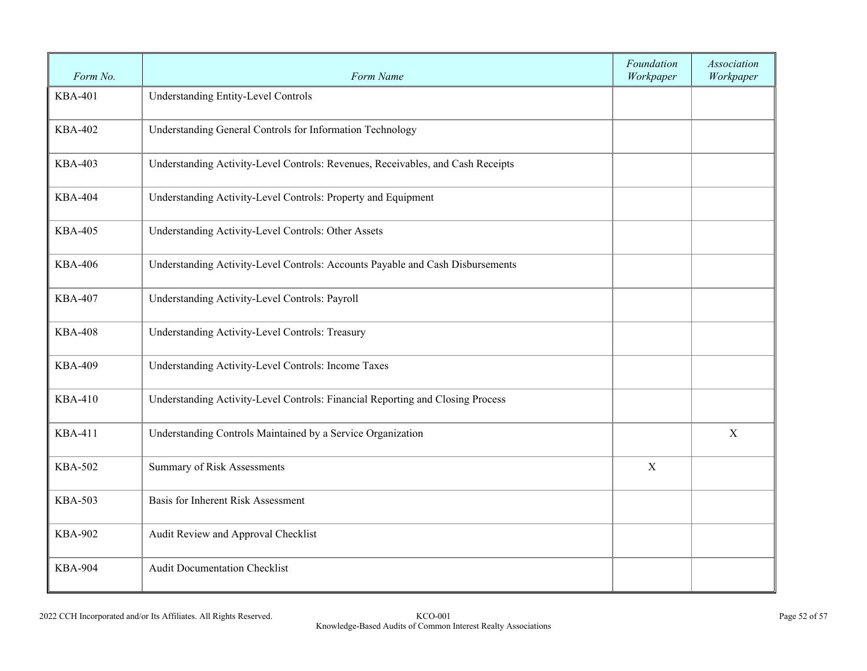| Form No.       | Form Name                                                                       | Foundation<br>Workpaper | <b>Association</b><br>Workpaper |
|----------------|---------------------------------------------------------------------------------|-------------------------|---------------------------------|
| <b>KBA-401</b> | Understanding Entity-Level Controls                                             |                         |                                 |
| <b>KBA-402</b> | Understanding General Controls for Information Technology                       |                         |                                 |
| <b>KBA-403</b> | Understanding Activity-Level Controls: Revenues, Receivables, and Cash Receipts |                         |                                 |
| <b>KBA-404</b> | Understanding Activity-Level Controls: Property and Equipment                   |                         |                                 |
| <b>KBA-405</b> | Understanding Activity-Level Controls: Other Assets                             |                         |                                 |
| <b>KBA-406</b> | Understanding Activity-Level Controls: Accounts Payable and Cash Disbursements  |                         |                                 |
| <b>KBA-407</b> | Understanding Activity-Level Controls: Payroll                                  |                         |                                 |
| <b>KBA-408</b> | Understanding Activity-Level Controls: Treasury                                 |                         |                                 |
| <b>KBA-409</b> | Understanding Activity-Level Controls: Income Taxes                             |                         |                                 |
| <b>KBA-410</b> | Understanding Activity-Level Controls: Financial Reporting and Closing Process  |                         |                                 |
| <b>KBA-411</b> | Understanding Controls Maintained by a Service Organization                     |                         | $\mathbf X$                     |
| <b>KBA-502</b> | <b>Summary of Risk Assessments</b>                                              | $\mathbf X$             |                                 |
| <b>KBA-503</b> | Basis for Inherent Risk Assessment                                              |                         |                                 |
| <b>KBA-902</b> | Audit Review and Approval Checklist                                             |                         |                                 |
| <b>KBA-904</b> | <b>Audit Documentation Checklist</b>                                            |                         |                                 |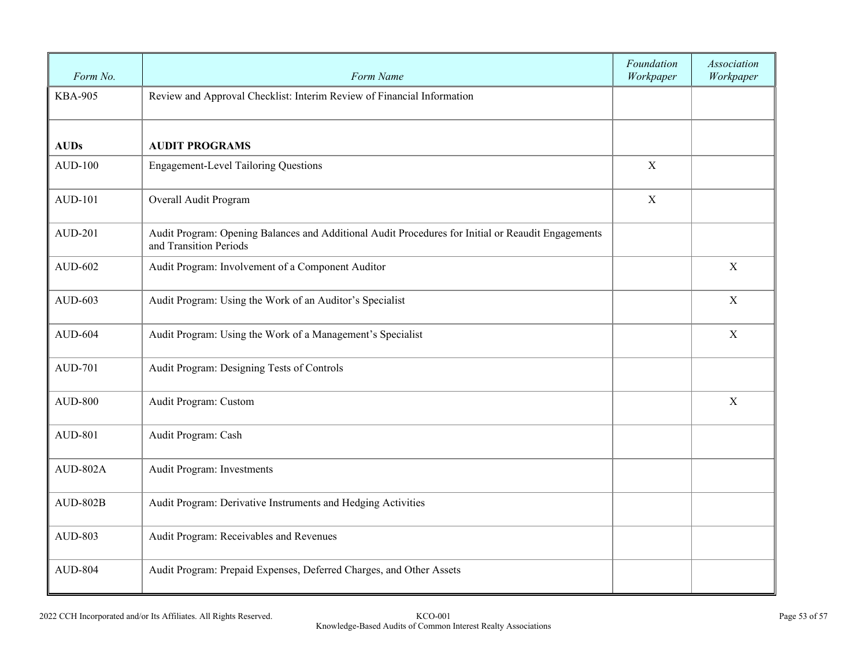| Form No.       | Form Name                                                                                                                    | Foundation<br>Workpaper | Association<br>Workpaper |
|----------------|------------------------------------------------------------------------------------------------------------------------------|-------------------------|--------------------------|
| <b>KBA-905</b> | Review and Approval Checklist: Interim Review of Financial Information                                                       |                         |                          |
| <b>AUDs</b>    | <b>AUDIT PROGRAMS</b>                                                                                                        |                         |                          |
| <b>AUD-100</b> | <b>Engagement-Level Tailoring Questions</b>                                                                                  | $\mathbf X$             |                          |
| <b>AUD-101</b> | Overall Audit Program                                                                                                        | X                       |                          |
| <b>AUD-201</b> | Audit Program: Opening Balances and Additional Audit Procedures for Initial or Reaudit Engagements<br>and Transition Periods |                         |                          |
| AUD-602        | Audit Program: Involvement of a Component Auditor                                                                            |                         | X                        |
| AUD-603        | Audit Program: Using the Work of an Auditor's Specialist                                                                     |                         | $\mathbf X$              |
| <b>AUD-604</b> | Audit Program: Using the Work of a Management's Specialist                                                                   |                         | X                        |
| <b>AUD-701</b> | Audit Program: Designing Tests of Controls                                                                                   |                         |                          |
| <b>AUD-800</b> | Audit Program: Custom                                                                                                        |                         | $\mathbf X$              |
| <b>AUD-801</b> | Audit Program: Cash                                                                                                          |                         |                          |
| AUD-802A       | Audit Program: Investments                                                                                                   |                         |                          |
| $AUD-802B$     | Audit Program: Derivative Instruments and Hedging Activities                                                                 |                         |                          |
| <b>AUD-803</b> | Audit Program: Receivables and Revenues                                                                                      |                         |                          |
| <b>AUD-804</b> | Audit Program: Prepaid Expenses, Deferred Charges, and Other Assets                                                          |                         |                          |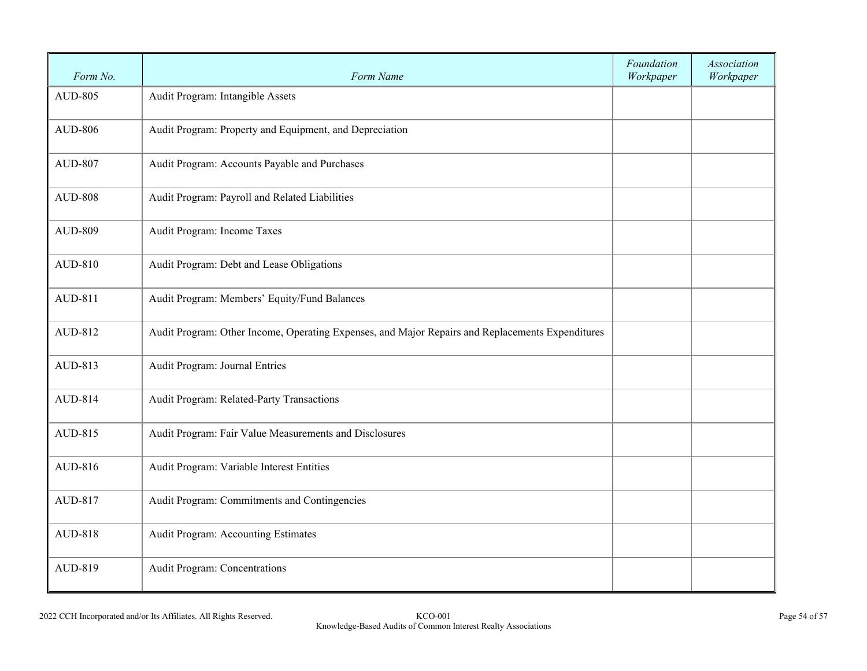| Form No.       | Form Name                                                                                        | Foundation<br>Workpaper | <b>Association</b><br>Workpaper |
|----------------|--------------------------------------------------------------------------------------------------|-------------------------|---------------------------------|
| <b>AUD-805</b> | Audit Program: Intangible Assets                                                                 |                         |                                 |
| <b>AUD-806</b> | Audit Program: Property and Equipment, and Depreciation                                          |                         |                                 |
| <b>AUD-807</b> | Audit Program: Accounts Payable and Purchases                                                    |                         |                                 |
| <b>AUD-808</b> | Audit Program: Payroll and Related Liabilities                                                   |                         |                                 |
| <b>AUD-809</b> | Audit Program: Income Taxes                                                                      |                         |                                 |
| AUD-810        | Audit Program: Debt and Lease Obligations                                                        |                         |                                 |
| AUD-811        | Audit Program: Members' Equity/Fund Balances                                                     |                         |                                 |
| AUD-812        | Audit Program: Other Income, Operating Expenses, and Major Repairs and Replacements Expenditures |                         |                                 |
| AUD-813        | Audit Program: Journal Entries                                                                   |                         |                                 |
| AUD-814        | Audit Program: Related-Party Transactions                                                        |                         |                                 |
| AUD-815        | Audit Program: Fair Value Measurements and Disclosures                                           |                         |                                 |
| AUD-816        | Audit Program: Variable Interest Entities                                                        |                         |                                 |
| AUD-817        | Audit Program: Commitments and Contingencies                                                     |                         |                                 |
| AUD-818        | Audit Program: Accounting Estimates                                                              |                         |                                 |
| AUD-819        | <b>Audit Program: Concentrations</b>                                                             |                         |                                 |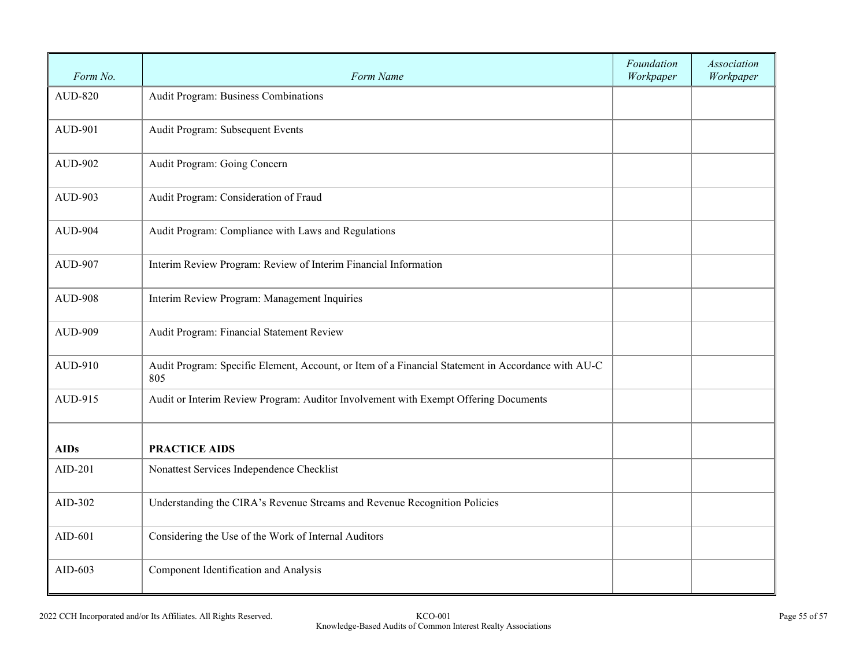| Form No.       | Form Name                                                                                                 | Foundation<br>Workpaper | Association<br>Workpaper |
|----------------|-----------------------------------------------------------------------------------------------------------|-------------------------|--------------------------|
| <b>AUD-820</b> | Audit Program: Business Combinations                                                                      |                         |                          |
| AUD-901        | Audit Program: Subsequent Events                                                                          |                         |                          |
| <b>AUD-902</b> | Audit Program: Going Concern                                                                              |                         |                          |
| AUD-903        | Audit Program: Consideration of Fraud                                                                     |                         |                          |
| <b>AUD-904</b> | Audit Program: Compliance with Laws and Regulations                                                       |                         |                          |
| AUD-907        | Interim Review Program: Review of Interim Financial Information                                           |                         |                          |
| <b>AUD-908</b> | Interim Review Program: Management Inquiries                                                              |                         |                          |
| <b>AUD-909</b> | Audit Program: Financial Statement Review                                                                 |                         |                          |
| AUD-910        | Audit Program: Specific Element, Account, or Item of a Financial Statement in Accordance with AU-C<br>805 |                         |                          |
| AUD-915        | Audit or Interim Review Program: Auditor Involvement with Exempt Offering Documents                       |                         |                          |
| <b>AIDs</b>    | <b>PRACTICE AIDS</b>                                                                                      |                         |                          |
| AID-201        | Nonattest Services Independence Checklist                                                                 |                         |                          |
| AID-302        | Understanding the CIRA's Revenue Streams and Revenue Recognition Policies                                 |                         |                          |
| AID-601        | Considering the Use of the Work of Internal Auditors                                                      |                         |                          |
| AID- $603$     | Component Identification and Analysis                                                                     |                         |                          |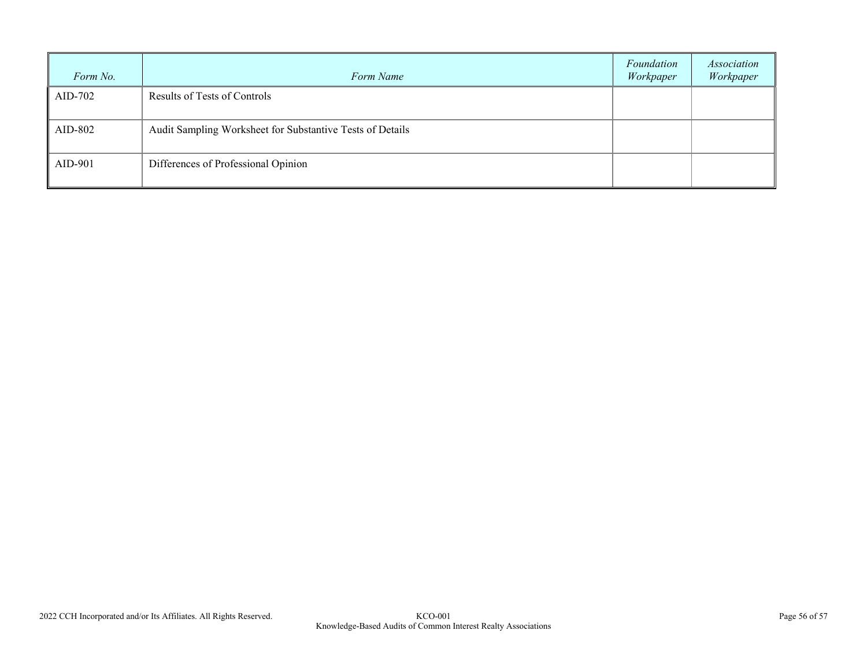| Form No. | Form Name                                                 | Foundation<br>Workpaper | Association<br>Workpaper |
|----------|-----------------------------------------------------------|-------------------------|--------------------------|
| AID-702  | Results of Tests of Controls                              |                         |                          |
| AID-802  | Audit Sampling Worksheet for Substantive Tests of Details |                         |                          |
| AID-901  | Differences of Professional Opinion                       |                         |                          |